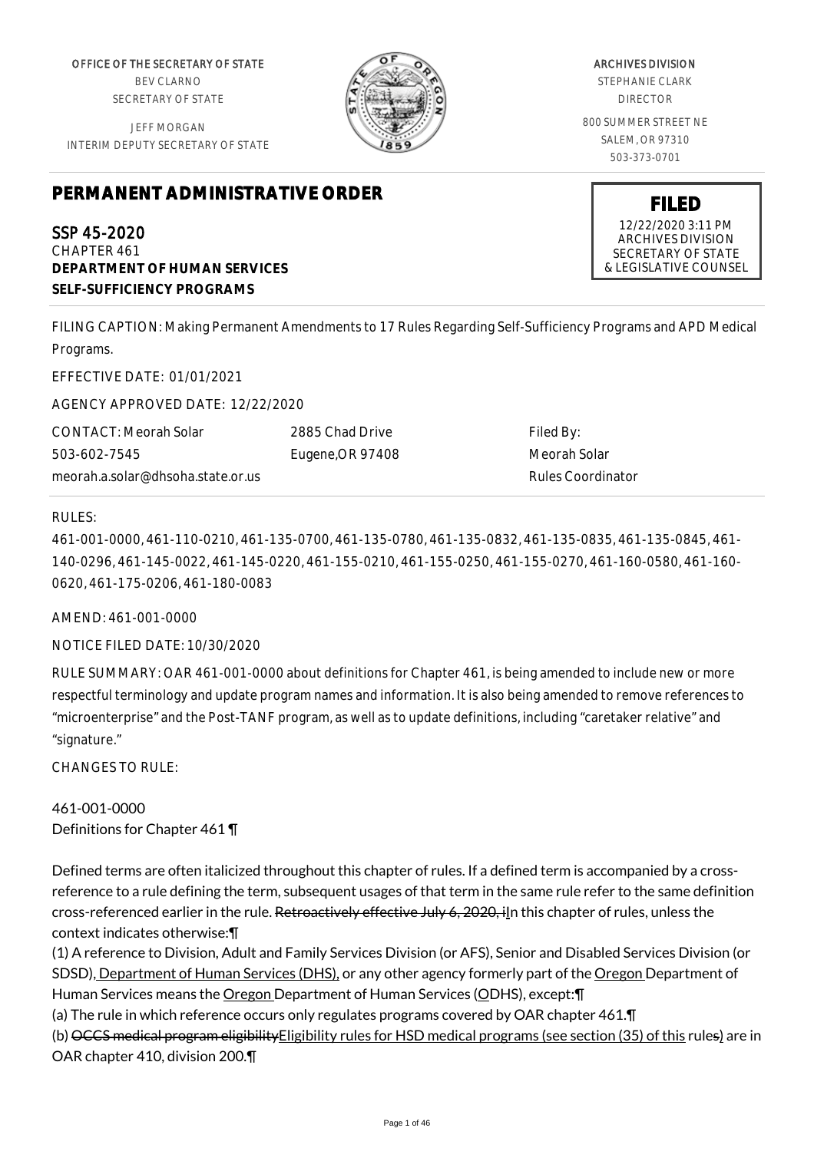OFFICE OF THE SECRETARY OF STATE BEV CLARNO SECRETARY OF STATE

JEFF MORGAN INTERIM DEPUTY SECRETARY OF STATE

# **PERMANENT ADMINISTRATIVE ORDER**

SSP 45-2020 CHAPTER 461 **DEPARTMENT OF HUMAN SERVICES SELF-SUFFICIENCY PROGRAMS**

ARCHIVES DIVISION STEPHANIE CLARK DIRECTOR 800 SUMMER STREET NE SALEM, OR 97310 503-373-0701

> **FILED** 12/22/2020 3:11 PM ARCHIVES DIVISION SECRETARY OF STATE & LEGISLATIVE COUNSEL

FILING CAPTION: Making Permanent Amendments to 17 Rules Regarding Self-Sufficiency Programs and APD Medical Programs.

EFFECTIVE DATE: 01/01/2021

AGENCY APPROVED DATE: 12/22/2020

CONTACT: Meorah Solar 503-602-7545 meorah.a.solar@dhsoha.state.or.us 2885 Chad Drive Eugene,OR 97408

Filed By: Meorah Solar Rules Coordinator

#### RULES:

461-001-0000, 461-110-0210, 461-135-0700, 461-135-0780, 461-135-0832, 461-135-0835, 461-135-0845, 461- 140-0296, 461-145-0022, 461-145-0220, 461-155-0210, 461-155-0250, 461-155-0270, 461-160-0580, 461-160- 0620, 461-175-0206, 461-180-0083

AMEND: 461-001-0000

NOTICE FILED DATE: 10/30/2020

RULE SUMMARY: OAR 461-001-0000 about definitions for Chapter 461, is being amended to include new or more respectful terminology and update program names and information. It is also being amended to remove references to "microenterprise" and the Post-TANF program, as well as to update definitions, including "caretaker relative" and "signature."

CHANGES TO RULE:

461-001-0000 Definitions for Chapter 461 ¶

Defined terms are often italicized throughout this chapter of rules. If a defined term is accompanied by a crossreference to a rule defining the term, subsequent usages of that term in the same rule refer to the same definition cross-referenced earlier in the rule. Retroactively effective July 6, 2020, iln this chapter of rules, unless the context indicates otherwise:¶

(1) A reference to Division, Adult and Family Services Division (or AFS), Senior and Disabled Services Division (or SDSD), Department of Human Services (DHS), or any other agency formerly part of the Oregon Department of Human Services means the Oregon Department of Human Services (ODHS), except:¶

(a) The rule in which reference occurs only regulates programs covered by OAR chapter 461.¶

(b) OCCS medical program eligibility Eligibility rules for HSD medical programs (see section (35) of this rules) are in OAR chapter 410, division 200.¶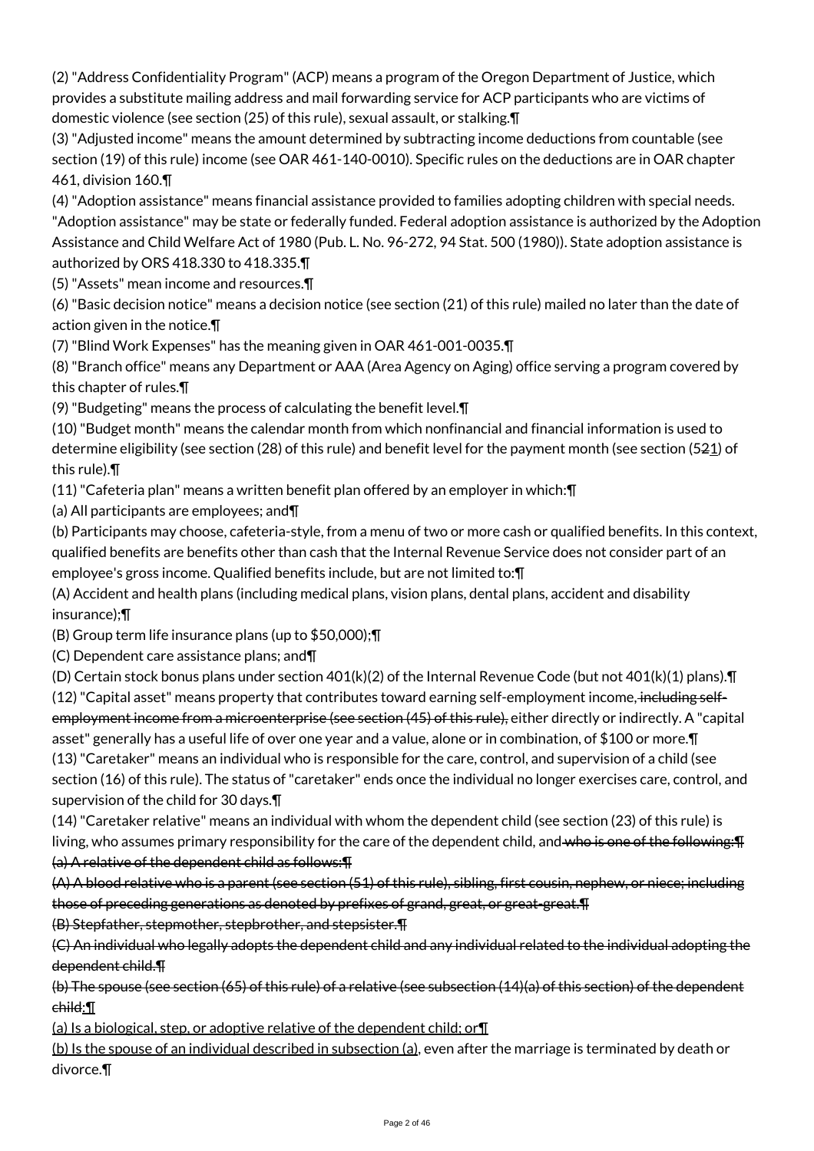(2) "Address Confidentiality Program" (ACP) means a program of the Oregon Department of Justice, which provides a substitute mailing address and mail forwarding service for ACP participants who are victims of domestic violence (see section (25) of this rule), sexual assault, or stalking.¶

(3) "Adjusted income" means the amount determined by subtracting income deductions from countable (see section (19) of this rule) income (see OAR 461-140-0010). Specific rules on the deductions are in OAR chapter 461, division 160.¶

(4) "Adoption assistance" means financial assistance provided to families adopting children with special needs. "Adoption assistance" may be state or federally funded. Federal adoption assistance is authorized by the Adoption Assistance and Child Welfare Act of 1980 (Pub. L. No. 96-272, 94 Stat. 500 (1980)). State adoption assistance is authorized by ORS 418.330 to 418.335.¶

(5) "Assets" mean income and resources.¶

(6) "Basic decision notice" means a decision notice (see section (21) of this rule) mailed no later than the date of action given in the notice.¶

(7) "Blind Work Expenses" has the meaning given in OAR 461-001-0035.¶

(8) "Branch office" means any Department or AAA (Area Agency on Aging) office serving a program covered by this chapter of rules.¶

(9) "Budgeting" means the process of calculating the benefit level.¶

(10) "Budget month" means the calendar month from which nonfinancial and financial information is used to determine eligibility (see section (28) of this rule) and benefit level for the payment month (see section (521) of this rule).¶

(11) "Cafeteria plan" means a written benefit plan offered by an employer in which:¶

(a) All participants are employees; and¶

(b) Participants may choose, cafeteria-style, from a menu of two or more cash or qualified benefits. In this context, qualified benefits are benefits other than cash that the Internal Revenue Service does not consider part of an employee's gross income. Qualified benefits include, but are not limited to:¶

(A) Accident and health plans (including medical plans, vision plans, dental plans, accident and disability insurance);¶

(B) Group term life insurance plans (up to \$50,000);¶

(C) Dependent care assistance plans; and¶

(D) Certain stock bonus plans under section 401(k)(2) of the Internal Revenue Code (but not 401(k)(1) plans).¶

(12) "Capital asset" means property that contributes toward earning self-employment income, including selfemployment income from a microenterprise (see section (45) of this rule), either directly or indirectly. A "capital asset" generally has a useful life of over one year and a value, alone or in combination, of \$100 or more.¶ (13) "Caretaker" means an individual who is responsible for the care, control, and supervision of a child (see section (16) of this rule). The status of "caretaker" ends once the individual no longer exercises care, control, and supervision of the child for 30 days.¶

(14) "Caretaker relative" means an individual with whom the dependent child (see section (23) of this rule) is living, who assumes primary responsibility for the care of the dependent child, and who is one of the following: F (a) A relative of the dependent child as follows:¶

(A) A blood relative who is a parent (see section (51) of this rule), sibling, first cousin, nephew, or niece; including those of preceding generations as denoted by prefixes of grand, great, or great-great.¶

(B) Stepfather, stepmother, stepbrother, and stepsister.¶

(C) An individual who legally adopts the dependent child and any individual related to the individual adopting the dependent child.¶

(b) The spouse (see section (65) of this rule) of a relative (see subsection (14)(a) of this section) of the dependent child:¶

(a) Is a biological, step, or adoptive relative of the dependent child; or¶

(b) Is the spouse of an individual described in subsection (a), even after the marriage is terminated by death or divorce.¶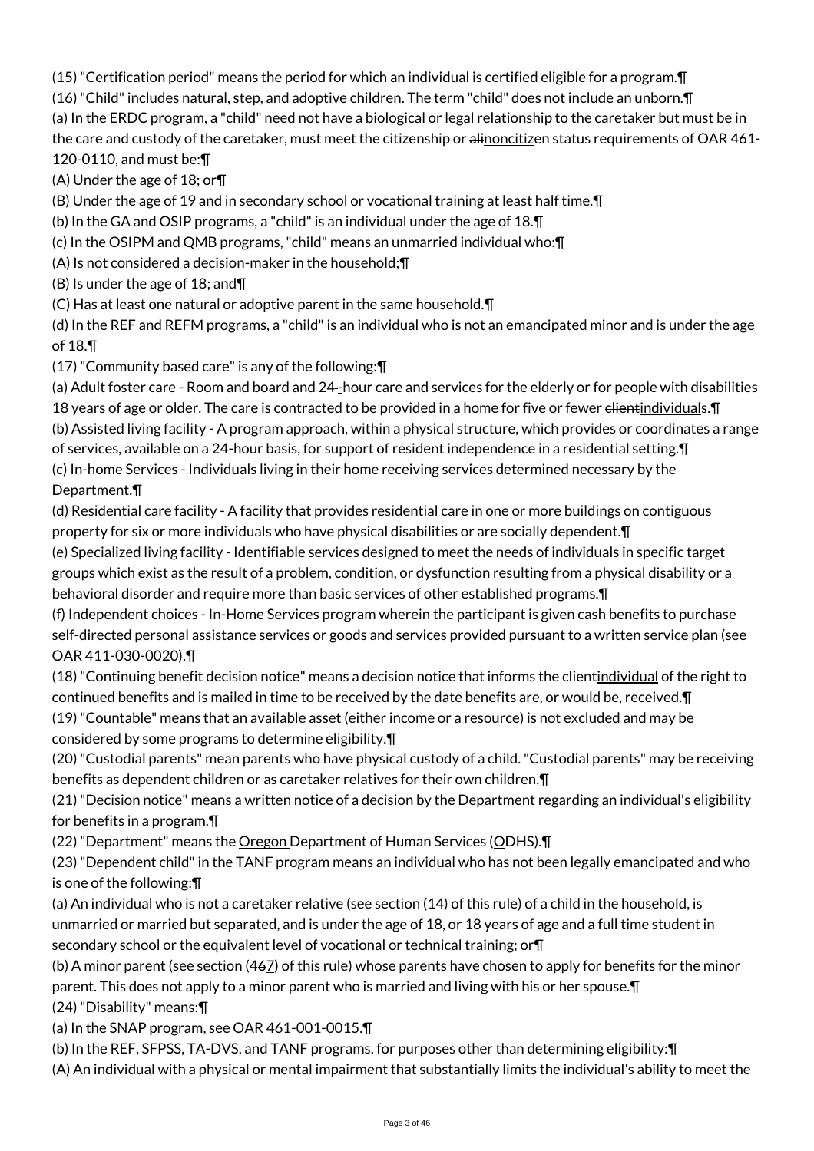(15) "Certification period" means the period for which an individual is certified eligible for a program.¶

(16) "Child" includes natural, step, and adoptive children. The term "child" does not include an unborn.¶

(a) In the ERDC program, a "child" need not have a biological or legal relationship to the caretaker but must be in the care and custody of the caretaker, must meet the citizenship or alinoncitizen status requirements of OAR 461-120-0110, and must be:¶

(A) Under the age of 18; or¶

(B) Under the age of 19 and in secondary school or vocational training at least half time.¶

(b) In the GA and OSIP programs, a "child" is an individual under the age of 18.¶

(c) In the OSIPM and QMB programs, "child" means an unmarried individual who:¶

(A) Is not considered a decision-maker in the household;¶

(B) Is under the age of 18; and¶

(C) Has at least one natural or adoptive parent in the same household.¶

(d) In the REF and REFM programs, a "child" is an individual who is not an emancipated minor and is under the age of 18.¶

(17) "Community based care" is any of the following:¶

(a) Adult foster care - Room and board and 24-hour care and services for the elderly or for people with disabilities 18 years of age or older. The care is contracted to be provided in a home for five or fewer <del>client</del>individuals. **[**] (b) Assisted living facility - A program approach, within a physical structure, which provides or coordinates a range of services, available on a 24-hour basis, for support of resident independence in a residential setting.¶ (c) In-home Services - Individuals living in their home receiving services determined necessary by the

Department.¶

(d) Residential care facility - A facility that provides residential care in one or more buildings on contiguous property for six or more individuals who have physical disabilities or are socially dependent.¶

(e) Specialized living facility - Identifiable services designed to meet the needs of individuals in specific target groups which exist as the result of a problem, condition, or dysfunction resulting from a physical disability or a behavioral disorder and require more than basic services of other established programs.¶

(f) Independent choices - In-Home Services program wherein the participant is given cash benefits to purchase self-directed personal assistance services or goods and services provided pursuant to a written service plan (see OAR 411-030-0020).¶

(18) "Continuing benefit decision notice" means a decision notice that informs the clientindividual of the right to continued benefits and is mailed in time to be received by the date benefits are, or would be, received.¶

(19) "Countable" means that an available asset (either income or a resource) is not excluded and may be considered by some programs to determine eligibility.¶

(20) "Custodial parents" mean parents who have physical custody of a child. "Custodial parents" may be receiving benefits as dependent children or as caretaker relatives for their own children.¶

(21) "Decision notice" means a written notice of a decision by the Department regarding an individual's eligibility for benefits in a program.¶

(22) "Department" means the Oregon Department of Human Services (ODHS).¶

(23) "Dependent child" in the TANF program means an individual who has not been legally emancipated and who is one of the following:¶

(a) An individual who is not a caretaker relative (see section (14) of this rule) of a child in the household, is unmarried or married but separated, and is under the age of 18, or 18 years of age and a full time student in secondary school or the equivalent level of vocational or technical training; or $\P$ 

(b) A minor parent (see section (467) of this rule) whose parents have chosen to apply for benefits for the minor parent. This does not apply to a minor parent who is married and living with his or her spouse.¶ (24) "Disability" means:¶

(a) In the SNAP program, see OAR 461-001-0015.¶

(b) In the REF, SFPSS, TA-DVS, and TANF programs, for purposes other than determining eligibility:¶

(A) An individual with a physical or mental impairment that substantially limits the individual's ability to meet the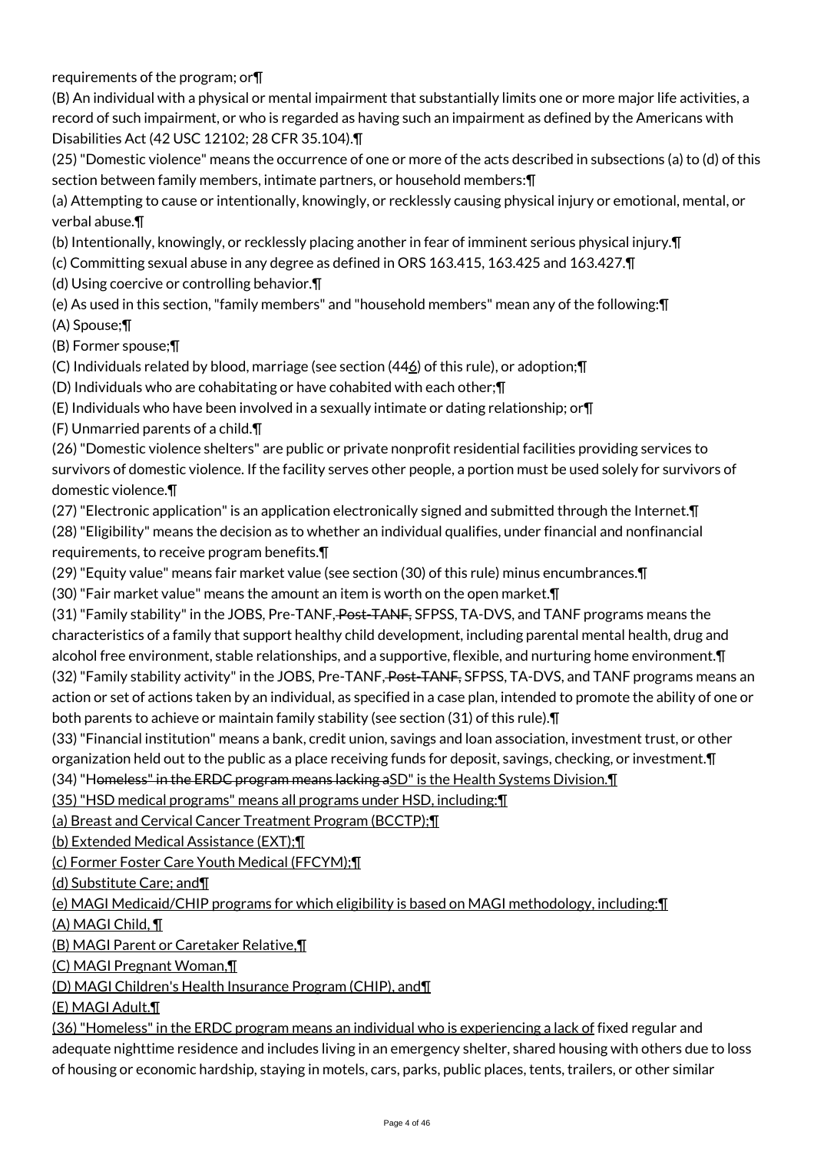requirements of the program; or¶

(B) An individual with a physical or mental impairment that substantially limits one or more major life activities, a record of such impairment, or who is regarded as having such an impairment as defined by the Americans with Disabilities Act (42 USC 12102; 28 CFR 35.104).¶

(25) "Domestic violence" means the occurrence of one or more of the acts described in subsections (a) to (d) of this section between family members, intimate partners, or household members:¶

(a) Attempting to cause or intentionally, knowingly, or recklessly causing physical injury or emotional, mental, or verbal abuse.¶

(b) Intentionally, knowingly, or recklessly placing another in fear of imminent serious physical injury.¶

(c) Committing sexual abuse in any degree as defined in ORS 163.415, 163.425 and 163.427.¶

(d) Using coercive or controlling behavior.¶

(e) As used in this section, "family members" and "household members" mean any of the following:¶ (A) Spouse;¶

(B) Former spouse;¶

(C) Individuals related by blood, marriage (see section (446) of this rule), or adoption;¶

(D) Individuals who are cohabitating or have cohabited with each other;¶

(E) Individuals who have been involved in a sexually intimate or dating relationship; or¶

(F) Unmarried parents of a child.¶

(26) "Domestic violence shelters" are public or private nonprofit residential facilities providing services to survivors of domestic violence. If the facility serves other people, a portion must be used solely for survivors of domestic violence.¶

(27) "Electronic application" is an application electronically signed and submitted through the Internet.¶

(28) "Eligibility" means the decision as to whether an individual qualifies, under financial and nonfinancial requirements, to receive program benefits.¶

(29) "Equity value" means fair market value (see section (30) of this rule) minus encumbrances.¶

(30) "Fair market value" means the amount an item is worth on the open market.¶

(31) "Family stability" in the JOBS, Pre-TANF, Post-TANF, SFPSS, TA-DVS, and TANF programs means the characteristics of a family that support healthy child development, including parental mental health, drug and alcohol free environment, stable relationships, and a supportive, flexible, and nurturing home environment. I (32) "Family stability activity" in the JOBS, Pre-TANF, Post-TANF, SFPSS, TA-DVS, and TANF programs means an action or set of actions taken by an individual, as specified in a case plan, intended to promote the ability of one or both parents to achieve or maintain family stability (see section (31) of this rule).¶

(33) "Financial institution" means a bank, credit union, savings and loan association, investment trust, or other organization held out to the public as a place receiving funds for deposit, savings, checking, or investment.¶

(34) "Homeless" in the ERDC program means lacking aSD" is the Health Systems Division.¶

(35) "HSD medical programs" means all programs under HSD, including:¶

(a) Breast and Cervical Cancer Treatment Program (BCCTP);¶

(b) Extended Medical Assistance (EXT);¶

(c) Former Foster Care Youth Medical (FFCYM);¶

(d) Substitute Care; and¶

# (e) MAGI Medicaid/CHIP programs for which eligibility is based on MAGI methodology, including:¶

(A) MAGI Child, ¶

(B) MAGI Parent or Caretaker Relative,¶

(C) MAGI Pregnant Woman,¶

(D) MAGI Children's Health Insurance Program (CHIP), and¶

(E) MAGI Adult.¶

(36) "Homeless" in the ERDC program means an individual who is experiencing a lack of fixed regular and adequate nighttime residence and includes living in an emergency shelter, shared housing with others due to loss of housing or economic hardship, staying in motels, cars, parks, public places, tents, trailers, or other similar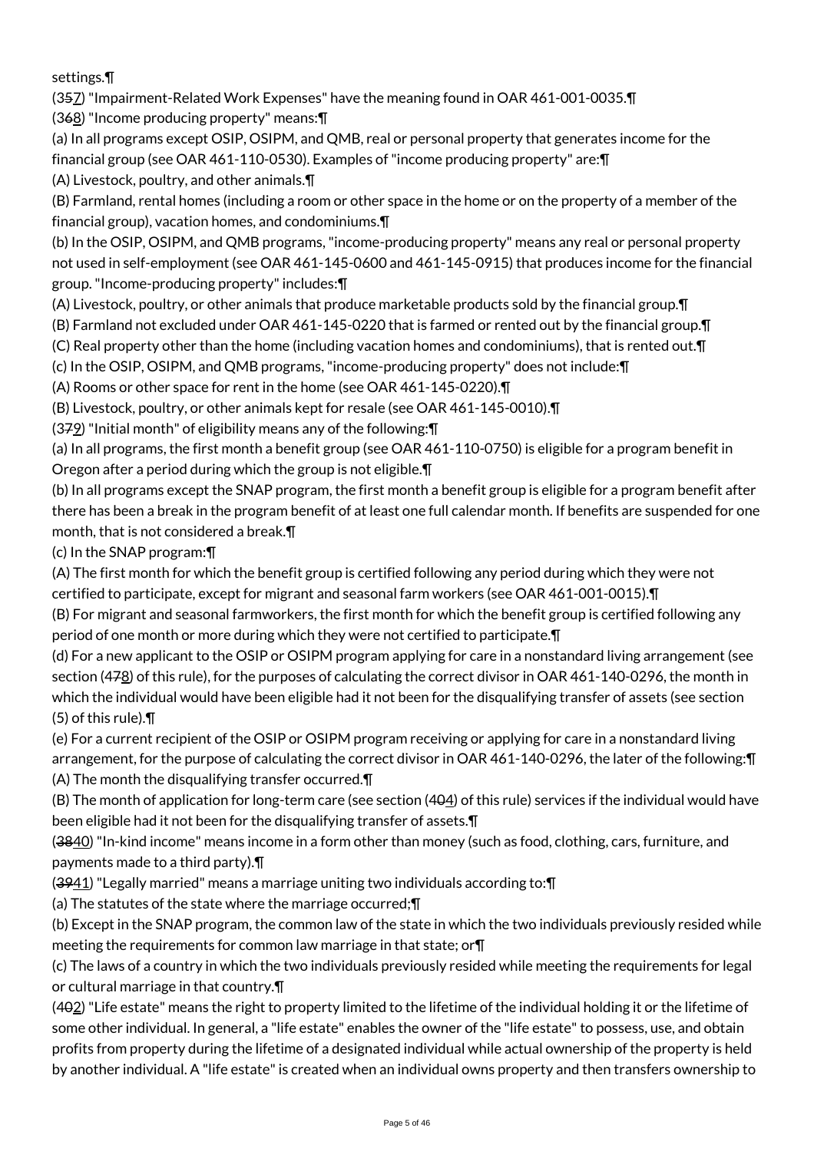settings.¶

(357) "Impairment-Related Work Expenses" have the meaning found in OAR 461-001-0035.¶

(368) "Income producing property" means:¶

(a) In all programs except OSIP, OSIPM, and QMB, real or personal property that generates income for the financial group (see OAR 461-110-0530). Examples of "income producing property" are:¶

(A) Livestock, poultry, and other animals.¶

(B) Farmland, rental homes (including a room or other space in the home or on the property of a member of the financial group), vacation homes, and condominiums.¶

(b) In the OSIP, OSIPM, and QMB programs, "income-producing property" means any real or personal property not used in self-employment (see OAR 461-145-0600 and 461-145-0915) that produces income for the financial group. "Income-producing property" includes:¶

(A) Livestock, poultry, or other animals that produce marketable products sold by the financial group.¶

(B) Farmland not excluded under OAR 461-145-0220 that is farmed or rented out by the financial group.¶

(C) Real property other than the home (including vacation homes and condominiums), that is rented out.¶

(c) In the OSIP, OSIPM, and QMB programs, "income-producing property" does not include:¶

(A) Rooms or other space for rent in the home (see OAR 461-145-0220).¶

(B) Livestock, poultry, or other animals kept for resale (see OAR 461-145-0010).¶

(379) "Initial month" of eligibility means any of the following:¶

(a) In all programs, the first month a benefit group (see OAR 461-110-0750) is eligible for a program benefit in Oregon after a period during which the group is not eligible.¶

(b) In all programs except the SNAP program, the first month a benefit group is eligible for a program benefit after there has been a break in the program benefit of at least one full calendar month. If benefits are suspended for one month, that is not considered a break.¶

(c) In the SNAP program:¶

(A) The first month for which the benefit group is certified following any period during which they were not certified to participate, except for migrant and seasonal farm workers (see OAR 461-001-0015).¶

(B) For migrant and seasonal farmworkers, the first month for which the benefit group is certified following any period of one month or more during which they were not certified to participate.¶

(d) For a new applicant to the OSIP or OSIPM program applying for care in a nonstandard living arrangement (see section (478) of this rule), for the purposes of calculating the correct divisor in OAR 461-140-0296, the month in which the individual would have been eligible had it not been for the disqualifying transfer of assets (see section (5) of this rule).¶

(e) For a current recipient of the OSIP or OSIPM program receiving or applying for care in a nonstandard living arrangement, for the purpose of calculating the correct divisor in OAR 461-140-0296, the later of the following:¶ (A) The month the disqualifying transfer occurred.¶

(B) The month of application for long-term care (see section (404) of this rule) services if the individual would have been eligible had it not been for the disqualifying transfer of assets.¶

(3840) "In-kind income" means income in a form other than money (such as food, clothing, cars, furniture, and payments made to a third party).¶

 $(3941)$  "Legally married" means a marriage uniting two individuals according to:  $\P$ 

(a) The statutes of the state where the marriage occurred;¶

(b) Except in the SNAP program, the common law of the state in which the two individuals previously resided while meeting the requirements for common law marriage in that state; or¶

(c) The laws of a country in which the two individuals previously resided while meeting the requirements for legal or cultural marriage in that country.¶

 $(492)$  "Life estate" means the right to property limited to the lifetime of the individual holding it or the lifetime of some other individual. In general, a "life estate" enables the owner of the "life estate" to possess, use, and obtain profits from property during the lifetime of a designated individual while actual ownership of the property is held by another individual. A "life estate" is created when an individual owns property and then transfers ownership to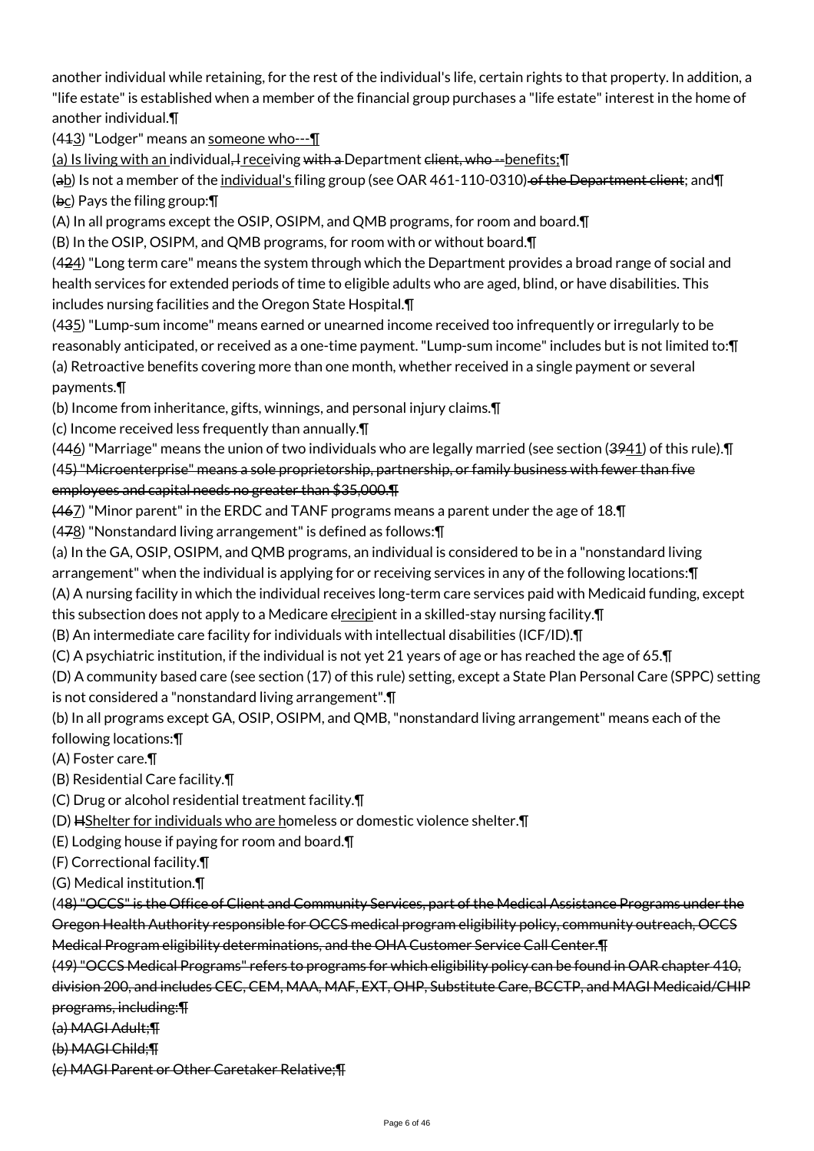another individual while retaining, for the rest of the individual's life, certain rights to that property. In addition, a "life estate" is established when a member of the financial group purchases a "life estate" interest in the home of another individual.¶

(443) "Lodger" means an someone who---1

(a) Is living with an individual, receiving with a Department client, who --benefits;  $\P$ 

(ab) Is not a member of the individual's filing group (see OAR 461-110-0310) of the Department client; and II (bc) Pays the filing group:¶

(A) In all programs except the OSIP, OSIPM, and QMB programs, for room and board.¶

(B) In the OSIP, OSIPM, and QMB programs, for room with or without board.¶

(424) "Long term care" means the system through which the Department provides a broad range of social and health services for extended periods of time to eligible adults who are aged, blind, or have disabilities. This includes nursing facilities and the Oregon State Hospital.¶

(435) "Lump-sum income" means earned or unearned income received too infrequently or irregularly to be reasonably anticipated, or received as a one-time payment. "Lump-sum income" includes but is not limited to:¶ (a) Retroactive benefits covering more than one month, whether received in a single payment or several payments.¶

(b) Income from inheritance, gifts, winnings, and personal injury claims.¶

(c) Income received less frequently than annually.¶

 $(446)$  "Marriage" means the union of two individuals who are legally married (see section  $(3941)$  of this rule). $\P$ (45) "Microenterprise" means a sole proprietorship, partnership, or family business with fewer than five employees and capital needs no greater than \$35,000.¶

(467) "Minor parent" in the ERDC and TANF programs means a parent under the age of 18.¶

(478) "Nonstandard living arrangement" is defined as follows:¶

(a) In the GA, OSIP, OSIPM, and QMB programs, an individual is considered to be in a "nonstandard living

arrangement" when the individual is applying for or receiving services in any of the following locations:¶

(A) A nursing facility in which the individual receives long-term care services paid with Medicaid funding, except

this subsection does not apply to a Medicare elrecipient in a skilled-stay nursing facility. T

(B) An intermediate care facility for individuals with intellectual disabilities (ICF/ID).¶

(C) A psychiatric institution, if the individual is not yet 21 years of age or has reached the age of 65.¶

(D) A community based care (see section (17) of this rule) setting, except a State Plan Personal Care (SPPC) setting is not considered a "nonstandard living arrangement".¶

(b) In all programs except GA, OSIP, OSIPM, and QMB, "nonstandard living arrangement" means each of the following locations:¶

(A) Foster care.¶

(B) Residential Care facility.¶

(C) Drug or alcohol residential treatment facility.¶

(D) HShelter for individuals who are homeless or domestic violence shelter.¶

(E) Lodging house if paying for room and board.¶

(F) Correctional facility.¶

(G) Medical institution.¶

(48) "OCCS" is the Office of Client and Community Services, part of the Medical Assistance Programs under the Oregon Health Authority responsible for OCCS medical program eligibility policy, community outreach, OCCS Medical Program eligibility determinations, and the OHA Customer Service Call Center.¶

(49) "OCCS Medical Programs" refers to programs for which eligibility policy can be found in OAR chapter 410, division 200, and includes CEC, CEM, MAA, MAF, EXT, OHP, Substitute Care, BCCTP, and MAGI Medicaid/CHIP programs, including:¶

(a) MAGI Adult;¶

(b) MAGI Child;¶

(c) MAGI Parent or Other Caretaker Relative;¶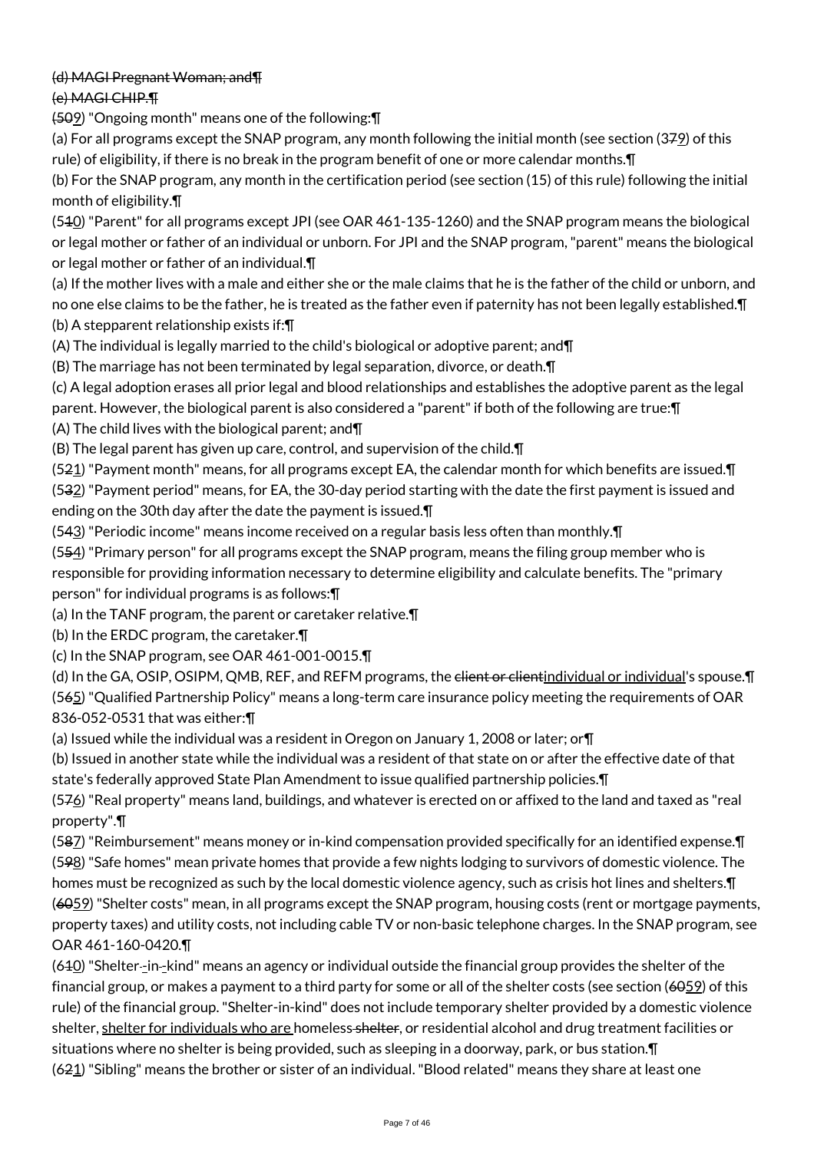# (d) MAGI Pregnant Woman; and¶

(e) MAGI CHIP.¶

(509) "Ongoing month" means one of the following:¶

(a) For all programs except the SNAP program, any month following the initial month (see section (379) of this rule) of eligibility, if there is no break in the program benefit of one or more calendar months.¶

(b) For the SNAP program, any month in the certification period (see section (15) of this rule) following the initial month of eligibility.¶

(510) "Parent" for all programs except JPI (see OAR 461-135-1260) and the SNAP program means the biological or legal mother or father of an individual or unborn. For JPI and the SNAP program, "parent" means the biological or legal mother or father of an individual.¶

(a) If the mother lives with a male and either she or the male claims that he is the father of the child or unborn, and no one else claims to be the father, he is treated as the father even if paternity has not been legally established.¶ (b) A stepparent relationship exists if:¶

(A) The individual is legally married to the child's biological or adoptive parent; and¶

(B) The marriage has not been terminated by legal separation, divorce, or death.¶

(c) A legal adoption erases all prior legal and blood relationships and establishes the adoptive parent as the legal parent. However, the biological parent is also considered a "parent" if both of the following are true:¶ (A) The child lives with the biological parent; and¶

(B) The legal parent has given up care, control, and supervision of the child.¶

(521) "Payment month" means, for all programs except EA, the calendar month for which benefits are issued. $\P$  $(532)$  "Payment period" means, for EA, the 30-day period starting with the date the first payment is issued and ending on the 30th day after the date the payment is issued.¶

(543) "Periodic income" means income received on a regular basis less often than monthly.¶

(554) "Primary person" for all programs except the SNAP program, means the filing group member who is responsible for providing information necessary to determine eligibility and calculate benefits. The "primary person" for individual programs is as follows:¶

(a) In the TANF program, the parent or caretaker relative.¶

(b) In the ERDC program, the caretaker.¶

(c) In the SNAP program, see OAR 461-001-0015.¶

(d) In the GA, OSIP, OSIPM, QMB, REF, and REFM programs, the <del>client or client</del>individual or individual's spouse. [1] (565) "Qualified Partnership Policy" means a long-term care insurance policy meeting the requirements of OAR 836-052-0531 that was either:¶

(a) Issued while the individual was a resident in Oregon on January 1, 2008 or later; or¶

(b) Issued in another state while the individual was a resident of that state on or after the effective date of that state's federally approved State Plan Amendment to issue qualified partnership policies.¶

(576) "Real property" means land, buildings, and whatever is erected on or affixed to the land and taxed as "real property".¶

(587) "Reimbursement" means money or in-kind compensation provided specifically for an identified expense.¶ (598) "Safe homes" mean private homes that provide a few nights lodging to survivors of domestic violence. The homes must be recognized as such by the local domestic violence agency, such as crisis hot lines and shelters.¶ (6059) "Shelter costs" mean, in all programs except the SNAP program, housing costs (rent or mortgage payments, property taxes) and utility costs, not including cable TV or non-basic telephone charges. In the SNAP program, see OAR 461-160-0420.¶

(610) "Shelter -in -kind" means an agency or individual outside the financial group provides the shelter of the financial group, or makes a payment to a third party for some or all of the shelter costs (see section (6059) of this rule) of the financial group. "Shelter-in-kind" does not include temporary shelter provided by a domestic violence shelter, shelter for individuals who are homeless-shelter, or residential alcohol and drug treatment facilities or situations where no shelter is being provided, such as sleeping in a doorway, park, or bus station.¶  $(621)$  "Sibling" means the brother or sister of an individual. "Blood related" means they share at least one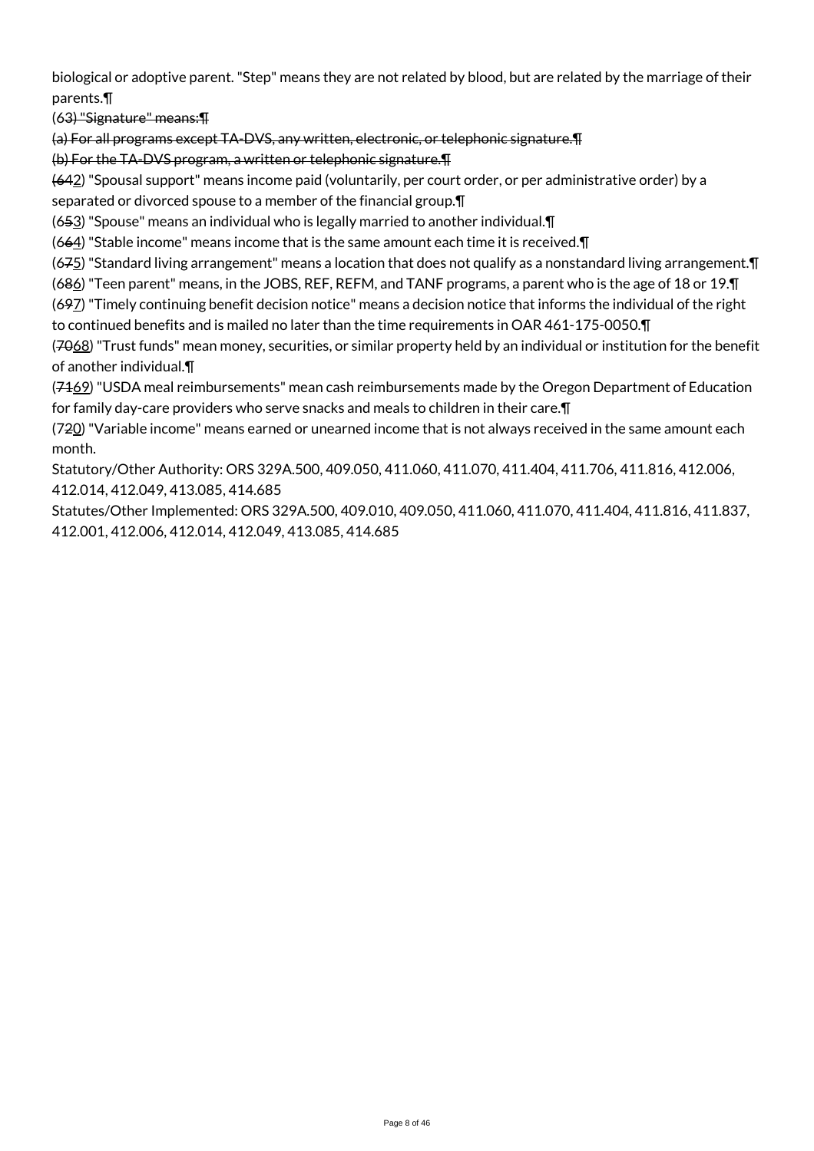biological or adoptive parent. "Step" means they are not related by blood, but are related by the marriage of their parents.¶

(63) "Signature" means:¶

(a) For all programs except TA-DVS, any written, electronic, or telephonic signature.¶

(b) For the TA-DVS program, a written or telephonic signature.¶

(642) "Spousal support" means income paid (voluntarily, per court order, or per administrative order) by a separated or divorced spouse to a member of the financial group.¶

(653) "Spouse" means an individual who is legally married to another individual.¶

(664) "Stable income" means income that is the same amount each time it is received.¶

 $(675)$  "Standard living arrangement" means a location that does not qualify as a nonstandard living arrangement.  $\P$ 

(686) "Teen parent" means, in the JOBS, REF, REFM, and TANF programs, a parent who is the age of 18 or 19.¶

(697) "Timely continuing benefit decision notice" means a decision notice that informs the individual of the right to continued benefits and is mailed no later than the time requirements in OAR 461-175-0050.¶

(7068) "Trust funds" mean money, securities, or similar property held by an individual or institution for the benefit of another individual.¶

 $(7469)$  "USDA meal reimbursements" mean cash reimbursements made by the Oregon Department of Education for family day-care providers who serve snacks and meals to children in their care.¶

(720) "Variable income" means earned or unearned income that is not always received in the same amount each month.

Statutory/Other Authority: ORS 329A.500, 409.050, 411.060, 411.070, 411.404, 411.706, 411.816, 412.006, 412.014, 412.049, 413.085, 414.685

Statutes/Other Implemented: ORS 329A.500, 409.010, 409.050, 411.060, 411.070, 411.404, 411.816, 411.837, 412.001, 412.006, 412.014, 412.049, 413.085, 414.685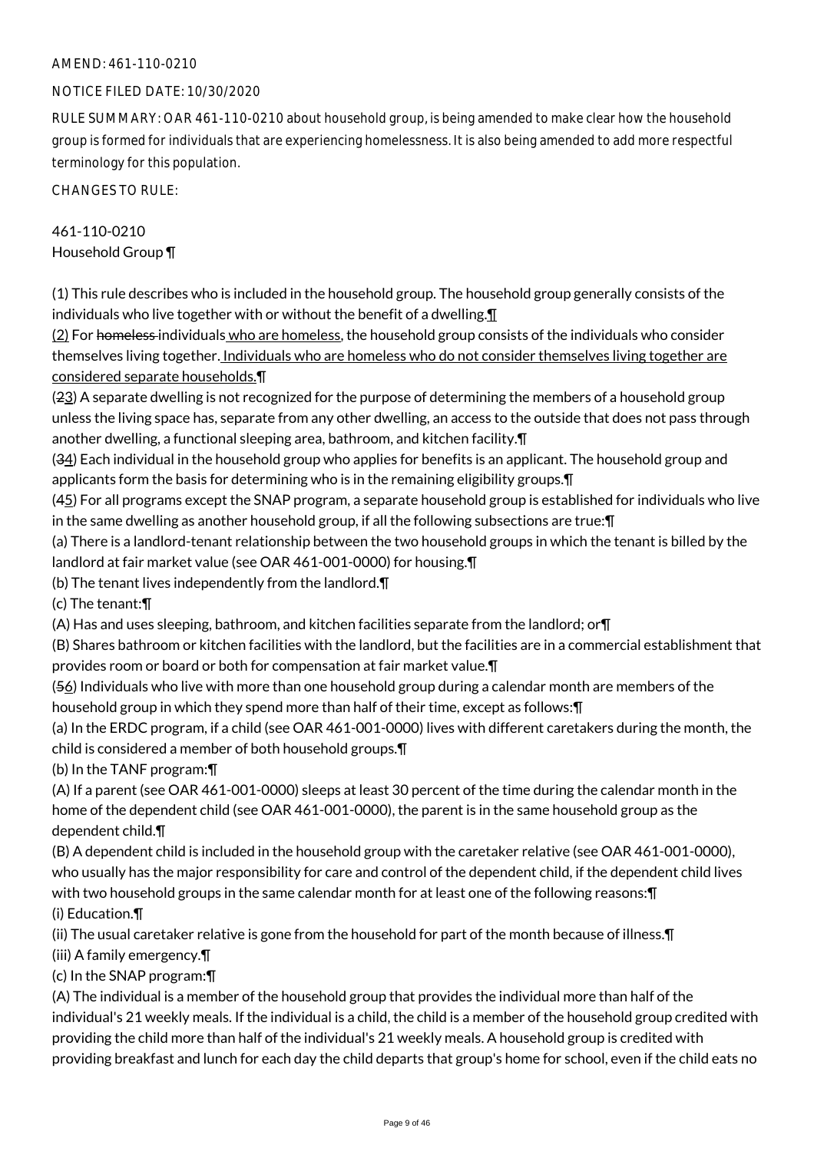## AMEND: 461-110-0210

#### NOTICE FILED DATE: 10/30/2020

RULE SUMMARY: OAR 461-110-0210 about household group, is being amended to make clear how the household group is formed for individuals that are experiencing homelessness. It is also being amended to add more respectful terminology for this population.

CHANGES TO RULE:

# 461-110-0210 Household Group ¶

(1) This rule describes who is included in the household group. The household group generally consists of the individuals who live together with or without the benefit of a dwelling.¶

(2) For homeless individuals who are homeless, the household group consists of the individuals who consider themselves living together. Individuals who are homeless who do not consider themselves living together are considered separate households.¶

(23) A separate dwelling is not recognized for the purpose of determining the members of a household group unless the living space has, separate from any other dwelling, an access to the outside that does not pass through another dwelling, a functional sleeping area, bathroom, and kitchen facility.¶

(34) Each individual in the household group who applies for benefits is an applicant. The household group and applicants form the basis for determining who is in the remaining eligibility groups.¶

(45) For all programs except the SNAP program, a separate household group is established for individuals who live in the same dwelling as another household group, if all the following subsections are true:¶

(a) There is a landlord-tenant relationship between the two household groups in which the tenant is billed by the landlord at fair market value (see OAR 461-001-0000) for housing.¶

(b) The tenant lives independently from the landlord.¶

(c) The tenant:¶

(A) Has and uses sleeping, bathroom, and kitchen facilities separate from the landlord; or¶

(B) Shares bathroom or kitchen facilities with the landlord, but the facilities are in a commercial establishment that provides room or board or both for compensation at fair market value.¶

(56) Individuals who live with more than one household group during a calendar month are members of the household group in which they spend more than half of their time, except as follows:¶

(a) In the ERDC program, if a child (see OAR 461-001-0000) lives with different caretakers during the month, the child is considered a member of both household groups.¶

(b) In the TANF program:¶

(A) If a parent (see OAR 461-001-0000) sleeps at least 30 percent of the time during the calendar month in the home of the dependent child (see OAR 461-001-0000), the parent is in the same household group as the dependent child.¶

(B) A dependent child is included in the household group with the caretaker relative (see OAR 461-001-0000), who usually has the major responsibility for care and control of the dependent child, if the dependent child lives with two household groups in the same calendar month for at least one of the following reasons:¶ (i) Education.¶

(ii) The usual caretaker relative is gone from the household for part of the month because of illness.¶

(iii) A family emergency.¶

(c) In the SNAP program:¶

(A) The individual is a member of the household group that provides the individual more than half of the individual's 21 weekly meals. If the individual is a child, the child is a member of the household group credited with providing the child more than half of the individual's 21 weekly meals. A household group is credited with providing breakfast and lunch for each day the child departs that group's home for school, even if the child eats no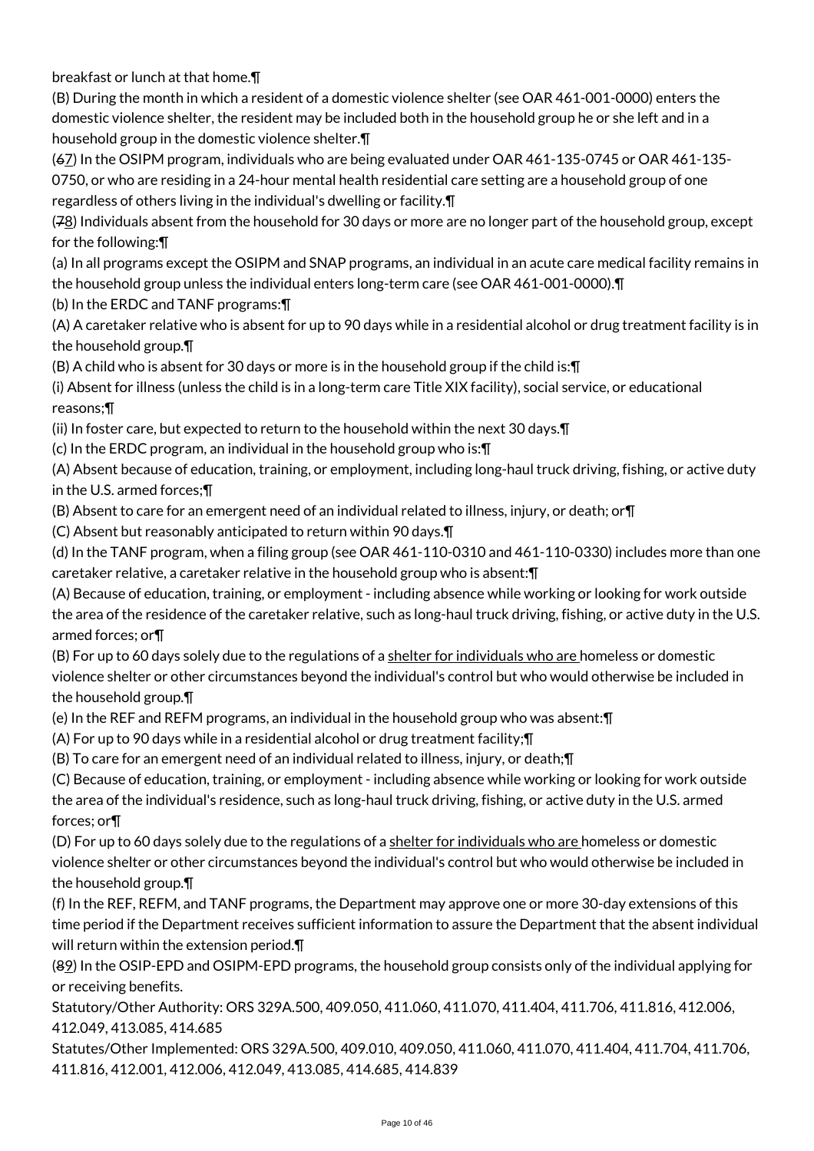breakfast or lunch at that home.¶

(B) During the month in which a resident of a domestic violence shelter (see OAR 461-001-0000) enters the domestic violence shelter, the resident may be included both in the household group he or she left and in a household group in the domestic violence shelter.¶

(67) In the OSIPM program, individuals who are being evaluated under OAR 461-135-0745 or OAR 461-135- 0750, or who are residing in a 24-hour mental health residential care setting are a household group of one regardless of others living in the individual's dwelling or facility.¶

(78) Individuals absent from the household for 30 days or more are no longer part of the household group, except for the following:¶

(a) In all programs except the OSIPM and SNAP programs, an individual in an acute care medical facility remains in the household group unless the individual enters long-term care (see OAR 461-001-0000).¶

(b) In the ERDC and TANF programs:¶

(A) A caretaker relative who is absent for up to 90 days while in a residential alcohol or drug treatment facility is in the household group.¶

(B) A child who is absent for 30 days or more is in the household group if the child is:¶

(i) Absent for illness (unless the child is in a long-term care Title XIX facility), social service, or educational reasons;¶

(ii) In foster care, but expected to return to the household within the next 30 days.¶

(c) In the ERDC program, an individual in the household group who is:¶

(A) Absent because of education, training, or employment, including long-haul truck driving, fishing, or active duty in the U.S. armed forces;¶

(B) Absent to care for an emergent need of an individual related to illness, injury, or death; or¶

(C) Absent but reasonably anticipated to return within 90 days.¶

(d) In the TANF program, when a filing group (see OAR 461-110-0310 and 461-110-0330) includes more than one caretaker relative, a caretaker relative in the household group who is absent:¶

(A) Because of education, training, or employment - including absence while working or looking for work outside the area of the residence of the caretaker relative, such as long-haul truck driving, fishing, or active duty in the U.S. armed forces; or¶

(B) For up to 60 days solely due to the regulations of a shelter for individuals who are homeless or domestic violence shelter or other circumstances beyond the individual's control but who would otherwise be included in the household group.¶

(e) In the REF and REFM programs, an individual in the household group who was absent:¶

(A) For up to 90 days while in a residential alcohol or drug treatment facility;¶

(B) To care for an emergent need of an individual related to illness, injury, or death;¶

(C) Because of education, training, or employment - including absence while working or looking for work outside the area of the individual's residence, such as long-haul truck driving, fishing, or active duty in the U.S. armed forces; or¶

(D) For up to 60 days solely due to the regulations of a shelter for individuals who are homeless or domestic violence shelter or other circumstances beyond the individual's control but who would otherwise be included in the household group.¶

(f) In the REF, REFM, and TANF programs, the Department may approve one or more 30-day extensions of this time period if the Department receives sufficient information to assure the Department that the absent individual will return within the extension period.¶

(89) In the OSIP-EPD and OSIPM-EPD programs, the household group consists only of the individual applying for or receiving benefits.

Statutory/Other Authority: ORS 329A.500, 409.050, 411.060, 411.070, 411.404, 411.706, 411.816, 412.006, 412.049, 413.085, 414.685

Statutes/Other Implemented: ORS 329A.500, 409.010, 409.050, 411.060, 411.070, 411.404, 411.704, 411.706, 411.816, 412.001, 412.006, 412.049, 413.085, 414.685, 414.839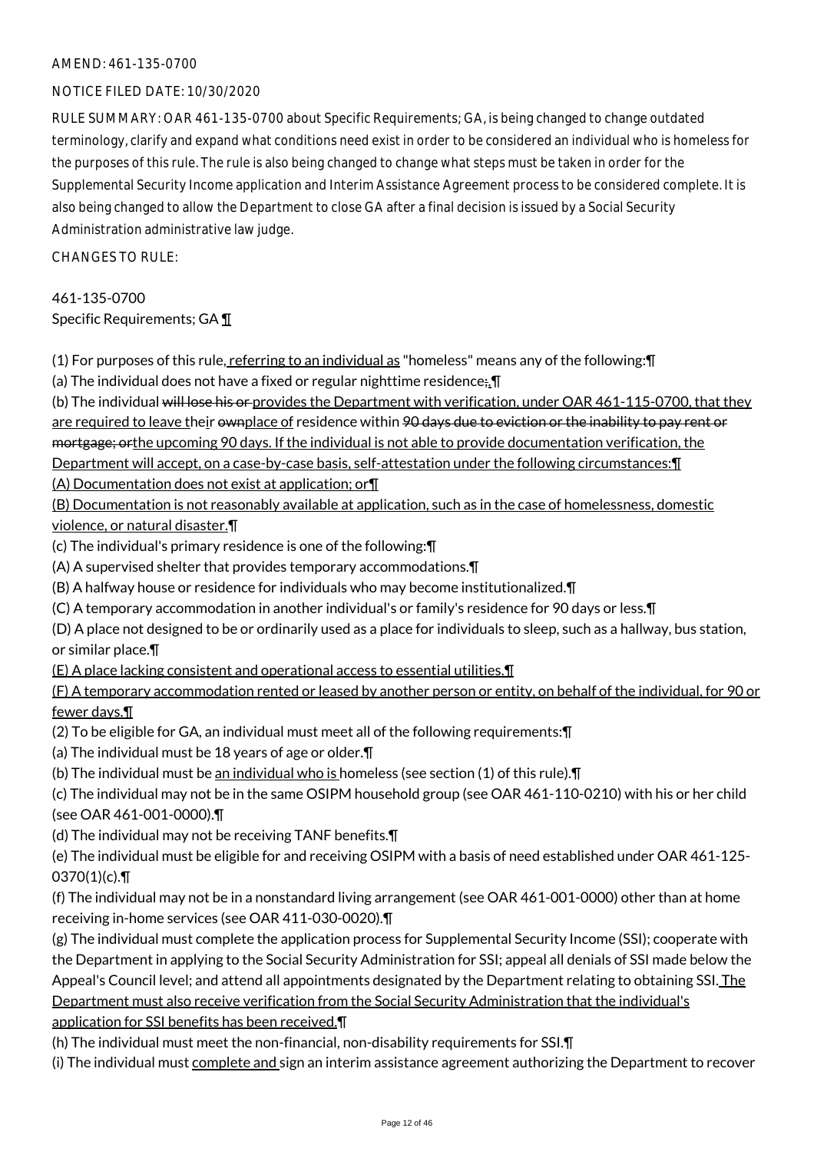#### AMEND: 461-135-0700

#### NOTICE FILED DATE: 10/30/2020

RULE SUMMARY: OAR 461-135-0700 about Specific Requirements; GA, is being changed to change outdated terminology, clarify and expand what conditions need exist in order to be considered an individual who is homeless for the purposes of this rule. The rule is also being changed to change what steps must be taken in order for the Supplemental Security Income application and Interim Assistance Agreement process to be considered complete. It is also being changed to allow the Department to close GA after a final decision is issued by a Social Security Administration administrative law judge.

CHANGES TO RULE:

461-135-0700 Specific Requirements; GA ¶

(1) For purposes of this rule, referring to an individual as "homeless" means any of the following:¶

(a) The individual does not have a fixed or regular nighttime residence<sub></sub>;  $\P$ 

(b) The individual will lose his or provides the Department with verification, under OAR 461-115-0700, that they are required to leave their ownplace of residence within 90 days due to eviction or the inability to pay rent or mortgage; orthe upcoming 90 days. If the individual is not able to provide documentation verification, the Department will accept, on a case-by-case basis, self-attestation under the following circumstances:¶

(A) Documentation does not exist at application; or¶

(B) Documentation is not reasonably available at application, such as in the case of homelessness, domestic violence, or natural disaster.¶

(c) The individual's primary residence is one of the following:¶

(A) A supervised shelter that provides temporary accommodations.¶

(B) A halfway house or residence for individuals who may become institutionalized.¶

(C) A temporary accommodation in another individual's or family's residence for 90 days or less.¶

(D) A place not designed to be or ordinarily used as a place for individuals to sleep, such as a hallway, bus station, or similar place.¶

(E) A place lacking consistent and operational access to essential utilities.¶

(F) A temporary accommodation rented or leased by another person or entity, on behalf of the individual, for 90 or fewer days.¶

(2) To be eligible for GA, an individual must meet all of the following requirements:¶

(a) The individual must be 18 years of age or older.¶

(b) The individual must be an individual who is homeless (see section (1) of this rule).¶

(c) The individual may not be in the same OSIPM household group (see OAR 461-110-0210) with his or her child (see OAR 461-001-0000).¶

(d) The individual may not be receiving TANF benefits.¶

(e) The individual must be eligible for and receiving OSIPM with a basis of need established under OAR 461-125-  $0370(1)(c)$ .

(f) The individual may not be in a nonstandard living arrangement (see OAR 461-001-0000) other than at home receiving in-home services (see OAR 411-030-0020).¶

(g) The individual must complete the application process for Supplemental Security Income (SSI); cooperate with the Department in applying to the Social Security Administration for SSI; appeal all denials of SSI made below the Appeal's Council level; and attend all appointments designated by the Department relating to obtaining SSI. The Department must also receive verification from the Social Security Administration that the individual's application for SSI benefits has been received.¶

(h) The individual must meet the non-financial, non-disability requirements for SSI.¶

(i) The individual must complete and sign an interim assistance agreement authorizing the Department to recover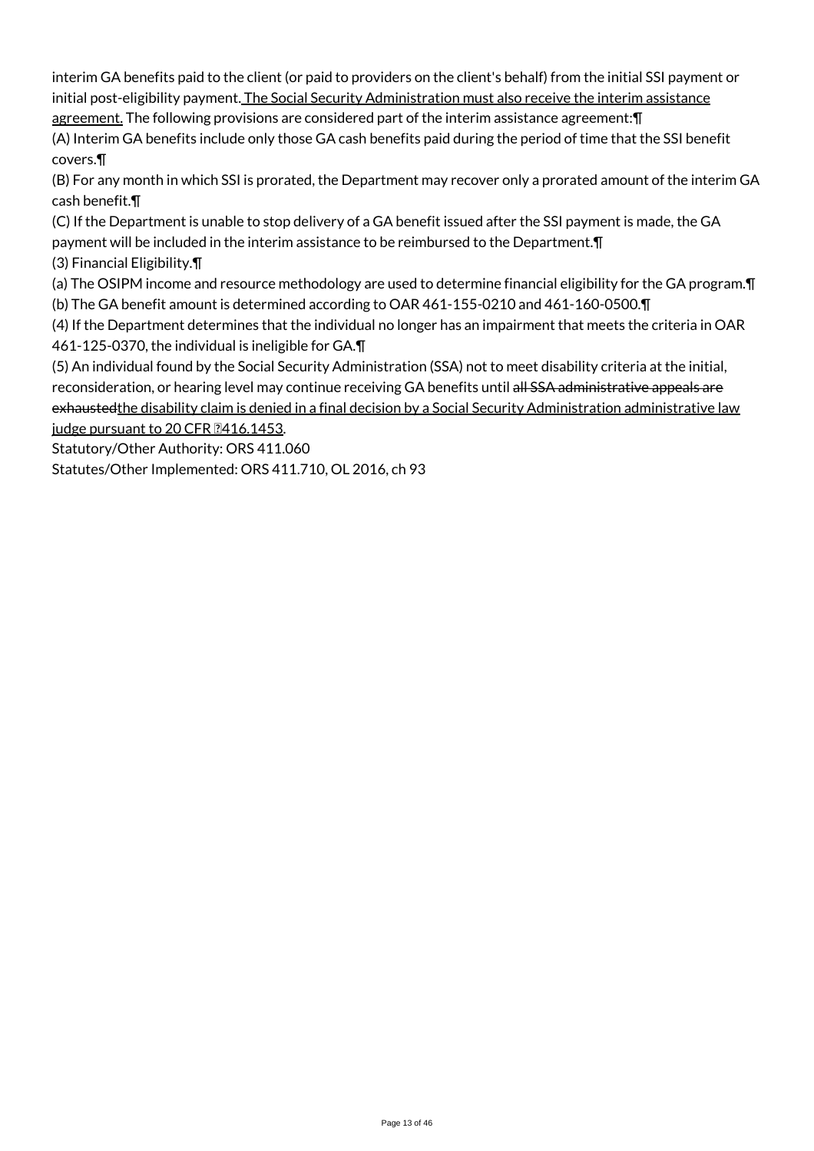interim GA benefits paid to the client (or paid to providers on the client's behalf) from the initial SSI payment or initial post-eligibility payment. The Social Security Administration must also receive the interim assistance

agreement. The following provisions are considered part of the interim assistance agreement:¶

(A) Interim GA benefits include only those GA cash benefits paid during the period of time that the SSI benefit covers.¶

(B) For any month in which SSI is prorated, the Department may recover only a prorated amount of the interim GA cash benefit.¶

(C) If the Department is unable to stop delivery of a GA benefit issued after the SSI payment is made, the GA payment will be included in the interim assistance to be reimbursed to the Department.¶ (3) Financial Eligibility.¶

(a) The OSIPM income and resource methodology are used to determine financial eligibility for the GA program.¶

(b) The GA benefit amount is determined according to OAR 461-155-0210 and 461-160-0500.¶

(4) If the Department determines that the individual no longer has an impairment that meets the criteria in OAR 461-125-0370, the individual is ineligible for GA.¶

(5) An individual found by the Social Security Administration (SSA) not to meet disability criteria at the initial, reconsideration, or hearing level may continue receiving GA benefits until all SSA administrative appeals are exhaustedthe disability claim is denied in a final decision by a Social Security Administration administrative law judge pursuant to 20 CFR 2416.1453.

Statutory/Other Authority: ORS 411.060

Statutes/Other Implemented: ORS 411.710, OL 2016, ch 93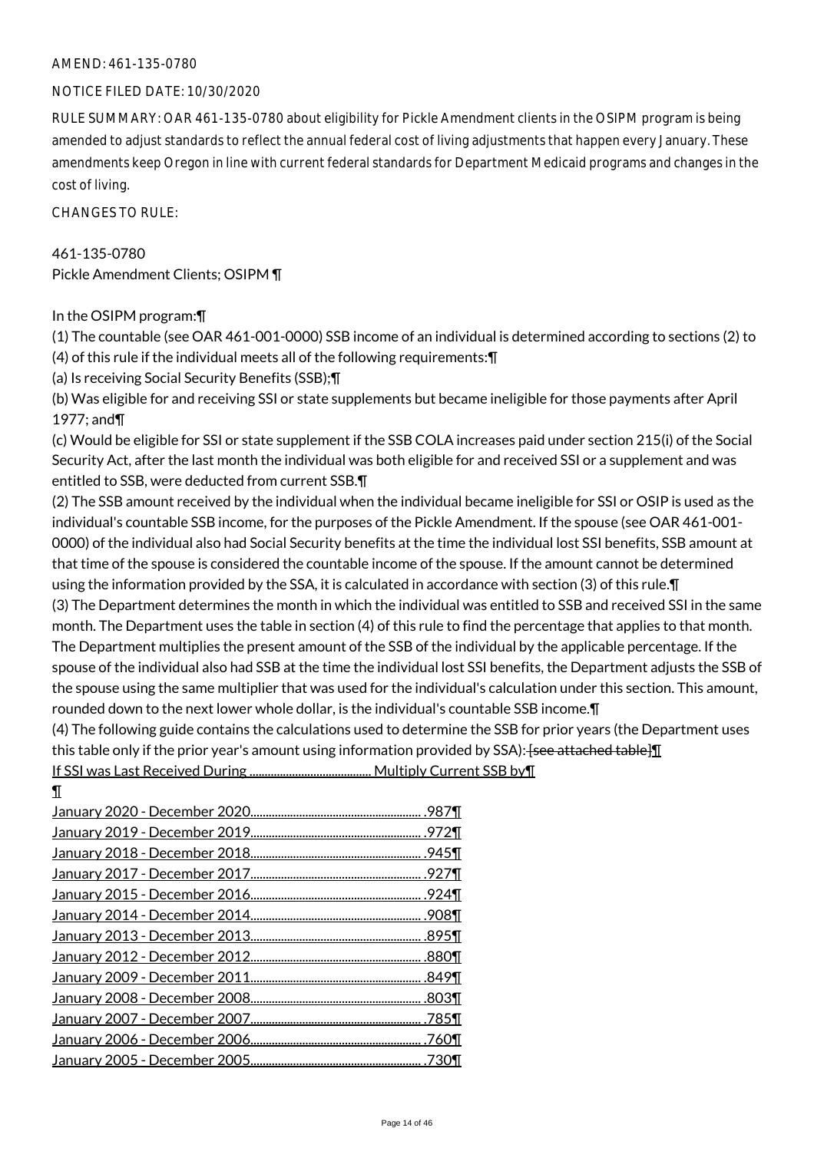#### AMEND: 461-135-0780

#### NOTICE FILED DATE: 10/30/2020

RULE SUMMARY: OAR 461-135-0780 about eligibility for Pickle Amendment clients in the OSIPM program is being amended to adjust standards to reflect the annual federal cost of living adjustments that happen every January. These amendments keep Oregon in line with current federal standards for Department Medicaid programs and changes in the cost of living.

CHANGES TO RULE:

461-135-0780 Pickle Amendment Clients; OSIPM ¶

#### In the OSIPM program:¶

(1) The countable (see OAR 461-001-0000) SSB income of an individual is determined according to sections (2) to (4) of this rule if the individual meets all of the following requirements:¶

(a) Is receiving Social Security Benefits (SSB);¶

(b) Was eligible for and receiving SSI or state supplements but became ineligible for those payments after April 1977; and¶

(c) Would be eligible for SSI or state supplement if the SSB COLA increases paid under section 215(i) of the Social Security Act, after the last month the individual was both eligible for and received SSI or a supplement and was entitled to SSB, were deducted from current SSB.¶

(2) The SSB amount received by the individual when the individual became ineligible for SSI or OSIP is used as the individual's countable SSB income, for the purposes of the Pickle Amendment. If the spouse (see OAR 461-001- 0000) of the individual also had Social Security benefits at the time the individual lost SSI benefits, SSB amount at that time of the spouse is considered the countable income of the spouse. If the amount cannot be determined using the information provided by the SSA, it is calculated in accordance with section (3) of this rule.¶

(3) The Department determines the month in which the individual was entitled to SSB and received SSI in the same month. The Department uses the table in section (4) of this rule to find the percentage that applies to that month. The Department multiplies the present amount of the SSB of the individual by the applicable percentage. If the spouse of the individual also had SSB at the time the individual lost SSI benefits, the Department adjusts the SSB of the spouse using the same multiplier that was used for the individual's calculation under this section. This amount, rounded down to the next lower whole dollar, is the individual's countable SSB income.¶

(4) The following guide contains the calculations used to determine the SSB for prior years (the Department uses this table only if the prior year's amount using information provided by SSA): [see attached table] If SSI was Last Received During ........................................ Multiply Current SSB by¶

¶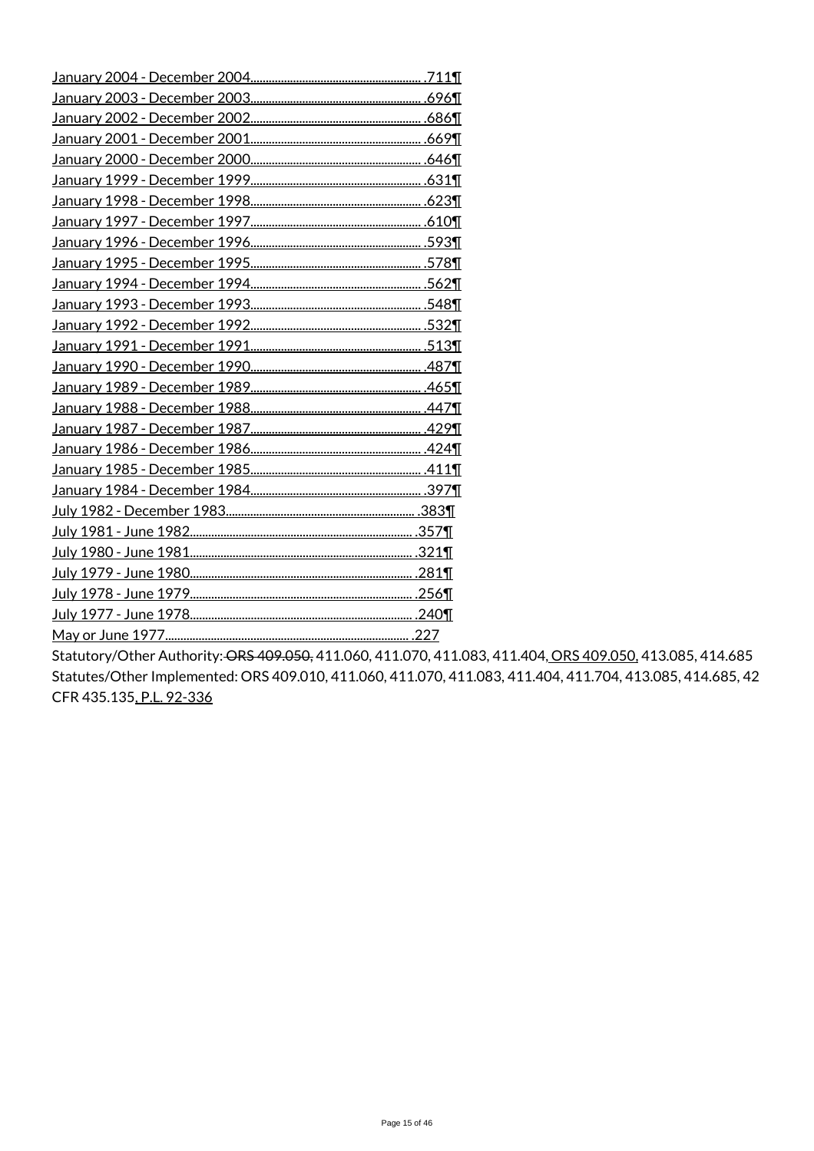Statutory/Other Authority: ORS 409.050, 411.060, 411.070, 411.083, 411.404, ORS 409.050, 413.085, 414.685 Statutes/Other Implemented: ORS 409.010, 411.060, 411.070, 411.083, 411.404, 411.704, 413.085, 414.685, 42 CFR 435.135, P.L. 92-336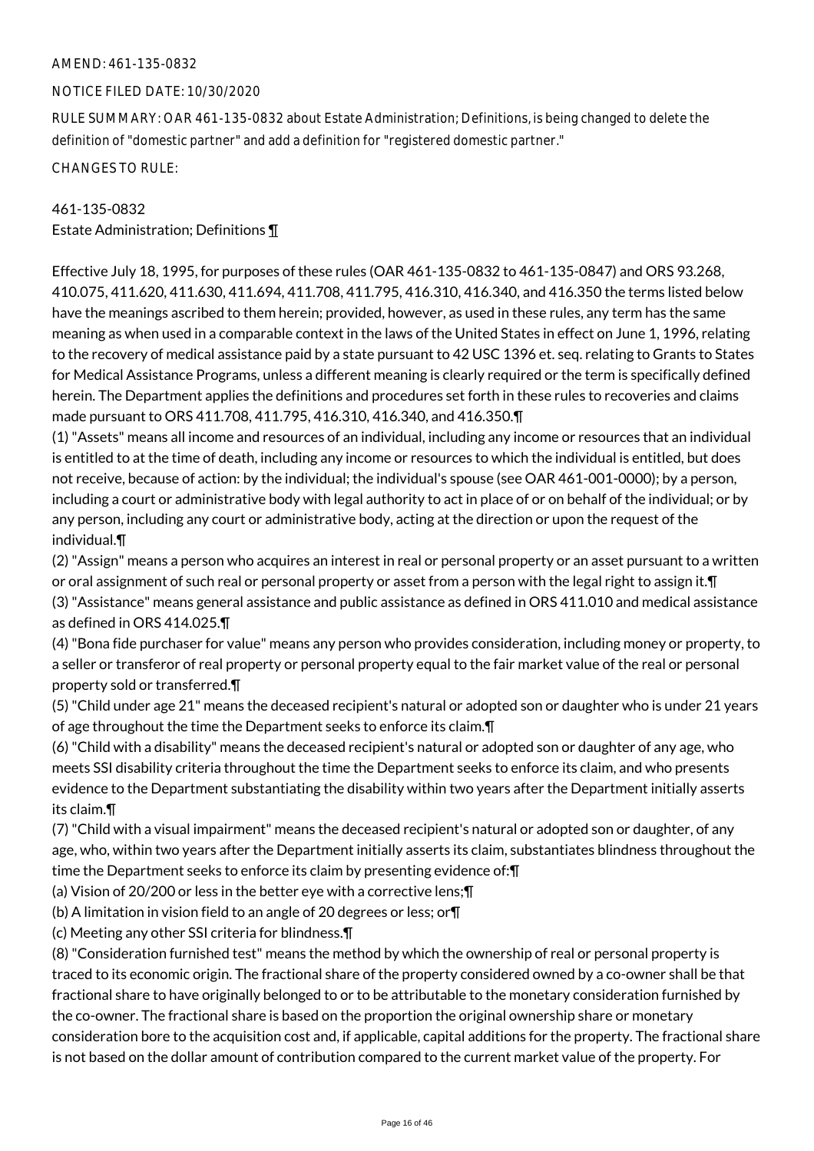#### AMEND: 461-135-0832

#### NOTICE FILED DATE: 10/30/2020

RULE SUMMARY: OAR 461-135-0832 about Estate Administration; Definitions, is being changed to delete the definition of "domestic partner" and add a definition for "registered domestic partner."

CHANGES TO RULE:

## 461-135-0832

Estate Administration; Definitions ¶

Effective July 18, 1995, for purposes of these rules (OAR 461-135-0832 to 461-135-0847) and ORS 93.268, 410.075, 411.620, 411.630, 411.694, 411.708, 411.795, 416.310, 416.340, and 416.350 the terms listed below have the meanings ascribed to them herein; provided, however, as used in these rules, any term has the same meaning as when used in a comparable context in the laws of the United States in effect on June 1, 1996, relating to the recovery of medical assistance paid by a state pursuant to 42 USC 1396 et. seq. relating to Grants to States for Medical Assistance Programs, unless a different meaning is clearly required or the term is specifically defined herein. The Department applies the definitions and procedures set forth in these rules to recoveries and claims made pursuant to ORS 411.708, 411.795, 416.310, 416.340, and 416.350.¶

(1) "Assets" means all income and resources of an individual, including any income or resources that an individual is entitled to at the time of death, including any income or resources to which the individual is entitled, but does not receive, because of action: by the individual; the individual's spouse (see OAR 461-001-0000); by a person, including a court or administrative body with legal authority to act in place of or on behalf of the individual; or by any person, including any court or administrative body, acting at the direction or upon the request of the individual.¶

(2) "Assign" means a person who acquires an interest in real or personal property or an asset pursuant to a written or oral assignment of such real or personal property or asset from a person with the legal right to assign it.¶ (3) "Assistance" means general assistance and public assistance as defined in ORS 411.010 and medical assistance as defined in ORS 414.025.¶

(4) "Bona fide purchaser for value" means any person who provides consideration, including money or property, to a seller or transferor of real property or personal property equal to the fair market value of the real or personal property sold or transferred.¶

(5) "Child under age 21" means the deceased recipient's natural or adopted son or daughter who is under 21 years of age throughout the time the Department seeks to enforce its claim.¶

(6) "Child with a disability" means the deceased recipient's natural or adopted son or daughter of any age, who meets SSI disability criteria throughout the time the Department seeks to enforce its claim, and who presents evidence to the Department substantiating the disability within two years after the Department initially asserts its claim.¶

(7) "Child with a visual impairment" means the deceased recipient's natural or adopted son or daughter, of any age, who, within two years after the Department initially asserts its claim, substantiates blindness throughout the time the Department seeks to enforce its claim by presenting evidence of:¶

(a) Vision of 20/200 or less in the better eye with a corrective lens;¶

(b) A limitation in vision field to an angle of 20 degrees or less; or¶

(c) Meeting any other SSI criteria for blindness.¶

(8) "Consideration furnished test" means the method by which the ownership of real or personal property is traced to its economic origin. The fractional share of the property considered owned by a co-owner shall be that fractional share to have originally belonged to or to be attributable to the monetary consideration furnished by the co-owner. The fractional share is based on the proportion the original ownership share or monetary consideration bore to the acquisition cost and, if applicable, capital additions for the property. The fractional share is not based on the dollar amount of contribution compared to the current market value of the property. For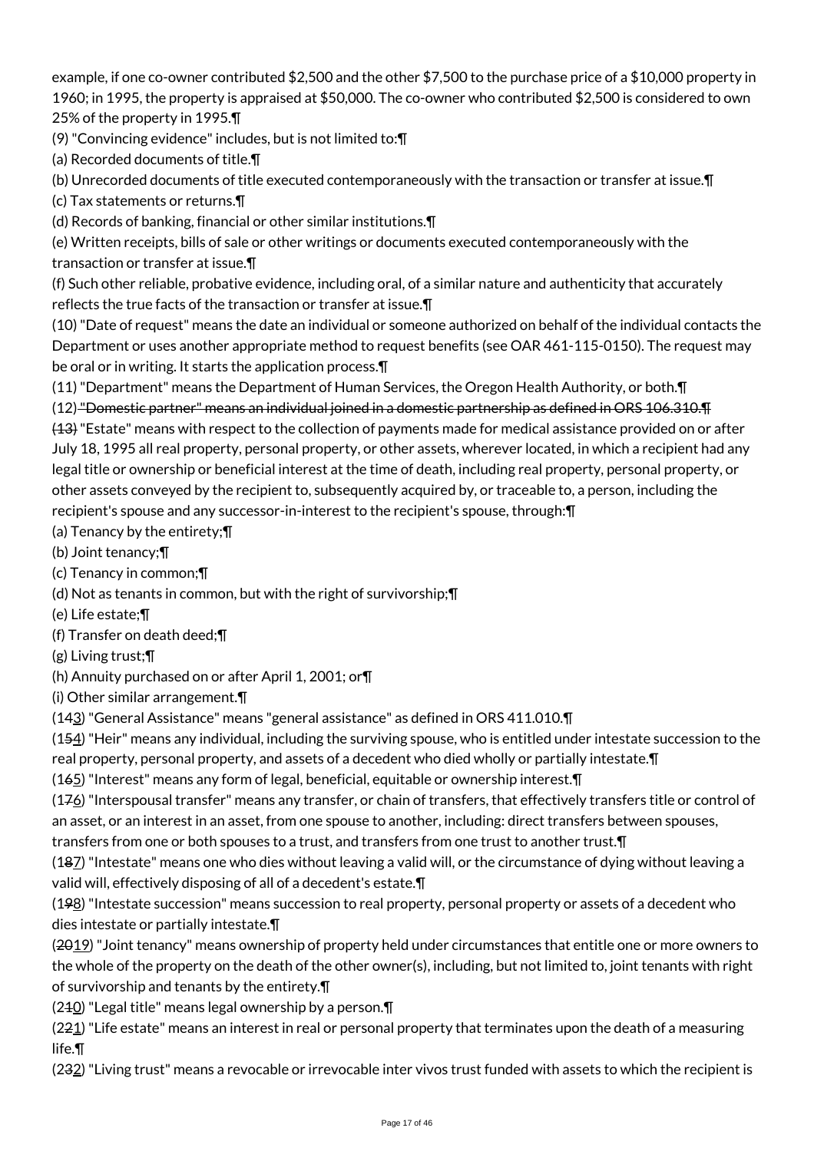example, if one co-owner contributed \$2,500 and the other \$7,500 to the purchase price of a \$10,000 property in 1960; in 1995, the property is appraised at \$50,000. The co-owner who contributed \$2,500 is considered to own 25% of the property in 1995.¶

(9) "Convincing evidence" includes, but is not limited to:¶

(a) Recorded documents of title.¶

(b) Unrecorded documents of title executed contemporaneously with the transaction or transfer at issue.¶

(c) Tax statements or returns.¶

(d) Records of banking, financial or other similar institutions.¶

(e) Written receipts, bills of sale or other writings or documents executed contemporaneously with the transaction or transfer at issue.¶

(f) Such other reliable, probative evidence, including oral, of a similar nature and authenticity that accurately reflects the true facts of the transaction or transfer at issue.¶

(10) "Date of request" means the date an individual or someone authorized on behalf of the individual contacts the Department or uses another appropriate method to request benefits (see OAR 461-115-0150). The request may be oral or in writing. It starts the application process.¶

(11) "Department" means the Department of Human Services, the Oregon Health Authority, or both.¶

(12) "Domestic partner" means an individual joined in a domestic partnership as defined in ORS 106.310.¶

(13) "Estate" means with respect to the collection of payments made for medical assistance provided on or after July 18, 1995 all real property, personal property, or other assets, wherever located, in which a recipient had any legal title or ownership or beneficial interest at the time of death, including real property, personal property, or other assets conveyed by the recipient to, subsequently acquired by, or traceable to, a person, including the recipient's spouse and any successor-in-interest to the recipient's spouse, through:¶

(a) Tenancy by the entirety;¶

(b) Joint tenancy;¶

(c) Tenancy in common;¶

(d) Not as tenants in common, but with the right of survivorship;¶

(e) Life estate;¶

(f) Transfer on death deed;¶

(g) Living trust;¶

(h) Annuity purchased on or after April 1, 2001; or¶

(i) Other similar arrangement.¶

(143) "General Assistance" means "general assistance" as defined in ORS 411.010.¶

(154) "Heir" means any individual, including the surviving spouse, who is entitled under intestate succession to the real property, personal property, and assets of a decedent who died wholly or partially intestate.¶

(165) "Interest" means any form of legal, beneficial, equitable or ownership interest.¶

(176) "Interspousal transfer" means any transfer, or chain of transfers, that effectively transfers title or control of an asset, or an interest in an asset, from one spouse to another, including: direct transfers between spouses,

transfers from one or both spouses to a trust, and transfers from one trust to another trust.¶

(187) "Intestate" means one who dies without leaving a valid will, or the circumstance of dying without leaving a valid will, effectively disposing of all of a decedent's estate.¶

 $(198)$  "Intestate succession" means succession to real property, personal property or assets of a decedent who dies intestate or partially intestate.¶

(2019) "Joint tenancy" means ownership of property held under circumstances that entitle one or more owners to the whole of the property on the death of the other owner(s), including, but not limited to, joint tenants with right of survivorship and tenants by the entirety.¶

 $(240)$  "Legal title" means legal ownership by a person. $\P$ 

 $(221)$  "Life estate" means an interest in real or personal property that terminates upon the death of a measuring life.¶

(232) "Living trust" means a revocable or irrevocable inter vivos trust funded with assets to which the recipient is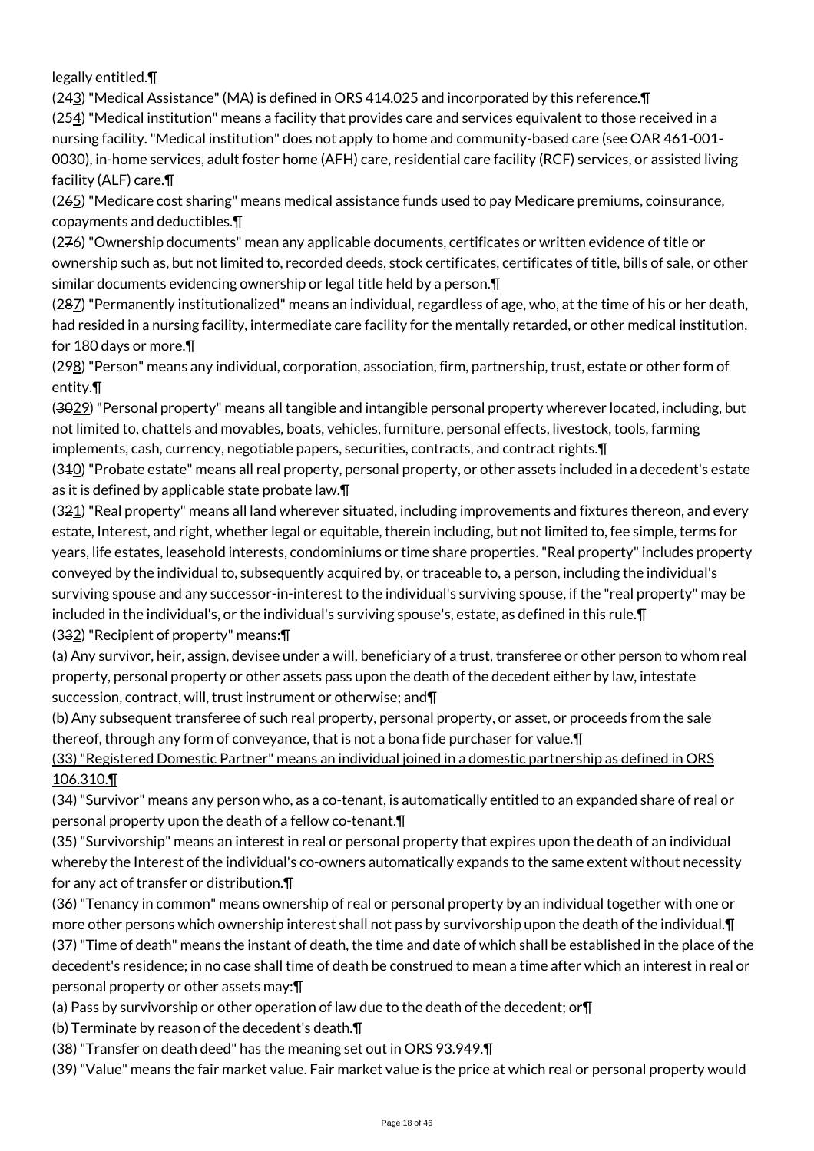legally entitled.¶

(243) "Medical Assistance" (MA) is defined in ORS 414.025 and incorporated by this reference.¶ (254) "Medical institution" means a facility that provides care and services equivalent to those received in a nursing facility. "Medical institution" does not apply to home and community-based care (see OAR 461-001- 0030), in-home services, adult foster home (AFH) care, residential care facility (RCF) services, or assisted living facility (ALF) care.¶

(265) "Medicare cost sharing" means medical assistance funds used to pay Medicare premiums, coinsurance, copayments and deductibles.¶

 $(276)$  "Ownership documents" mean any applicable documents, certificates or written evidence of title or ownership such as, but not limited to, recorded deeds, stock certificates, certificates of title, bills of sale, or other similar documents evidencing ownership or legal title held by a person.¶

(287) "Permanently institutionalized" means an individual, regardless of age, who, at the time of his or her death, had resided in a nursing facility, intermediate care facility for the mentally retarded, or other medical institution, for 180 days or more.¶

(298) "Person" means any individual, corporation, association, firm, partnership, trust, estate or other form of entity.¶

(3029) "Personal property" means all tangible and intangible personal property wherever located, including, but not limited to, chattels and movables, boats, vehicles, furniture, personal effects, livestock, tools, farming implements, cash, currency, negotiable papers, securities, contracts, and contract rights.

(340) "Probate estate" means all real property, personal property, or other assets included in a decedent's estate as it is defined by applicable state probate law.¶

 $(321)$  "Real property" means all land wherever situated, including improvements and fixtures thereon, and every estate, Interest, and right, whether legal or equitable, therein including, but not limited to, fee simple, terms for years, life estates, leasehold interests, condominiums or time share properties. "Real property" includes property conveyed by the individual to, subsequently acquired by, or traceable to, a person, including the individual's surviving spouse and any successor-in-interest to the individual's surviving spouse, if the "real property" may be included in the individual's, or the individual's surviving spouse's, estate, as defined in this rule.¶

(332) "Recipient of property" means:¶

(a) Any survivor, heir, assign, devisee under a will, beneficiary of a trust, transferee or other person to whom real property, personal property or other assets pass upon the death of the decedent either by law, intestate succession, contract, will, trust instrument or otherwise; and¶

(b) Any subsequent transferee of such real property, personal property, or asset, or proceeds from the sale thereof, through any form of conveyance, that is not a bona fide purchaser for value.¶

(33) "Registered Domestic Partner" means an individual joined in a domestic partnership as defined in ORS 106.310.¶

(34) "Survivor" means any person who, as a co-tenant, is automatically entitled to an expanded share of real or personal property upon the death of a fellow co-tenant.¶

(35) "Survivorship" means an interest in real or personal property that expires upon the death of an individual whereby the Interest of the individual's co-owners automatically expands to the same extent without necessity for any act of transfer or distribution.¶

(36) "Tenancy in common" means ownership of real or personal property by an individual together with one or more other persons which ownership interest shall not pass by survivorship upon the death of the individual.¶ (37) "Time of death" means the instant of death, the time and date of which shall be established in the place of the decedent's residence; in no case shall time of death be construed to mean a time after which an interest in real or personal property or other assets may:¶

(a) Pass by survivorship or other operation of law due to the death of the decedent; or¶

(b) Terminate by reason of the decedent's death.¶

(38) "Transfer on death deed" has the meaning set out in ORS 93.949.¶

(39) "Value" means the fair market value. Fair market value is the price at which real or personal property would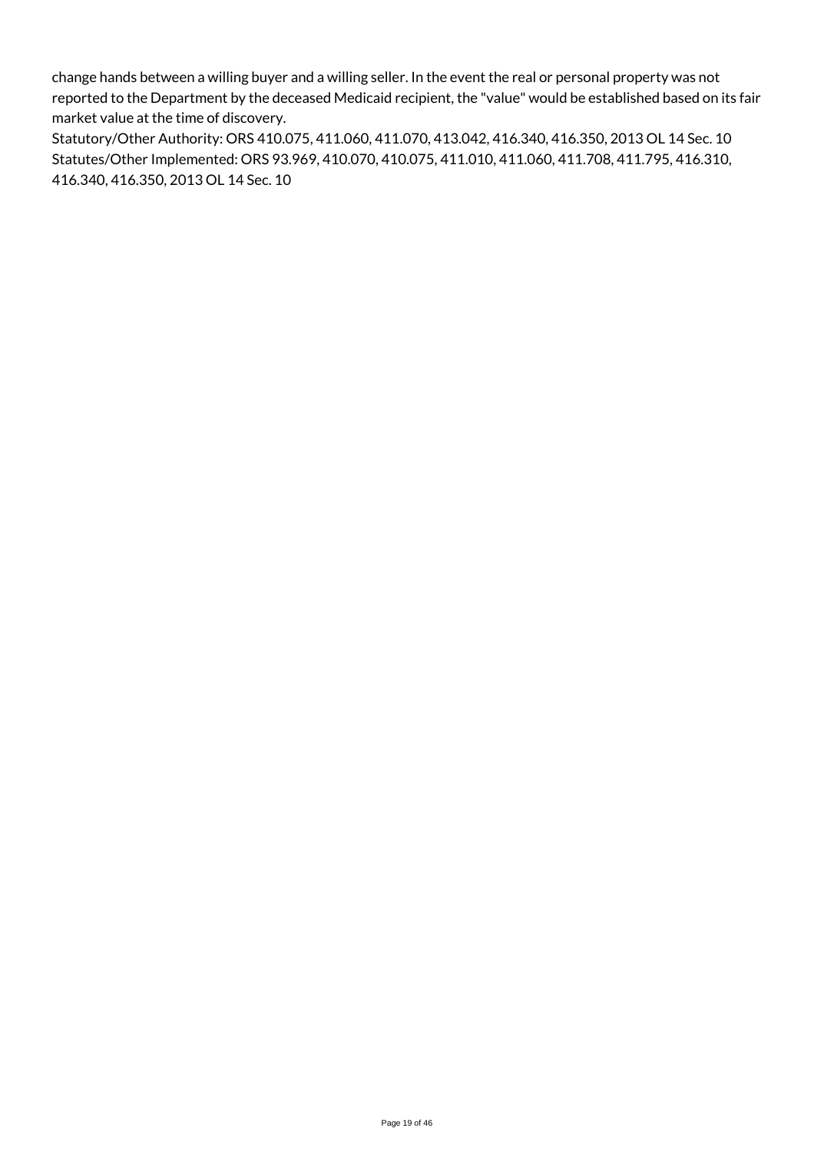change hands between a willing buyer and a willing seller. In the event the real or personal property was not reported to the Department by the deceased Medicaid recipient, the "value" would be established based on its fair market value at the time of discovery.

Statutory/Other Authority: ORS 410.075, 411.060, 411.070, 413.042, 416.340, 416.350, 2013 OL 14 Sec. 10 Statutes/Other Implemented: ORS 93.969, 410.070, 410.075, 411.010, 411.060, 411.708, 411.795, 416.310, 416.340, 416.350, 2013 OL 14 Sec. 10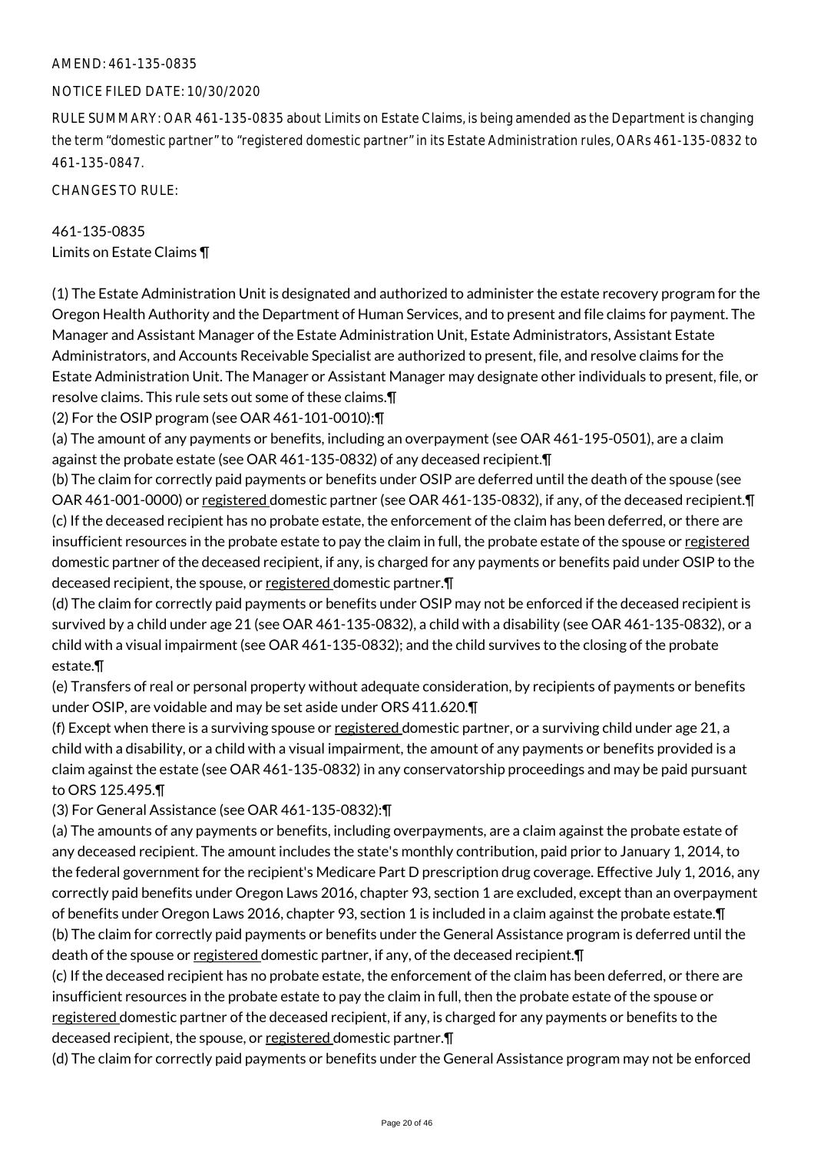#### AMEND: 461-135-0835

#### NOTICE FILED DATE: 10/30/2020

RULE SUMMARY: OAR 461-135-0835 about Limits on Estate Claims, is being amended as the Department is changing the term "domestic partner" to "registered domestic partner" in its Estate Administration rules, OARs 461-135-0832 to 461-135-0847.

CHANGES TO RULE:

# 461-135-0835 Limits on Estate Claims ¶

(1) The Estate Administration Unit is designated and authorized to administer the estate recovery program for the Oregon Health Authority and the Department of Human Services, and to present and file claims for payment. The Manager and Assistant Manager of the Estate Administration Unit, Estate Administrators, Assistant Estate Administrators, and Accounts Receivable Specialist are authorized to present, file, and resolve claims for the Estate Administration Unit. The Manager or Assistant Manager may designate other individuals to present, file, or resolve claims. This rule sets out some of these claims.¶

(2) For the OSIP program (see OAR 461-101-0010):¶

(a) The amount of any payments or benefits, including an overpayment (see OAR 461-195-0501), are a claim against the probate estate (see OAR 461-135-0832) of any deceased recipient.¶

(b) The claim for correctly paid payments or benefits under OSIP are deferred until the death of the spouse (see OAR 461-001-0000) or registered domestic partner (see OAR 461-135-0832), if any, of the deceased recipient.¶ (c) If the deceased recipient has no probate estate, the enforcement of the claim has been deferred, or there are insufficient resources in the probate estate to pay the claim in full, the probate estate of the spouse or registered domestic partner of the deceased recipient, if any, is charged for any payments or benefits paid under OSIP to the deceased recipient, the spouse, or registered domestic partner.¶

(d) The claim for correctly paid payments or benefits under OSIP may not be enforced if the deceased recipient is survived by a child under age 21 (see OAR 461-135-0832), a child with a disability (see OAR 461-135-0832), or a child with a visual impairment (see OAR 461-135-0832); and the child survives to the closing of the probate estate.¶

(e) Transfers of real or personal property without adequate consideration, by recipients of payments or benefits under OSIP, are voidable and may be set aside under ORS 411.620.¶

(f) Except when there is a surviving spouse or registered domestic partner, or a surviving child under age 21, a child with a disability, or a child with a visual impairment, the amount of any payments or benefits provided is a claim against the estate (see OAR 461-135-0832) in any conservatorship proceedings and may be paid pursuant to ORS 125.495.¶

(3) For General Assistance (see OAR 461-135-0832):¶

(a) The amounts of any payments or benefits, including overpayments, are a claim against the probate estate of any deceased recipient. The amount includes the state's monthly contribution, paid prior to January 1, 2014, to the federal government for the recipient's Medicare Part D prescription drug coverage. Effective July 1, 2016, any correctly paid benefits under Oregon Laws 2016, chapter 93, section 1 are excluded, except than an overpayment of benefits under Oregon Laws 2016, chapter 93, section 1 is included in a claim against the probate estate.¶ (b) The claim for correctly paid payments or benefits under the General Assistance program is deferred until the death of the spouse or registered domestic partner, if any, of the deceased recipient. T

(c) If the deceased recipient has no probate estate, the enforcement of the claim has been deferred, or there are insufficient resources in the probate estate to pay the claim in full, then the probate estate of the spouse or registered domestic partner of the deceased recipient, if any, is charged for any payments or benefits to the deceased recipient, the spouse, or registered domestic partner.¶

(d) The claim for correctly paid payments or benefits under the General Assistance program may not be enforced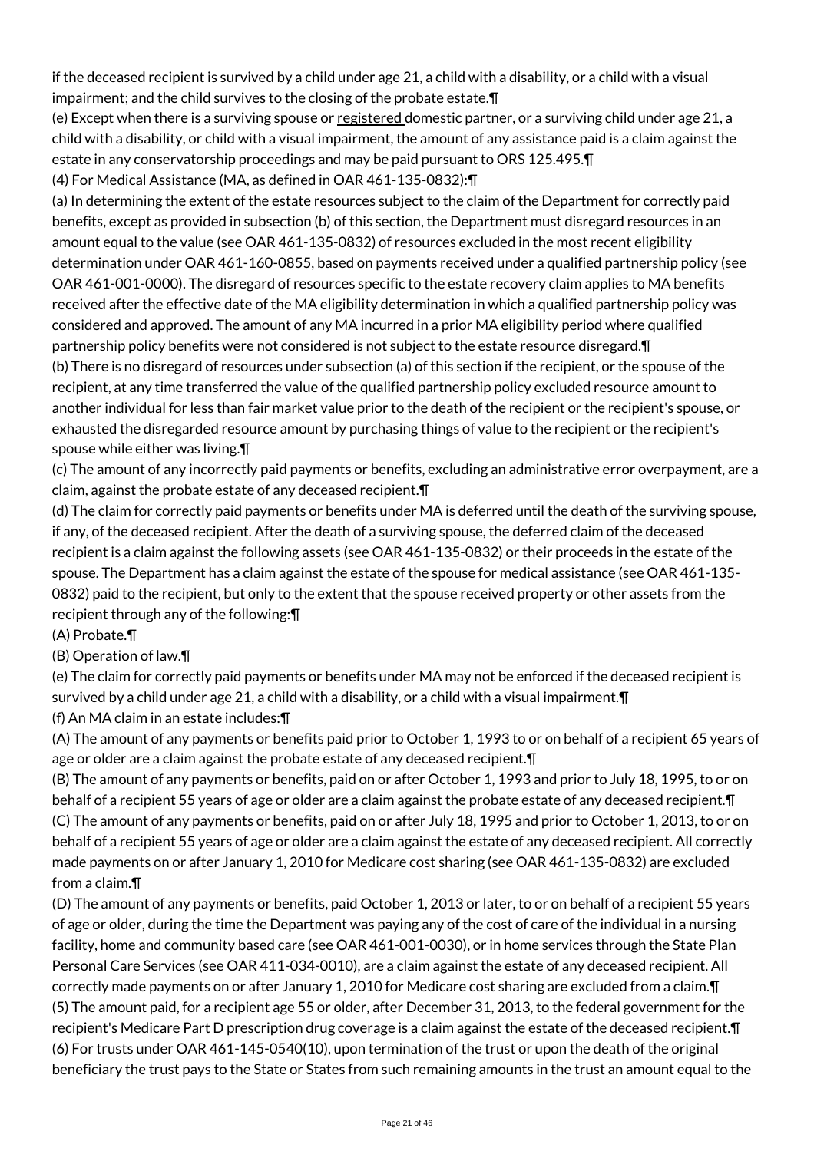if the deceased recipient is survived by a child under age 21, a child with a disability, or a child with a visual impairment; and the child survives to the closing of the probate estate.¶

(e) Except when there is a surviving spouse or registered domestic partner, or a surviving child under age 21, a child with a disability, or child with a visual impairment, the amount of any assistance paid is a claim against the estate in any conservatorship proceedings and may be paid pursuant to ORS 125.495.¶

(4) For Medical Assistance (MA, as defined in OAR 461-135-0832):¶

(a) In determining the extent of the estate resources subject to the claim of the Department for correctly paid benefits, except as provided in subsection (b) of this section, the Department must disregard resources in an amount equal to the value (see OAR 461-135-0832) of resources excluded in the most recent eligibility determination under OAR 461-160-0855, based on payments received under a qualified partnership policy (see OAR 461-001-0000). The disregard of resources specific to the estate recovery claim applies to MA benefits received after the effective date of the MA eligibility determination in which a qualified partnership policy was considered and approved. The amount of any MA incurred in a prior MA eligibility period where qualified partnership policy benefits were not considered is not subject to the estate resource disregard.¶ (b) There is no disregard of resources under subsection (a) of this section if the recipient, or the spouse of the recipient, at any time transferred the value of the qualified partnership policy excluded resource amount to another individual for less than fair market value prior to the death of the recipient or the recipient's spouse, or exhausted the disregarded resource amount by purchasing things of value to the recipient or the recipient's

spouse while either was living.¶

(c) The amount of any incorrectly paid payments or benefits, excluding an administrative error overpayment, are a claim, against the probate estate of any deceased recipient.¶

(d) The claim for correctly paid payments or benefits under MA is deferred until the death of the surviving spouse, if any, of the deceased recipient. After the death of a surviving spouse, the deferred claim of the deceased recipient is a claim against the following assets (see OAR 461-135-0832) or their proceeds in the estate of the spouse. The Department has a claim against the estate of the spouse for medical assistance (see OAR 461-135- 0832) paid to the recipient, but only to the extent that the spouse received property or other assets from the recipient through any of the following:¶

(A) Probate.¶

(B) Operation of law.¶

(e) The claim for correctly paid payments or benefits under MA may not be enforced if the deceased recipient is survived by a child under age 21, a child with a disability, or a child with a visual impairment.¶ (f) An MA claim in an estate includes:¶

(A) The amount of any payments or benefits paid prior to October 1, 1993 to or on behalf of a recipient 65 years of age or older are a claim against the probate estate of any deceased recipient.¶

(B) The amount of any payments or benefits, paid on or after October 1, 1993 and prior to July 18, 1995, to or on behalf of a recipient 55 years of age or older are a claim against the probate estate of any deceased recipient.¶ (C) The amount of any payments or benefits, paid on or after July 18, 1995 and prior to October 1, 2013, to or on behalf of a recipient 55 years of age or older are a claim against the estate of any deceased recipient. All correctly made payments on or after January 1, 2010 for Medicare cost sharing (see OAR 461-135-0832) are excluded from a claim.¶

(D) The amount of any payments or benefits, paid October 1, 2013 or later, to or on behalf of a recipient 55 years of age or older, during the time the Department was paying any of the cost of care of the individual in a nursing facility, home and community based care (see OAR 461-001-0030), or in home services through the State Plan Personal Care Services (see OAR 411-034-0010), are a claim against the estate of any deceased recipient. All correctly made payments on or after January 1, 2010 for Medicare cost sharing are excluded from a claim.¶ (5) The amount paid, for a recipient age 55 or older, after December 31, 2013, to the federal government for the recipient's Medicare Part D prescription drug coverage is a claim against the estate of the deceased recipient.¶ (6) For trusts under OAR 461-145-0540(10), upon termination of the trust or upon the death of the original beneficiary the trust pays to the State or States from such remaining amounts in the trust an amount equal to the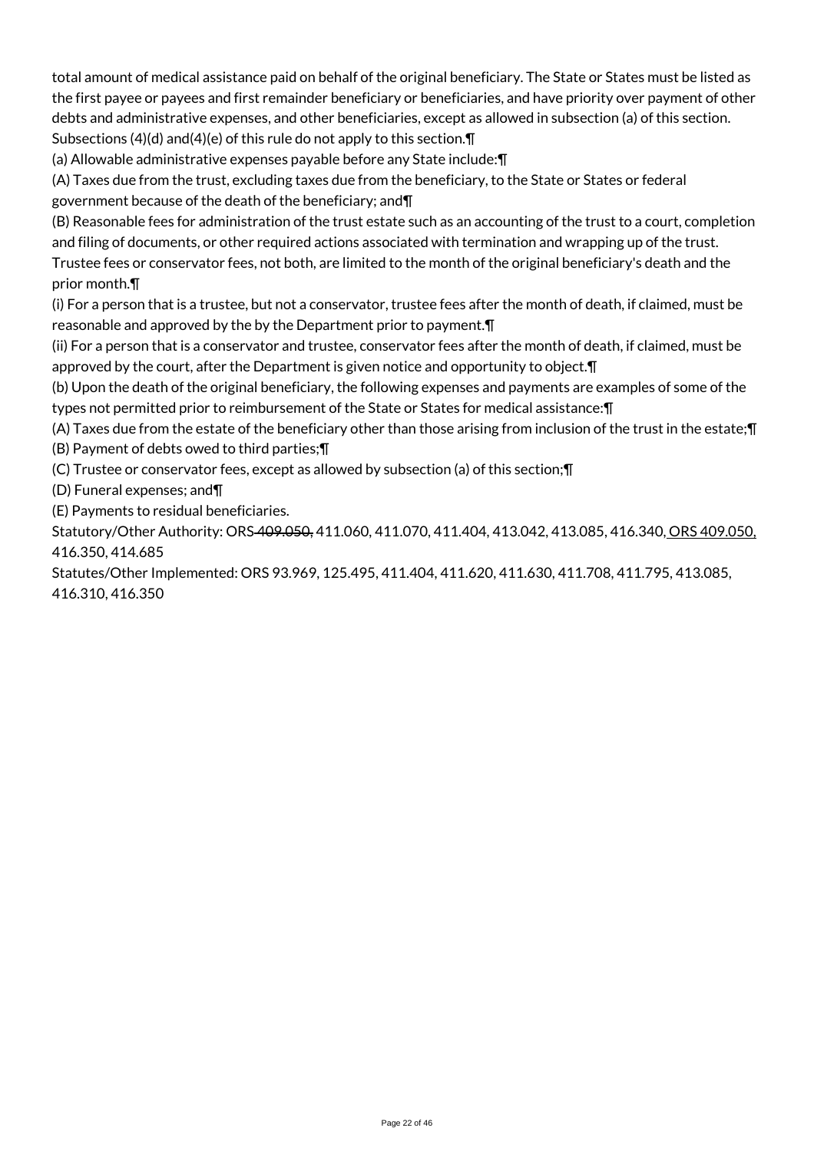total amount of medical assistance paid on behalf of the original beneficiary. The State or States must be listed as the first payee or payees and first remainder beneficiary or beneficiaries, and have priority over payment of other debts and administrative expenses, and other beneficiaries, except as allowed in subsection (a) of this section. Subsections (4)(d) and(4)(e) of this rule do not apply to this section.¶

(a) Allowable administrative expenses payable before any State include:¶

(A) Taxes due from the trust, excluding taxes due from the beneficiary, to the State or States or federal government because of the death of the beneficiary; and¶

(B) Reasonable fees for administration of the trust estate such as an accounting of the trust to a court, completion and filing of documents, or other required actions associated with termination and wrapping up of the trust. Trustee fees or conservator fees, not both, are limited to the month of the original beneficiary's death and the

prior month.¶

(i) For a person that is a trustee, but not a conservator, trustee fees after the month of death, if claimed, must be reasonable and approved by the by the Department prior to payment.¶

(ii) For a person that is a conservator and trustee, conservator fees after the month of death, if claimed, must be approved by the court, after the Department is given notice and opportunity to object.¶

(b) Upon the death of the original beneficiary, the following expenses and payments are examples of some of the types not permitted prior to reimbursement of the State or States for medical assistance:¶

(A) Taxes due from the estate of the beneficiary other than those arising from inclusion of the trust in the estate;¶ (B) Payment of debts owed to third parties;¶

(C) Trustee or conservator fees, except as allowed by subsection (a) of this section;¶

(D) Funeral expenses; and¶

(E) Payments to residual beneficiaries.

Statutory/Other Authority: ORS-409.050, 411.060, 411.070, 411.404, 413.042, 413.085, 416.340, ORS 409.050, 416.350, 414.685

Statutes/Other Implemented: ORS 93.969, 125.495, 411.404, 411.620, 411.630, 411.708, 411.795, 413.085, 416.310, 416.350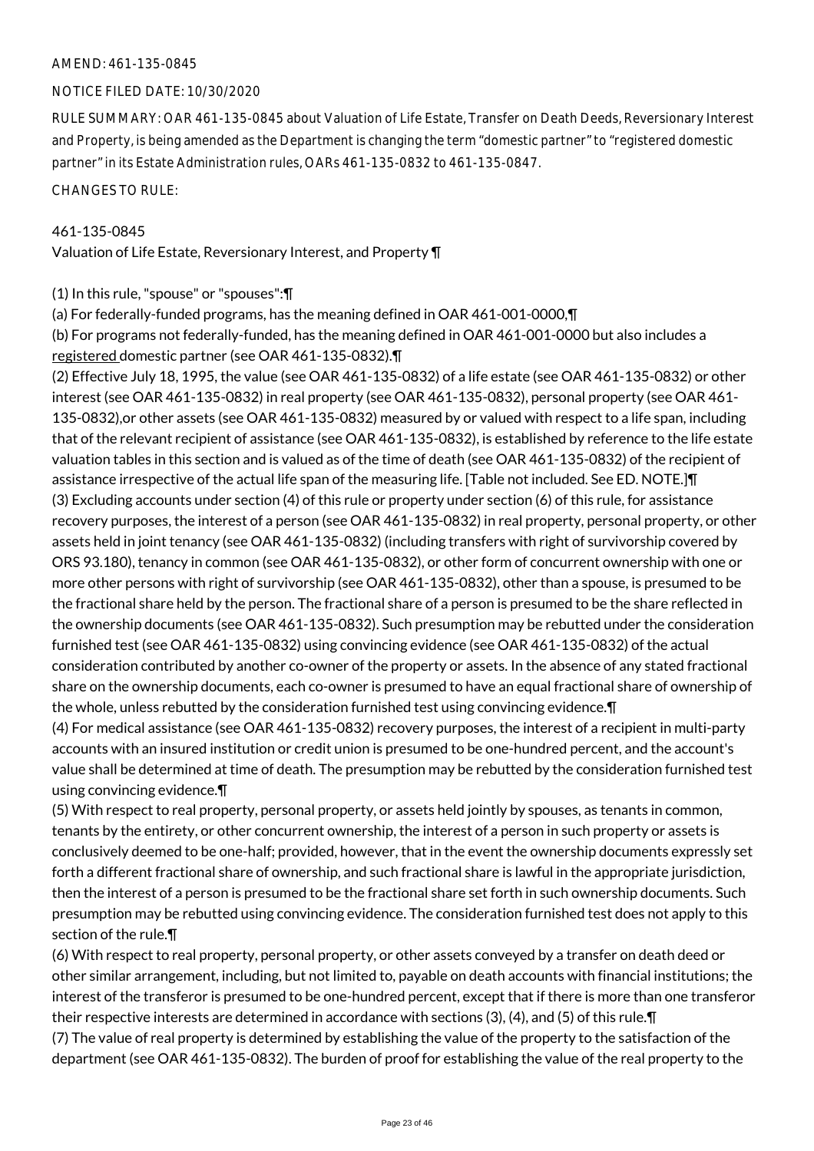#### AMEND: 461-135-0845

#### NOTICE FILED DATE: 10/30/2020

RULE SUMMARY: OAR 461-135-0845 about Valuation of Life Estate, Transfer on Death Deeds, Reversionary Interest and Property, is being amended as the Department is changing the term "domestic partner" to "registered domestic partner" in its Estate Administration rules, OARs 461-135-0832 to 461-135-0847.

CHANGES TO RULE:

#### 461-135-0845

Valuation of Life Estate, Reversionary Interest, and Property ¶

(1) In this rule, "spouse" or "spouses":¶

(a) For federally-funded programs, has the meaning defined in OAR 461-001-0000,¶

(b) For programs not federally-funded, has the meaning defined in OAR 461-001-0000 but also includes a registered domestic partner (see OAR 461-135-0832).¶

(2) Effective July 18, 1995, the value (see OAR 461-135-0832) of a life estate (see OAR 461-135-0832) or other interest (see OAR 461-135-0832) in real property (see OAR 461-135-0832), personal property (see OAR 461- 135-0832),or other assets (see OAR 461-135-0832) measured by or valued with respect to a life span, including that of the relevant recipient of assistance (see OAR 461-135-0832), is established by reference to the life estate valuation tables in this section and is valued as of the time of death (see OAR 461-135-0832) of the recipient of assistance irrespective of the actual life span of the measuring life. [Table not included. See ED. NOTE.]¶ (3) Excluding accounts under section (4) of this rule or property under section (6) of this rule, for assistance recovery purposes, the interest of a person (see OAR 461-135-0832) in real property, personal property, or other assets held in joint tenancy (see OAR 461-135-0832) (including transfers with right of survivorship covered by ORS 93.180), tenancy in common (see OAR 461-135-0832), or other form of concurrent ownership with one or more other persons with right of survivorship (see OAR 461-135-0832), other than a spouse, is presumed to be the fractional share held by the person. The fractional share of a person is presumed to be the share reflected in the ownership documents (see OAR 461-135-0832). Such presumption may be rebutted under the consideration furnished test (see OAR 461-135-0832) using convincing evidence (see OAR 461-135-0832) of the actual consideration contributed by another co-owner of the property or assets. In the absence of any stated fractional share on the ownership documents, each co-owner is presumed to have an equal fractional share of ownership of the whole, unless rebutted by the consideration furnished test using convincing evidence.¶

(4) For medical assistance (see OAR 461-135-0832) recovery purposes, the interest of a recipient in multi-party accounts with an insured institution or credit union is presumed to be one-hundred percent, and the account's value shall be determined at time of death. The presumption may be rebutted by the consideration furnished test using convincing evidence.¶

(5) With respect to real property, personal property, or assets held jointly by spouses, as tenants in common, tenants by the entirety, or other concurrent ownership, the interest of a person in such property or assets is conclusively deemed to be one-half; provided, however, that in the event the ownership documents expressly set forth a different fractional share of ownership, and such fractional share is lawful in the appropriate jurisdiction, then the interest of a person is presumed to be the fractional share set forth in such ownership documents. Such presumption may be rebutted using convincing evidence. The consideration furnished test does not apply to this section of the rule.¶

(6) With respect to real property, personal property, or other assets conveyed by a transfer on death deed or other similar arrangement, including, but not limited to, payable on death accounts with financial institutions; the interest of the transferor is presumed to be one-hundred percent, except that if there is more than one transferor their respective interests are determined in accordance with sections (3), (4), and (5) of this rule.¶

(7) The value of real property is determined by establishing the value of the property to the satisfaction of the department (see OAR 461-135-0832). The burden of proof for establishing the value of the real property to the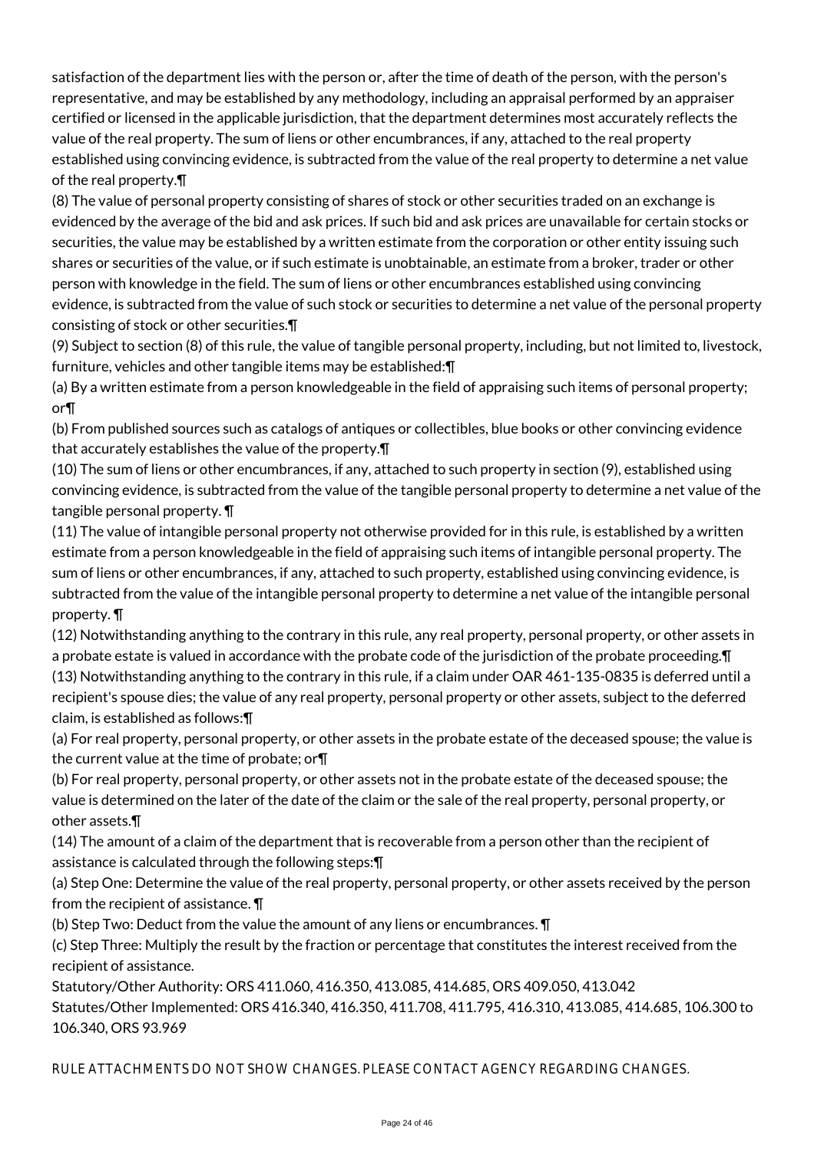satisfaction of the department lies with the person or, after the time of death of the person, with the person's representative, and may be established by any methodology, including an appraisal performed by an appraiser certified or licensed in the applicable jurisdiction, that the department determines most accurately reflects the value of the real property. The sum of liens or other encumbrances, if any, attached to the real property established using convincing evidence, is subtracted from the value of the real property to determine a net value of the real property.¶

(8) The value of personal property consisting of shares of stock or other securities traded on an exchange is evidenced by the average of the bid and ask prices. If such bid and ask prices are unavailable for certain stocks or securities, the value may be established by a written estimate from the corporation or other entity issuing such shares or securities of the value, or if such estimate is unobtainable, an estimate from a broker, trader or other person with knowledge in the field. The sum of liens or other encumbrances established using convincing evidence, is subtracted from the value of such stock or securities to determine a net value of the personal property consisting of stock or other securities.¶

(9) Subject to section (8) of this rule, the value of tangible personal property, including, but not limited to, livestock, furniture, vehicles and other tangible items may be established:¶

(a) By a written estimate from a person knowledgeable in the field of appraising such items of personal property; or¶

(b) From published sources such as catalogs of antiques or collectibles, blue books or other convincing evidence that accurately establishes the value of the property.¶

(10) The sum of liens or other encumbrances, if any, attached to such property in section (9), established using convincing evidence, is subtracted from the value of the tangible personal property to determine a net value of the tangible personal property. ¶

(11) The value of intangible personal property not otherwise provided for in this rule, is established by a written estimate from a person knowledgeable in the field of appraising such items of intangible personal property. The sum of liens or other encumbrances, if any, attached to such property, established using convincing evidence, is subtracted from the value of the intangible personal property to determine a net value of the intangible personal property. ¶

(12) Notwithstanding anything to the contrary in this rule, any real property, personal property, or other assets in a probate estate is valued in accordance with the probate code of the jurisdiction of the probate proceeding.¶

(13) Notwithstanding anything to the contrary in this rule, if a claim under OAR 461-135-0835 is deferred until a recipient's spouse dies; the value of any real property, personal property or other assets, subject to the deferred claim, is established as follows:¶

(a) For real property, personal property, or other assets in the probate estate of the deceased spouse; the value is the current value at the time of probate; or¶

(b) For real property, personal property, or other assets not in the probate estate of the deceased spouse; the value is determined on the later of the date of the claim or the sale of the real property, personal property, or other assets.¶

(14) The amount of a claim of the department that is recoverable from a person other than the recipient of assistance is calculated through the following steps:¶

(a) Step One: Determine the value of the real property, personal property, or other assets received by the person from the recipient of assistance. ¶

(b) Step Two: Deduct from the value the amount of any liens or encumbrances. ¶

(c) Step Three: Multiply the result by the fraction or percentage that constitutes the interest received from the recipient of assistance.

Statutory/Other Authority: ORS 411.060, 416.350, 413.085, 414.685, ORS 409.050, 413.042

Statutes/Other Implemented: ORS 416.340, 416.350, 411.708, 411.795, 416.310, 413.085, 414.685, 106.300 to 106.340, ORS 93.969

RULE ATTACHMENTS DO NOT SHOW CHANGES. PLEASE CONTACT AGENCY REGARDING CHANGES.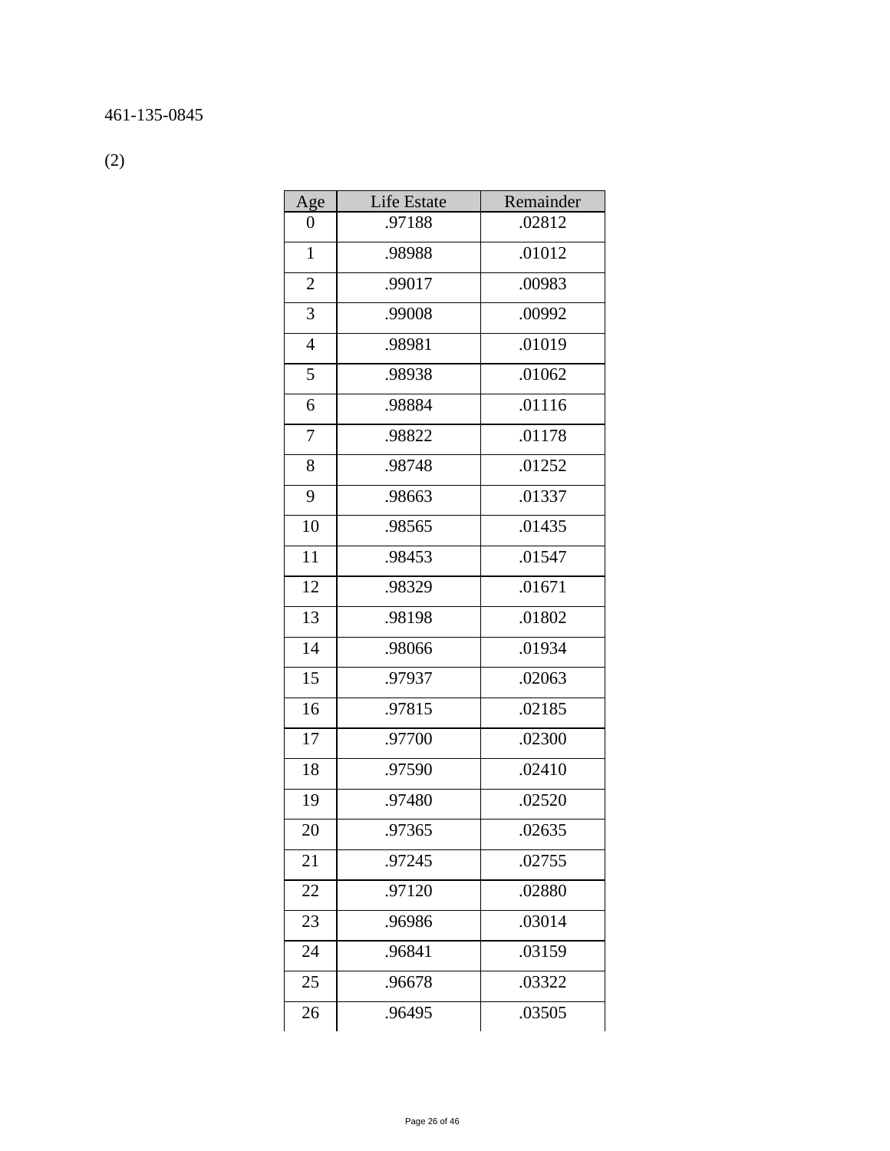(2)

| Age            | <b>Life Estate</b> | Remainder |
|----------------|--------------------|-----------|
| 0              | .97188             | .02812    |
| $\mathbf{1}$   | .98988             | .01012    |
| $\sqrt{2}$     | .99017             | .00983    |
| 3              | .99008             | .00992    |
| $\overline{4}$ | .98981             | .01019    |
| 5              | .98938             | .01062    |
| 6              | .98884             | .01116    |
| 7              | .98822             | .01178    |
| 8              | .98748             | .01252    |
| 9              | .98663             | .01337    |
| 10             | .98565             | .01435    |
| 11             | .98453             | .01547    |
| 12             | .98329             | .01671    |
| 13             | .98198             | .01802    |
| 14             | .98066             | .01934    |
| 15             | .97937             | .02063    |
| 16             | .97815             | .02185    |
| 17             | .97700             | .02300    |
| 18             | .97590             | .02410    |
| 19             | .97480             | .02520    |
| 20             | 97365              | .02635    |
| 21             | .97245             | .02755    |
| 22             | .97120             | .02880    |
| 23             | .96986             | .03014    |
| 24             | .96841             | .03159    |
| 25             | .96678             | .03322    |
| 26             | .96495             | .03505    |
|                |                    |           |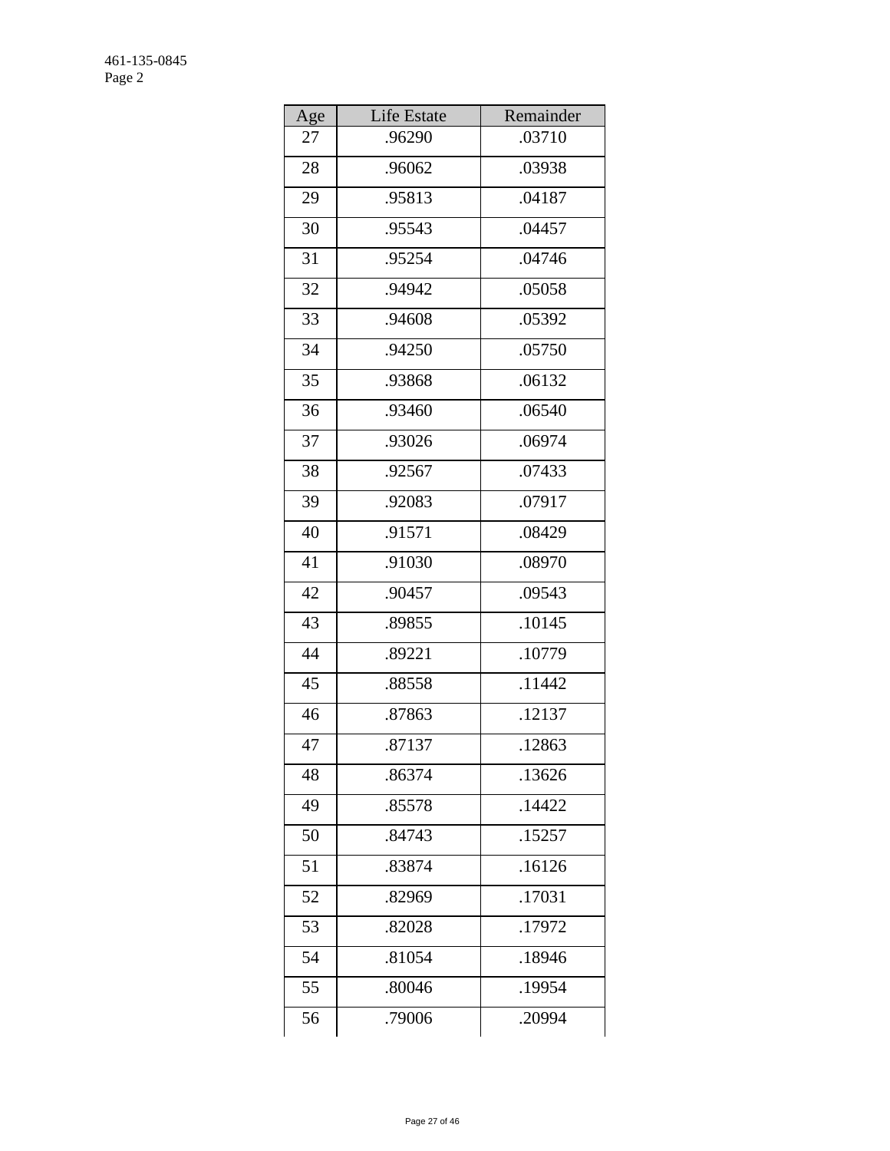| Age | Life Estate | Remainder |
|-----|-------------|-----------|
| 27  | .96290      | .03710    |
| 28  | .96062      | .03938    |
| 29  | .95813      | .04187    |
| 30  | .95543      | .04457    |
| 31  | .95254      | .04746    |
| 32  | .94942      | .05058    |
| 33  | .94608      | .05392    |
| 34  | .94250      | .05750    |
| 35  | .93868      | .06132    |
| 36  | .93460      | .06540    |
| 37  | .93026      | .06974    |
| 38  | .92567      | .07433    |
| 39  | .92083      | .07917    |
| 40  | .91571      | .08429    |
| 41  | .91030      | .08970    |
| 42  | .90457      | .09543    |
| 43  | .89855      | .10145    |
| 44  | .89221      | .10779    |
| 45  | .88558      | .11442    |
| 46  | .87863      | .12137    |
| 47  | .87137      | .12863    |
| 48  | .86374      | .13626    |
| 49  | .85578      | .14422    |
| 50  | .84743      | .15257    |
| 51  | .83874      | .16126    |
| 52  | .82969      | .17031    |
| 53  | .82028      | .17972    |
| 54  | .81054      | .18946    |
| 55  | .80046      | .19954    |
| 56  | .79006      | .20994    |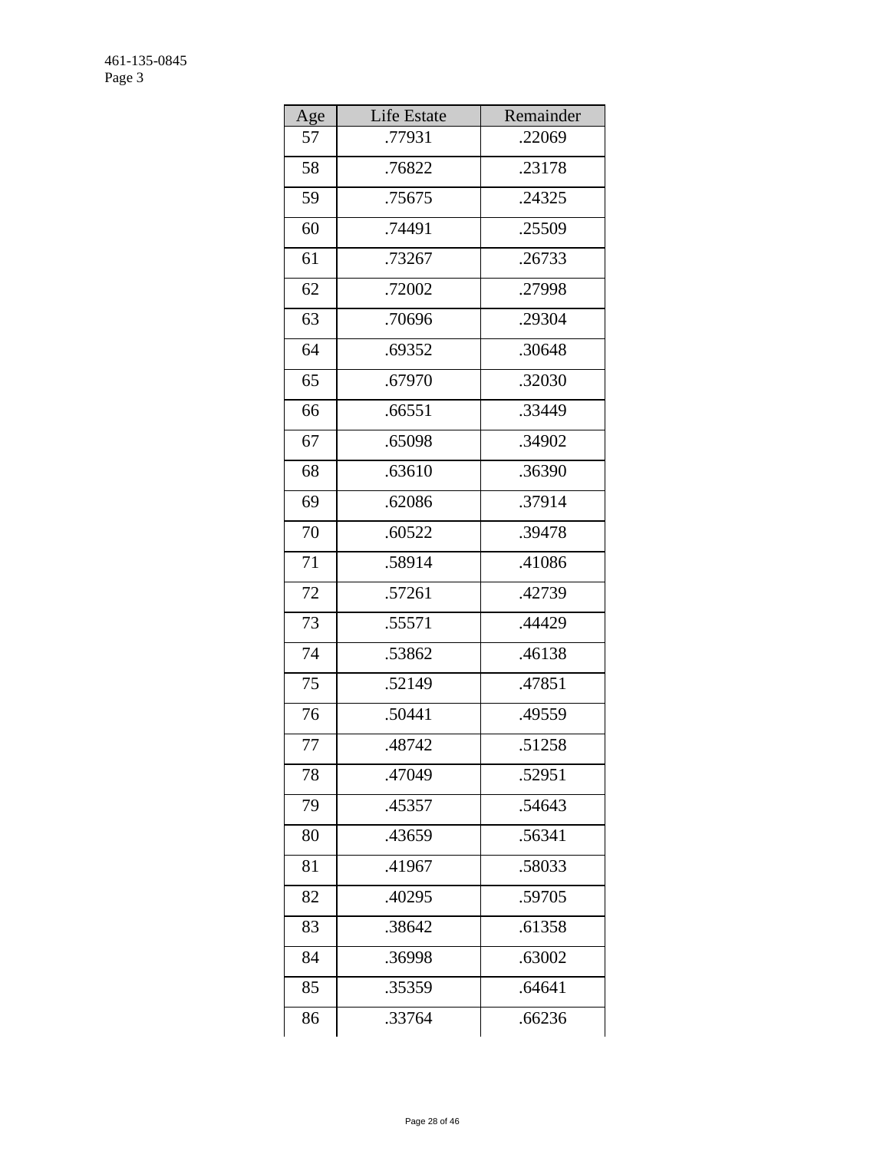| Age | Life Estate | Remainder |
|-----|-------------|-----------|
| 57  | .77931      | .22069    |
| 58  | .76822      | .23178    |
| 59  | .75675      | .24325    |
| 60  | .74491      | .25509    |
| 61  | .73267      | .26733    |
| 62  | .72002      | .27998    |
| 63  | .70696      | .29304    |
| 64  | .69352      | .30648    |
| 65  | .67970      | .32030    |
| 66  | .66551      | .33449    |
| 67  | .65098      | .34902    |
| 68  | .63610      | .36390    |
| 69  | .62086      | .37914    |
| 70  | .60522      | .39478    |
| 71  | .58914      | .41086    |
| 72  | .57261      | .42739    |
| 73  | .55571      | .44429    |
| 74  | .53862      | .46138    |
| 75  | .52149      | .47851    |
| 76  | .50441      | .49559    |
| 77  | .48742      | .51258    |
| 78  | .47049      | .52951    |
| 79  | .45357      | .54643    |
| 80  | .43659      | .56341    |
| 81  | .41967      | .58033    |
| 82  | .40295      | .59705    |
| 83  | .38642      | .61358    |
| 84  | .36998      | .63002    |
| 85  | .35359      | .64641    |
| 86  | .33764      | .66236    |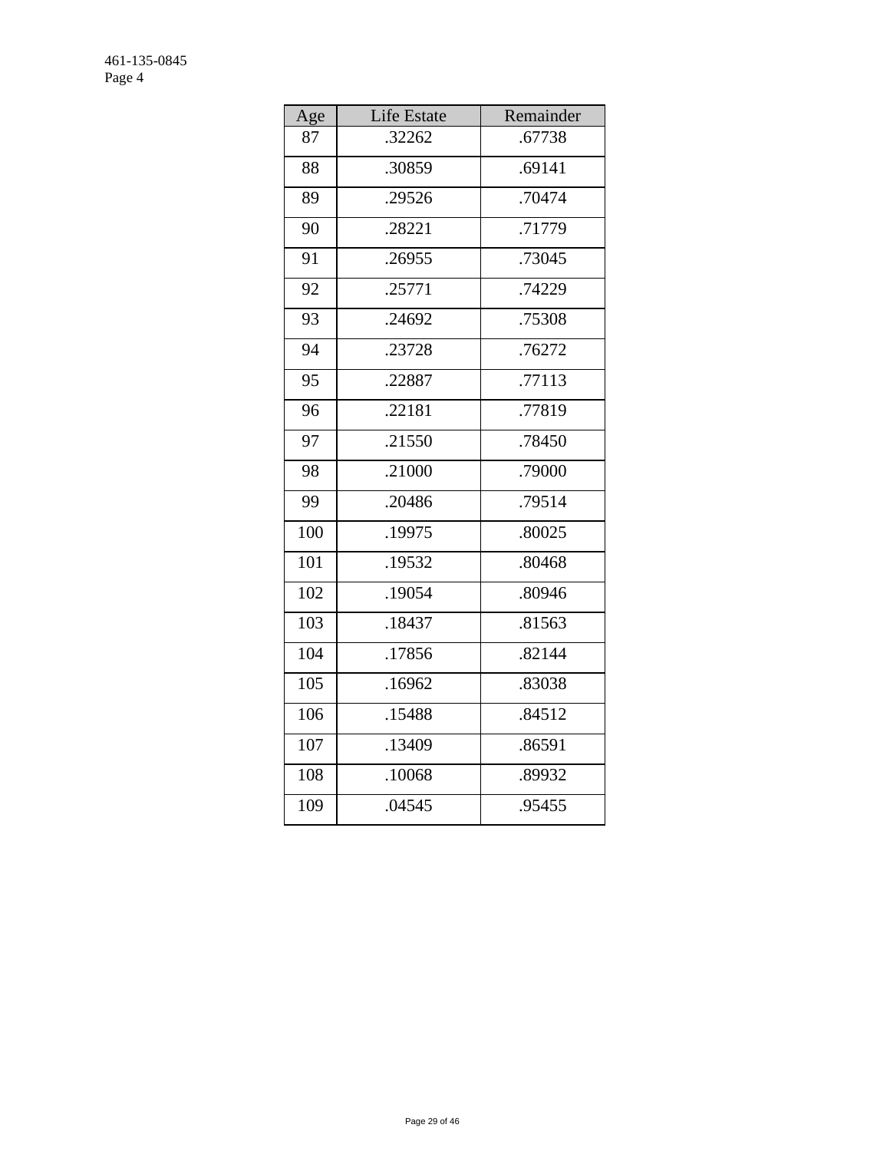| Age | Life Estate | Remainder |
|-----|-------------|-----------|
| 87  | .32262      | .67738    |
| 88  | .30859      | .69141    |
| 89  | .29526      | .70474    |
| 90  | .28221      | .71779    |
| 91  | .26955      | .73045    |
| 92  | .25771      | .74229    |
| 93  | .24692      | .75308    |
| 94  | .23728      | .76272    |
| 95  | .22887      | .77113    |
| 96  | .22181      | .77819    |
| 97  | .21550      | .78450    |
| 98  | .21000      | .79000    |
| 99  | .20486      | .79514    |
| 100 | .19975      | .80025    |
| 101 | .19532      | .80468    |
| 102 | .19054      | .80946    |
| 103 | .18437      | .81563    |
| 104 | .17856      | .82144    |
| 105 | .16962      | .83038    |
| 106 | .15488      | .84512    |
| 107 | .13409      | .86591    |
| 108 | .10068      | .89932    |
| 109 | .04545      | .95455    |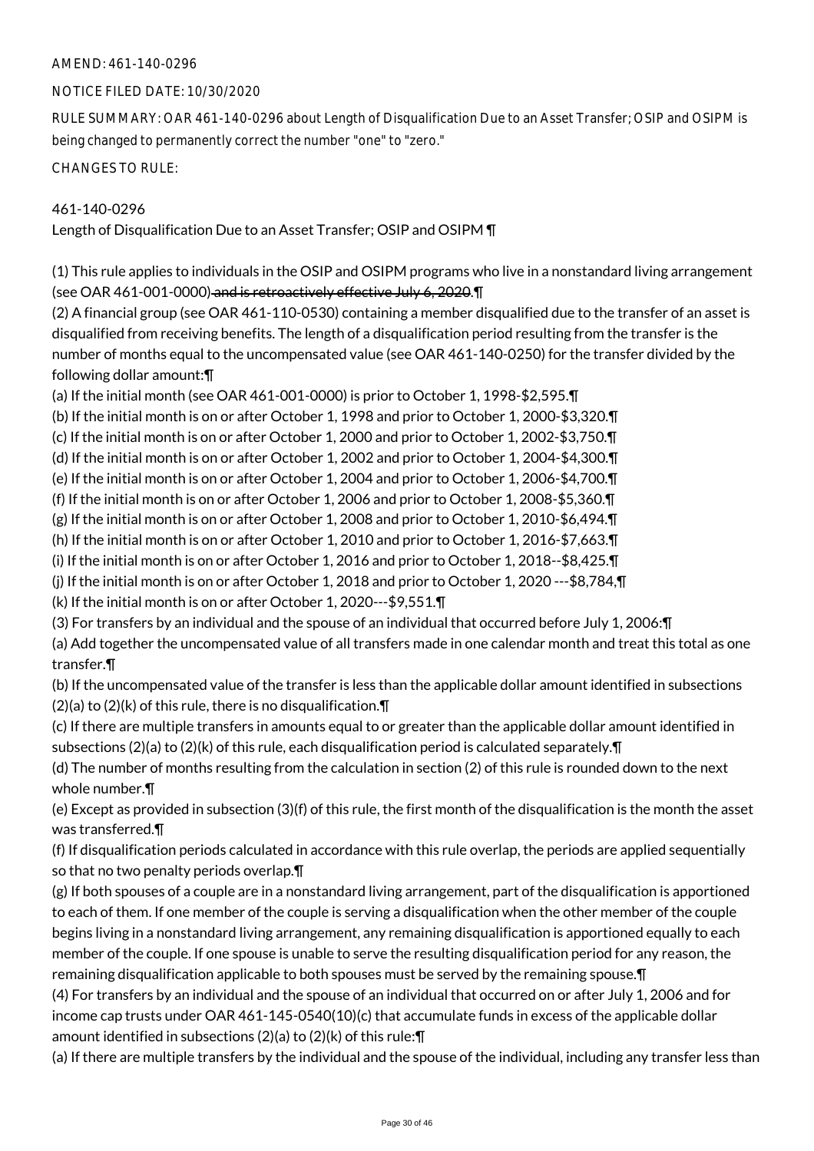#### AMEND: 461-140-0296

#### NOTICE FILED DATE: 10/30/2020

RULE SUMMARY: OAR 461-140-0296 about Length of Disqualification Due to an Asset Transfer; OSIP and OSIPM is being changed to permanently correct the number "one" to "zero."

CHANGES TO RULE:

#### 461-140-0296

Length of Disqualification Due to an Asset Transfer; OSIP and OSIPM ¶

(1) This rule applies to individuals in the OSIP and OSIPM programs who live in a nonstandard living arrangement (see OAR 461-001-0000) and is retroactively effective July 6, 2020.¶

(2) A financial group (see OAR 461-110-0530) containing a member disqualified due to the transfer of an asset is disqualified from receiving benefits. The length of a disqualification period resulting from the transfer is the number of months equal to the uncompensated value (see OAR 461-140-0250) for the transfer divided by the following dollar amount:¶

(a) If the initial month (see OAR 461-001-0000) is prior to October 1, 1998-\$2,595.¶

(b) If the initial month is on or after October 1, 1998 and prior to October 1, 2000-\$3,320.¶

(c) If the initial month is on or after October 1, 2000 and prior to October 1, 2002-\$3,750.¶

(d) If the initial month is on or after October 1, 2002 and prior to October 1, 2004-\$4,300.¶

(e) If the initial month is on or after October 1, 2004 and prior to October 1, 2006-\$4,700.¶

(f) If the initial month is on or after October 1, 2006 and prior to October 1, 2008-\$5,360.¶

(g) If the initial month is on or after October 1, 2008 and prior to October 1, 2010-\$6,494.¶

(h) If the initial month is on or after October 1, 2010 and prior to October 1, 2016-\$7,663.¶

(i) If the initial month is on or after October 1, 2016 and prior to October 1, 2018--\$8,425.¶

(j) If the initial month is on or after October 1, 2018 and prior to October 1, 2020 ---\$8,784,¶

(k) If the initial month is on or after October 1, 2020---\$9,551.¶

(3) For transfers by an individual and the spouse of an individual that occurred before July 1, 2006:¶

(a) Add together the uncompensated value of all transfers made in one calendar month and treat this total as one transfer.¶

(b) If the uncompensated value of the transfer is less than the applicable dollar amount identified in subsections  $(2)(a)$  to  $(2)(k)$  of this rule, there is no disqualification. $\P$ 

(c) If there are multiple transfers in amounts equal to or greater than the applicable dollar amount identified in subsections (2)(a) to (2)(k) of this rule, each disqualification period is calculated separately. $\P$ 

(d) The number of months resulting from the calculation in section (2) of this rule is rounded down to the next whole number.¶

(e) Except as provided in subsection (3)(f) of this rule, the first month of the disqualification is the month the asset was transferred.¶

(f) If disqualification periods calculated in accordance with this rule overlap, the periods are applied sequentially so that no two penalty periods overlap.¶

(g) If both spouses of a couple are in a nonstandard living arrangement, part of the disqualification is apportioned to each of them. If one member of the couple is serving a disqualification when the other member of the couple begins living in a nonstandard living arrangement, any remaining disqualification is apportioned equally to each member of the couple. If one spouse is unable to serve the resulting disqualification period for any reason, the remaining disqualification applicable to both spouses must be served by the remaining spouse.¶

(4) For transfers by an individual and the spouse of an individual that occurred on or after July 1, 2006 and for income cap trusts under OAR 461-145-0540(10)(c) that accumulate funds in excess of the applicable dollar amount identified in subsections (2)(a) to (2)(k) of this rule:¶

(a) If there are multiple transfers by the individual and the spouse of the individual, including any transfer less than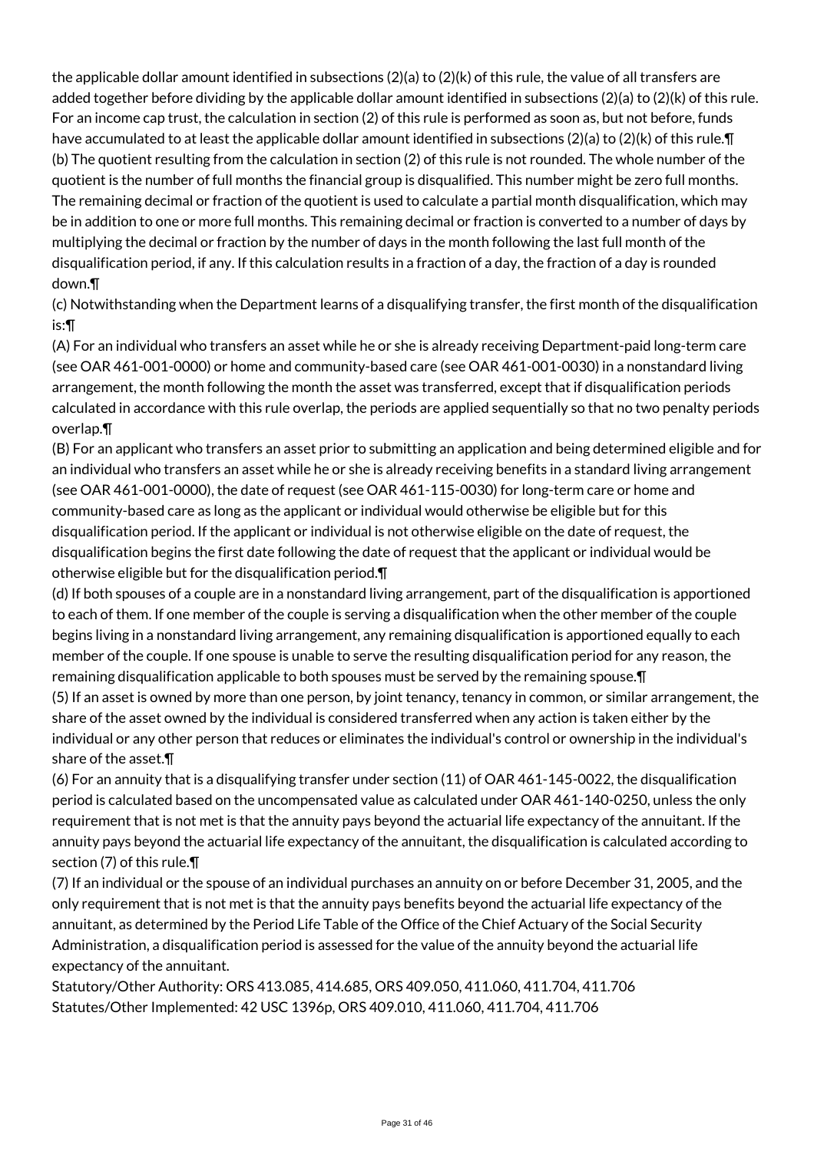the applicable dollar amount identified in subsections  $(2)(a)$  to  $(2)(k)$  of this rule, the value of all transfers are added together before dividing by the applicable dollar amount identified in subsections (2)(a) to (2)(k) of this rule. For an income cap trust, the calculation in section (2) of this rule is performed as soon as, but not before, funds have accumulated to at least the applicable dollar amount identified in subsections (2)(a) to (2)(k) of this rule.¶ (b) The quotient resulting from the calculation in section (2) of this rule is not rounded. The whole number of the quotient is the number of full months the financial group is disqualified. This number might be zero full months. The remaining decimal or fraction of the quotient is used to calculate a partial month disqualification, which may be in addition to one or more full months. This remaining decimal or fraction is converted to a number of days by multiplying the decimal or fraction by the number of days in the month following the last full month of the disqualification period, if any. If this calculation results in a fraction of a day, the fraction of a day is rounded down.¶

(c) Notwithstanding when the Department learns of a disqualifying transfer, the first month of the disqualification is:¶

(A) For an individual who transfers an asset while he or she is already receiving Department-paid long-term care (see OAR 461-001-0000) or home and community-based care (see OAR 461-001-0030) in a nonstandard living arrangement, the month following the month the asset was transferred, except that if disqualification periods calculated in accordance with this rule overlap, the periods are applied sequentially so that no two penalty periods overlap.¶

(B) For an applicant who transfers an asset prior to submitting an application and being determined eligible and for an individual who transfers an asset while he or she is already receiving benefits in a standard living arrangement (see OAR 461-001-0000), the date of request (see OAR 461-115-0030) for long-term care or home and community-based care as long as the applicant or individual would otherwise be eligible but for this disqualification period. If the applicant or individual is not otherwise eligible on the date of request, the disqualification begins the first date following the date of request that the applicant or individual would be otherwise eligible but for the disqualification period.¶

(d) If both spouses of a couple are in a nonstandard living arrangement, part of the disqualification is apportioned to each of them. If one member of the couple is serving a disqualification when the other member of the couple begins living in a nonstandard living arrangement, any remaining disqualification is apportioned equally to each member of the couple. If one spouse is unable to serve the resulting disqualification period for any reason, the remaining disqualification applicable to both spouses must be served by the remaining spouse.¶

(5) If an asset is owned by more than one person, by joint tenancy, tenancy in common, or similar arrangement, the share of the asset owned by the individual is considered transferred when any action is taken either by the individual or any other person that reduces or eliminates the individual's control or ownership in the individual's share of the asset.¶

(6) For an annuity that is a disqualifying transfer under section (11) of OAR 461-145-0022, the disqualification period is calculated based on the uncompensated value as calculated under OAR 461-140-0250, unless the only requirement that is not met is that the annuity pays beyond the actuarial life expectancy of the annuitant. If the annuity pays beyond the actuarial life expectancy of the annuitant, the disqualification is calculated according to section (7) of this rule.¶

(7) If an individual or the spouse of an individual purchases an annuity on or before December 31, 2005, and the only requirement that is not met is that the annuity pays benefits beyond the actuarial life expectancy of the annuitant, as determined by the Period Life Table of the Office of the Chief Actuary of the Social Security Administration, a disqualification period is assessed for the value of the annuity beyond the actuarial life expectancy of the annuitant.

Statutory/Other Authority: ORS 413.085, 414.685, ORS 409.050, 411.060, 411.704, 411.706 Statutes/Other Implemented: 42 USC 1396p, ORS 409.010, 411.060, 411.704, 411.706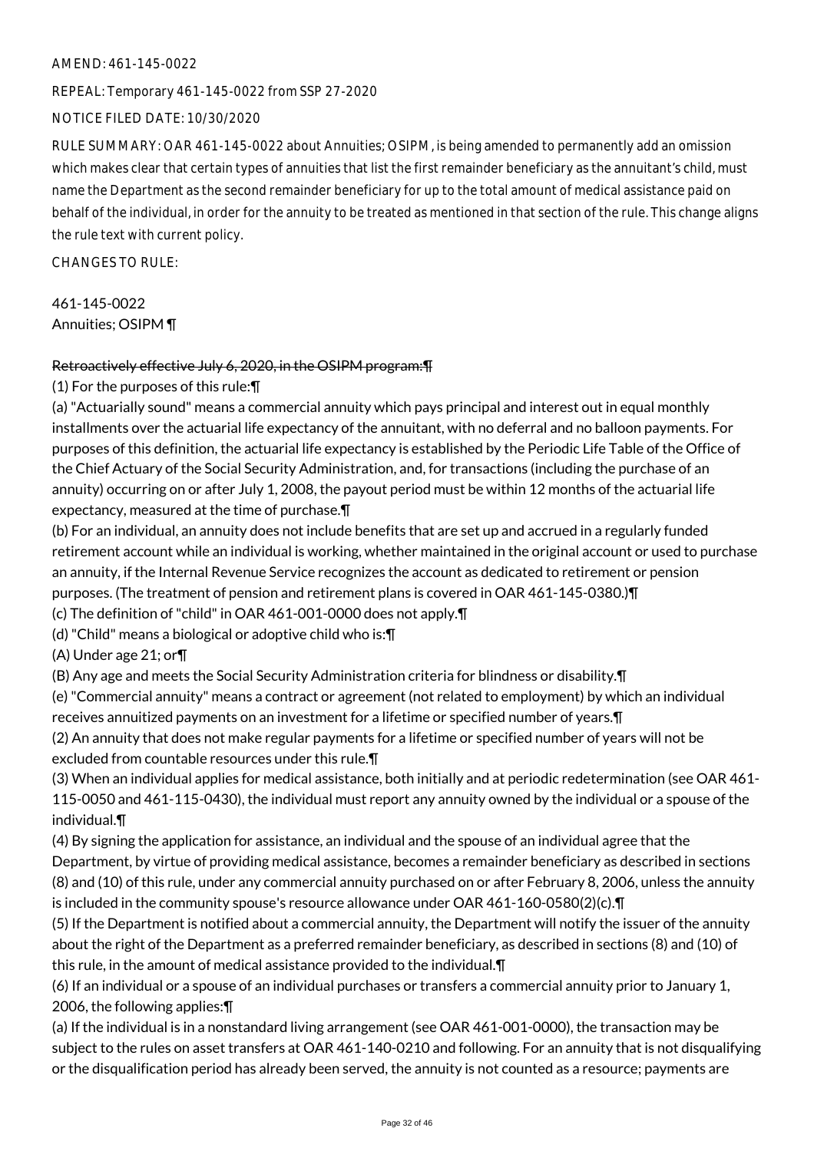#### AMEND: 461-145-0022

REPEAL: Temporary 461-145-0022 from SSP 27-2020

NOTICE FILED DATE: 10/30/2020

RULE SUMMARY: OAR 461-145-0022 about Annuities; OSIPM, is being amended to permanently add an omission which makes clear that certain types of annuities that list the first remainder beneficiary as the annuitant's child, must name the Department as the second remainder beneficiary for up to the total amount of medical assistance paid on behalf of the individual, in order for the annuity to be treated as mentioned in that section of the rule. This change aligns the rule text with current policy.

CHANGES TO RULE:

461-145-0022 Annuities; OSIPM ¶

#### Retroactively effective July 6, 2020, in the OSIPM program:¶

(1) For the purposes of this rule:¶

(a) "Actuarially sound" means a commercial annuity which pays principal and interest out in equal monthly installments over the actuarial life expectancy of the annuitant, with no deferral and no balloon payments. For purposes of this definition, the actuarial life expectancy is established by the Periodic Life Table of the Office of the Chief Actuary of the Social Security Administration, and, for transactions (including the purchase of an annuity) occurring on or after July 1, 2008, the payout period must be within 12 months of the actuarial life expectancy, measured at the time of purchase.¶

(b) For an individual, an annuity does not include benefits that are set up and accrued in a regularly funded retirement account while an individual is working, whether maintained in the original account or used to purchase an annuity, if the Internal Revenue Service recognizes the account as dedicated to retirement or pension purposes. (The treatment of pension and retirement plans is covered in OAR 461-145-0380.)¶

(c) The definition of "child" in OAR 461-001-0000 does not apply.¶

(d) "Child" means a biological or adoptive child who is:¶

(A) Under age 21; or¶

(B) Any age and meets the Social Security Administration criteria for blindness or disability.¶

(e) "Commercial annuity" means a contract or agreement (not related to employment) by which an individual receives annuitized payments on an investment for a lifetime or specified number of years.¶

(2) An annuity that does not make regular payments for a lifetime or specified number of years will not be excluded from countable resources under this rule.¶

(3) When an individual applies for medical assistance, both initially and at periodic redetermination (see OAR 461- 115-0050 and 461-115-0430), the individual must report any annuity owned by the individual or a spouse of the individual.¶

(4) By signing the application for assistance, an individual and the spouse of an individual agree that the Department, by virtue of providing medical assistance, becomes a remainder beneficiary as described in sections (8) and (10) of this rule, under any commercial annuity purchased on or after February 8, 2006, unless the annuity is included in the community spouse's resource allowance under OAR 461-160-0580(2)(c).¶

(5) If the Department is notified about a commercial annuity, the Department will notify the issuer of the annuity about the right of the Department as a preferred remainder beneficiary, as described in sections (8) and (10) of this rule, in the amount of medical assistance provided to the individual.¶

(6) If an individual or a spouse of an individual purchases or transfers a commercial annuity prior to January 1, 2006, the following applies:¶

(a) If the individual is in a nonstandard living arrangement (see OAR 461-001-0000), the transaction may be subject to the rules on asset transfers at OAR 461-140-0210 and following. For an annuity that is not disqualifying or the disqualification period has already been served, the annuity is not counted as a resource; payments are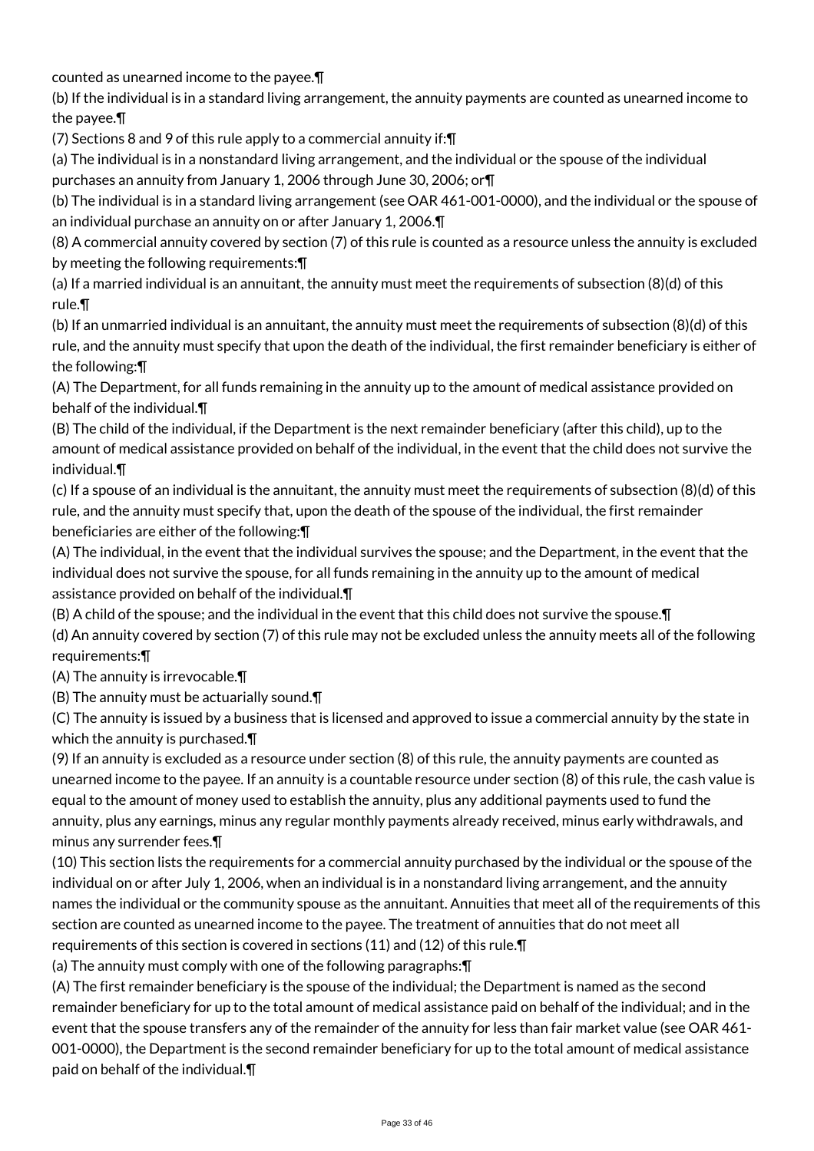counted as unearned income to the payee.¶

(b) If the individual is in a standard living arrangement, the annuity payments are counted as unearned income to the payee.¶

(7) Sections 8 and 9 of this rule apply to a commercial annuity if:¶

(a) The individual is in a nonstandard living arrangement, and the individual or the spouse of the individual purchases an annuity from January 1, 2006 through June 30, 2006; or¶

(b) The individual is in a standard living arrangement (see OAR 461-001-0000), and the individual or the spouse of an individual purchase an annuity on or after January 1, 2006.¶

(8) A commercial annuity covered by section (7) of this rule is counted as a resource unless the annuity is excluded by meeting the following requirements:¶

(a) If a married individual is an annuitant, the annuity must meet the requirements of subsection (8)(d) of this rule.¶

(b) If an unmarried individual is an annuitant, the annuity must meet the requirements of subsection (8)(d) of this rule, and the annuity must specify that upon the death of the individual, the first remainder beneficiary is either of the following:¶

(A) The Department, for all funds remaining in the annuity up to the amount of medical assistance provided on behalf of the individual.¶

(B) The child of the individual, if the Department is the next remainder beneficiary (after this child), up to the amount of medical assistance provided on behalf of the individual, in the event that the child does not survive the individual.¶

(c) If a spouse of an individual is the annuitant, the annuity must meet the requirements of subsection (8)(d) of this rule, and the annuity must specify that, upon the death of the spouse of the individual, the first remainder beneficiaries are either of the following:¶

(A) The individual, in the event that the individual survives the spouse; and the Department, in the event that the individual does not survive the spouse, for all funds remaining in the annuity up to the amount of medical assistance provided on behalf of the individual.¶

(B) A child of the spouse; and the individual in the event that this child does not survive the spouse.¶

(d) An annuity covered by section (7) of this rule may not be excluded unless the annuity meets all of the following requirements:¶

(A) The annuity is irrevocable.¶

(B) The annuity must be actuarially sound.¶

(C) The annuity is issued by a business that is licensed and approved to issue a commercial annuity by the state in which the annuity is purchased.¶

(9) If an annuity is excluded as a resource under section (8) of this rule, the annuity payments are counted as unearned income to the payee. If an annuity is a countable resource under section (8) of this rule, the cash value is equal to the amount of money used to establish the annuity, plus any additional payments used to fund the annuity, plus any earnings, minus any regular monthly payments already received, minus early withdrawals, and minus any surrender fees.¶

(10) This section lists the requirements for a commercial annuity purchased by the individual or the spouse of the individual on or after July 1, 2006, when an individual is in a nonstandard living arrangement, and the annuity names the individual or the community spouse as the annuitant. Annuities that meet all of the requirements of this section are counted as unearned income to the payee. The treatment of annuities that do not meet all requirements of this section is covered in sections (11) and (12) of this rule.¶

(a) The annuity must comply with one of the following paragraphs:¶

(A) The first remainder beneficiary is the spouse of the individual; the Department is named as the second remainder beneficiary for up to the total amount of medical assistance paid on behalf of the individual; and in the event that the spouse transfers any of the remainder of the annuity for less than fair market value (see OAR 461- 001-0000), the Department is the second remainder beneficiary for up to the total amount of medical assistance paid on behalf of the individual.¶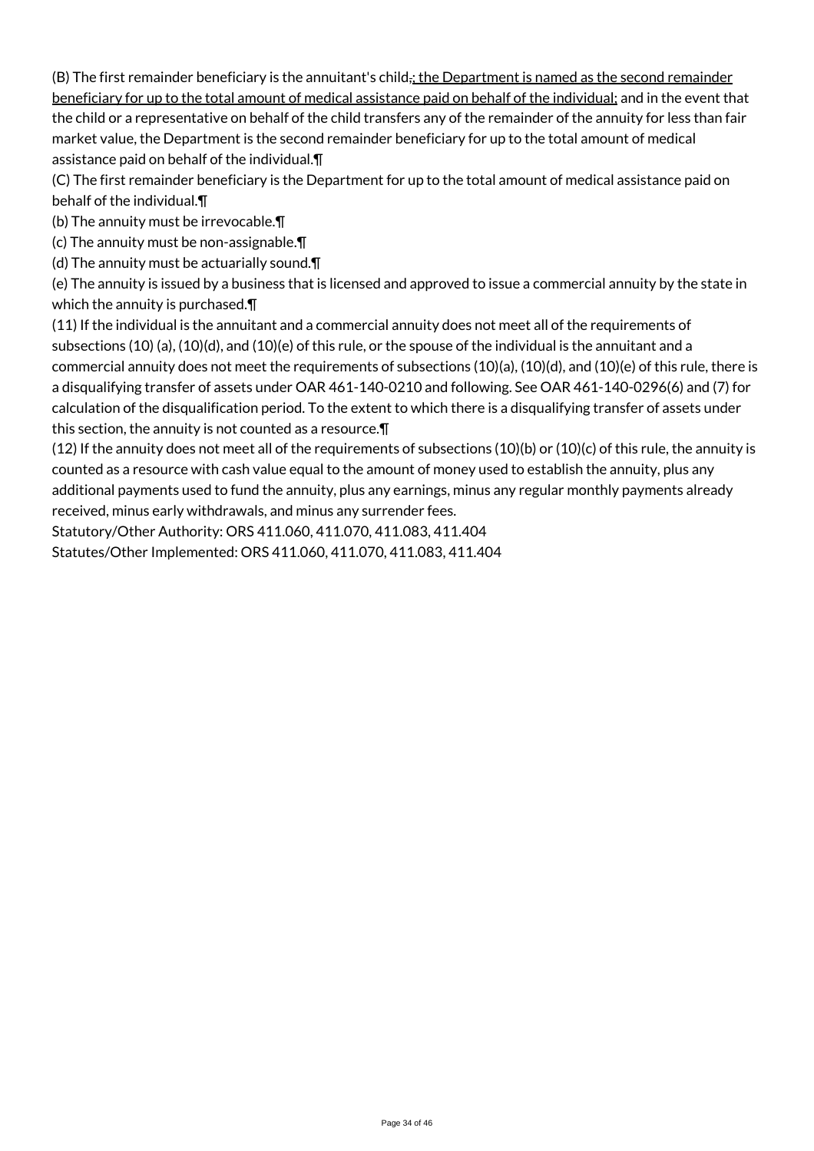(B) The first remainder beneficiary is the annuitant's child<sub> $\ddot{i}$ </sub>, the Department is named as the second remainder beneficiary for up to the total amount of medical assistance paid on behalf of the individual; and in the event that the child or a representative on behalf of the child transfers any of the remainder of the annuity for less than fair market value, the Department is the second remainder beneficiary for up to the total amount of medical assistance paid on behalf of the individual.¶

(C) The first remainder beneficiary is the Department for up to the total amount of medical assistance paid on behalf of the individual.¶

(b) The annuity must be irrevocable.¶

(c) The annuity must be non-assignable.¶

(d) The annuity must be actuarially sound.¶

(e) The annuity is issued by a business that is licensed and approved to issue a commercial annuity by the state in which the annuity is purchased.¶

(11) If the individual is the annuitant and a commercial annuity does not meet all of the requirements of subsections (10) (a), (10)(d), and (10)(e) of this rule, or the spouse of the individual is the annuitant and a commercial annuity does not meet the requirements of subsections (10)(a), (10)(d), and (10)(e) of this rule, there is a disqualifying transfer of assets under OAR 461-140-0210 and following. See OAR 461-140-0296(6) and (7) for calculation of the disqualification period. To the extent to which there is a disqualifying transfer of assets under this section, the annuity is not counted as a resource.¶

(12) If the annuity does not meet all of the requirements of subsections (10)(b) or (10)(c) of this rule, the annuity is counted as a resource with cash value equal to the amount of money used to establish the annuity, plus any additional payments used to fund the annuity, plus any earnings, minus any regular monthly payments already received, minus early withdrawals, and minus any surrender fees.

Statutory/Other Authority: ORS 411.060, 411.070, 411.083, 411.404

Statutes/Other Implemented: ORS 411.060, 411.070, 411.083, 411.404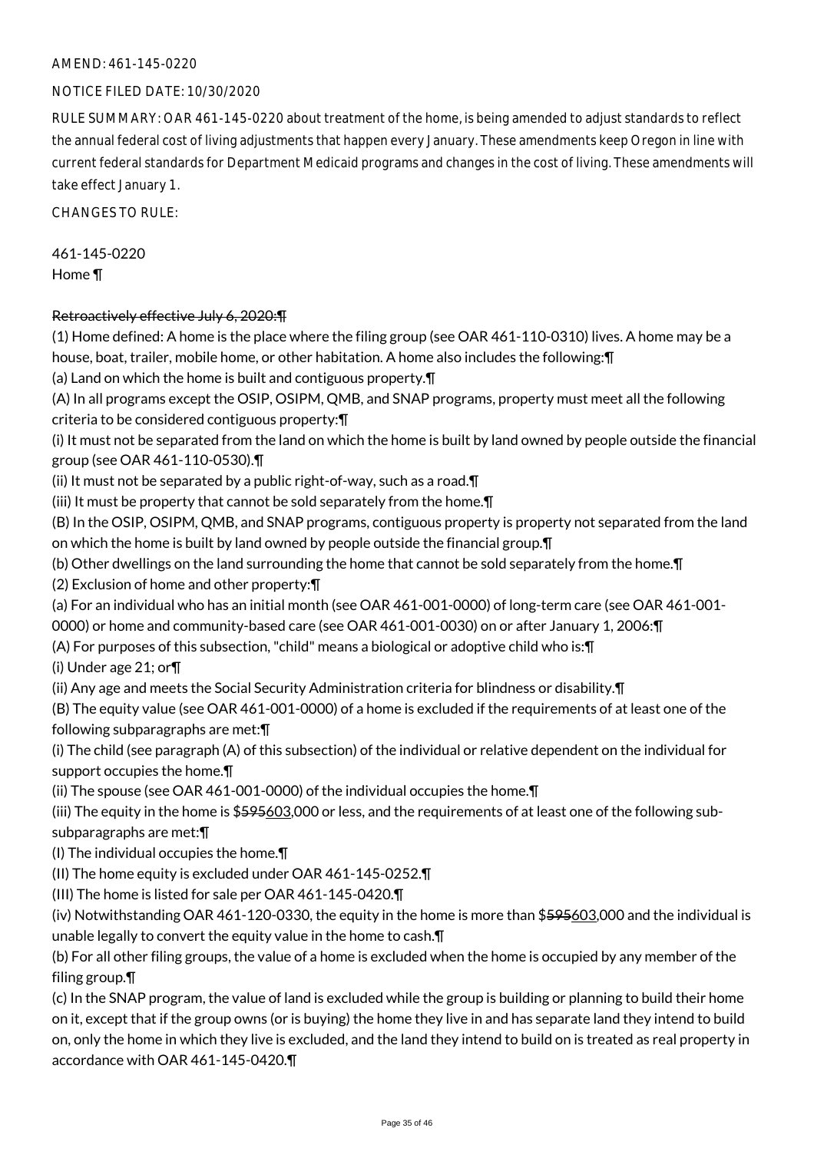#### AMEND: 461-145-0220

#### NOTICE FILED DATE: 10/30/2020

RULE SUMMARY: OAR 461-145-0220 about treatment of the home, is being amended to adjust standards to reflect the annual federal cost of living adjustments that happen every January. These amendments keep Oregon in line with current federal standards for Department Medicaid programs and changes in the cost of living. These amendments will take effect January 1.

CHANGES TO RULE:

461-145-0220 Home ¶

#### Retroactively effective July 6, 2020:¶

(1) Home defined: A home is the place where the filing group (see OAR 461-110-0310) lives. A home may be a house, boat, trailer, mobile home, or other habitation. A home also includes the following:¶

(a) Land on which the home is built and contiguous property.¶

(A) In all programs except the OSIP, OSIPM, QMB, and SNAP programs, property must meet all the following criteria to be considered contiguous property:¶

(i) It must not be separated from the land on which the home is built by land owned by people outside the financial group (see OAR 461-110-0530).¶

(ii) It must not be separated by a public right-of-way, such as a road.¶

(iii) It must be property that cannot be sold separately from the home.¶

(B) In the OSIP, OSIPM, QMB, and SNAP programs, contiguous property is property not separated from the land on which the home is built by land owned by people outside the financial group.¶

(b) Other dwellings on the land surrounding the home that cannot be sold separately from the home.¶

(2) Exclusion of home and other property:¶

(a) For an individual who has an initial month (see OAR 461-001-0000) of long-term care (see OAR 461-001-

0000) or home and community-based care (see OAR 461-001-0030) on or after January 1, 2006:¶

(A) For purposes of this subsection, "child" means a biological or adoptive child who is:¶

(i) Under age 21; or¶

(ii) Any age and meets the Social Security Administration criteria for blindness or disability.¶

(B) The equity value (see OAR 461-001-0000) of a home is excluded if the requirements of at least one of the following subparagraphs are met:¶

(i) The child (see paragraph (A) of this subsection) of the individual or relative dependent on the individual for support occupies the home.¶

(ii) The spouse (see OAR 461-001-0000) of the individual occupies the home.¶

(iii) The equity in the home is \$595603,000 or less, and the requirements of at least one of the following subsubparagraphs are met:¶

(I) The individual occupies the home.¶

(II) The home equity is excluded under OAR 461-145-0252.¶

(III) The home is listed for sale per OAR 461-145-0420.¶

(iv) Notwithstanding OAR 461-120-0330, the equity in the home is more than \$595603,000 and the individual is unable legally to convert the equity value in the home to cash.¶

(b) For all other filing groups, the value of a home is excluded when the home is occupied by any member of the filing group.¶

(c) In the SNAP program, the value of land is excluded while the group is building or planning to build their home on it, except that if the group owns (or is buying) the home they live in and has separate land they intend to build on, only the home in which they live is excluded, and the land they intend to build on is treated as real property in accordance with OAR 461-145-0420.¶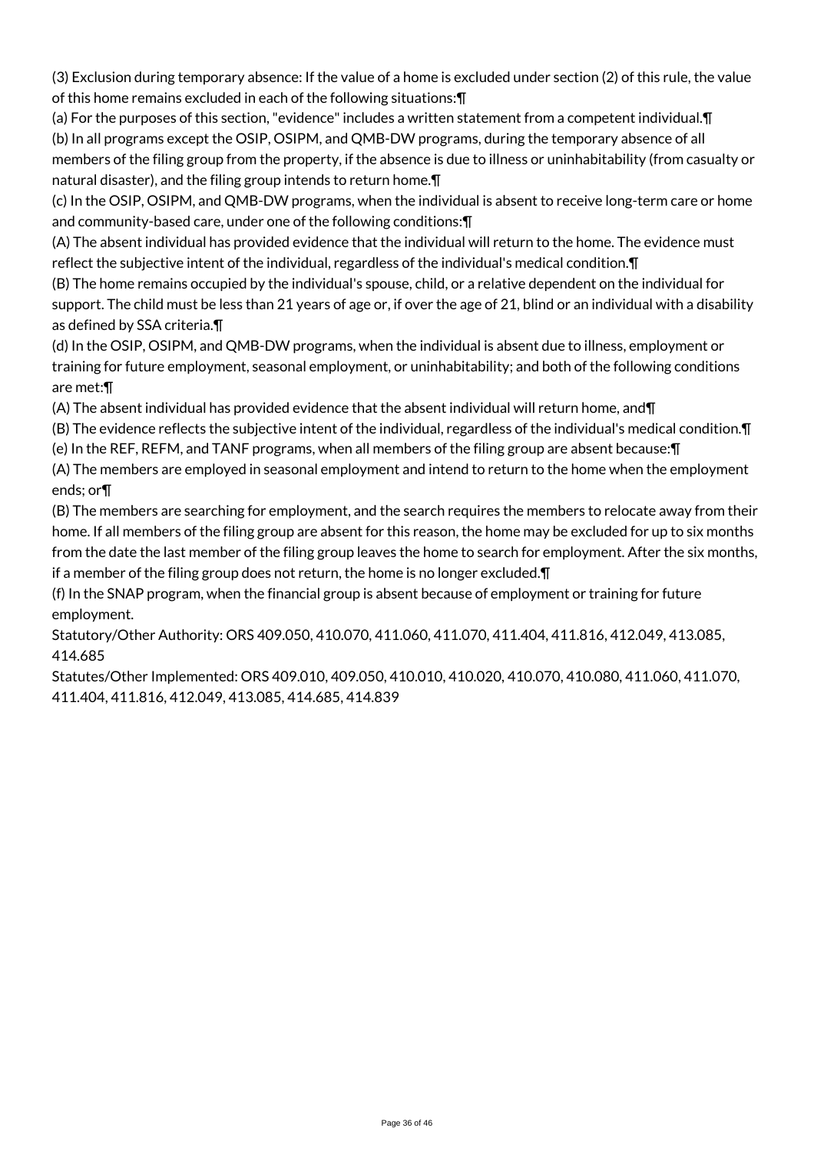(3) Exclusion during temporary absence: If the value of a home is excluded under section (2) of this rule, the value of this home remains excluded in each of the following situations:¶

(a) For the purposes of this section, "evidence" includes a written statement from a competent individual.¶

(b) In all programs except the OSIP, OSIPM, and QMB-DW programs, during the temporary absence of all members of the filing group from the property, if the absence is due to illness or uninhabitability (from casualty or natural disaster), and the filing group intends to return home.¶

(c) In the OSIP, OSIPM, and QMB-DW programs, when the individual is absent to receive long-term care or home and community-based care, under one of the following conditions:¶

(A) The absent individual has provided evidence that the individual will return to the home. The evidence must reflect the subjective intent of the individual, regardless of the individual's medical condition.¶

(B) The home remains occupied by the individual's spouse, child, or a relative dependent on the individual for support. The child must be less than 21 years of age or, if over the age of 21, blind or an individual with a disability as defined by SSA criteria.¶

(d) In the OSIP, OSIPM, and QMB-DW programs, when the individual is absent due to illness, employment or training for future employment, seasonal employment, or uninhabitability; and both of the following conditions are met:¶

(A) The absent individual has provided evidence that the absent individual will return home, and¶

(B) The evidence reflects the subjective intent of the individual, regardless of the individual's medical condition.¶ (e) In the REF, REFM, and TANF programs, when all members of the filing group are absent because:¶

(A) The members are employed in seasonal employment and intend to return to the home when the employment ends; or¶

(B) The members are searching for employment, and the search requires the members to relocate away from their home. If all members of the filing group are absent for this reason, the home may be excluded for up to six months from the date the last member of the filing group leaves the home to search for employment. After the six months, if a member of the filing group does not return, the home is no longer excluded.¶

(f) In the SNAP program, when the financial group is absent because of employment or training for future employment.

Statutory/Other Authority: ORS 409.050, 410.070, 411.060, 411.070, 411.404, 411.816, 412.049, 413.085, 414.685

Statutes/Other Implemented: ORS 409.010, 409.050, 410.010, 410.020, 410.070, 410.080, 411.060, 411.070, 411.404, 411.816, 412.049, 413.085, 414.685, 414.839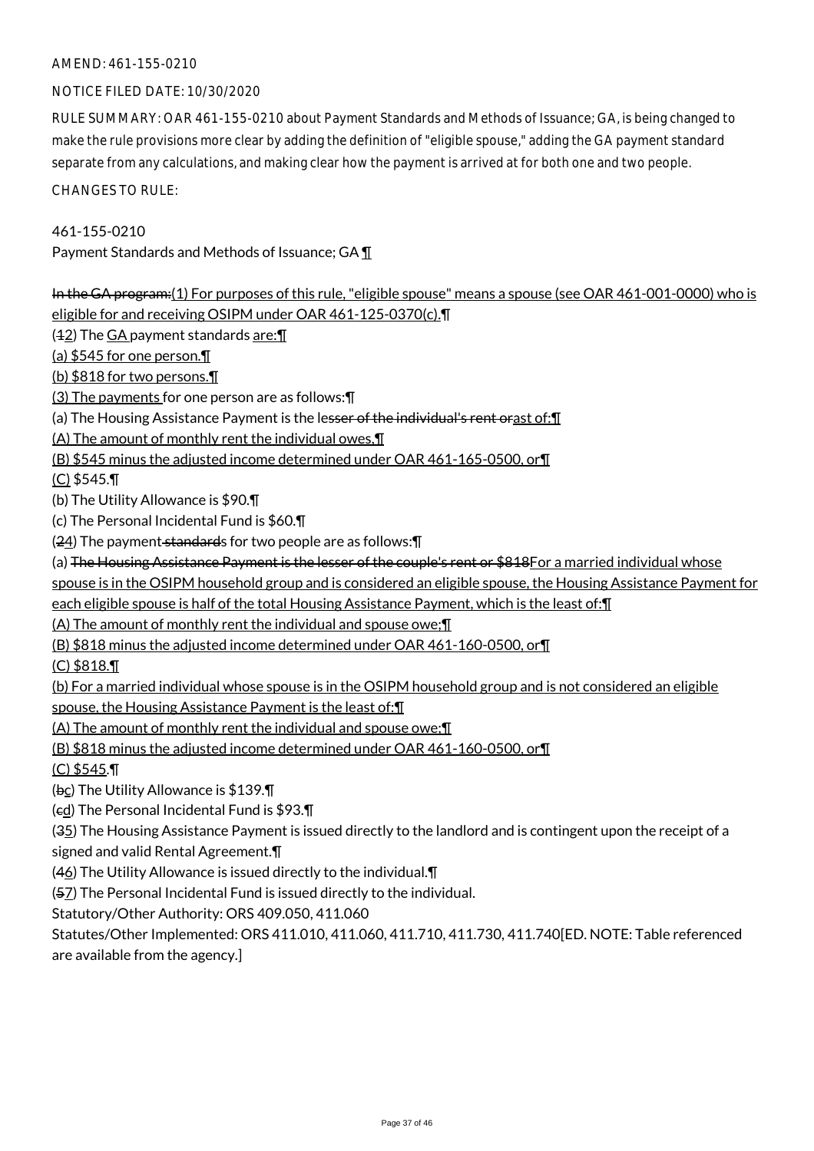#### AMEND: 461-155-0210

#### NOTICE FILED DATE: 10/30/2020

RULE SUMMARY: OAR 461-155-0210 about Payment Standards and Methods of Issuance; GA, is being changed to make the rule provisions more clear by adding the definition of "eligible spouse," adding the GA payment standard separate from any calculations, and making clear how the payment is arrived at for both one and two people.

CHANGES TO RULE:

#### 461-155-0210

Payment Standards and Methods of Issuance; GA ¶

In the GA program:(1) For purposes of this rule, "eligible spouse" means a spouse (see OAR 461-001-0000) who is eligible for and receiving OSIPM under OAR 461-125-0370(c).¶  $(42)$  The GA payment standards are: $\P$ (a) \$545 for one person.¶ (b) \$818 for two persons.¶ (3) The payments for one person are as follows:¶ (a) The Housing Assistance Payment is the lesser of the individual's rent orast of: [1] (A) The amount of monthly rent the individual owes,¶ (B) \$545 minus the adjusted income determined under OAR 461-165-0500, or¶ (C) \$545.¶ (b) The Utility Allowance is \$90.¶ (c) The Personal Incidental Fund is \$60.¶  $(24)$  The payment standards for two people are as follows:  $\P$ (a) The Housing Assistance Payment is the lesser of the couple's rent or \$818For a married individual whose spouse is in the OSIPM household group and is considered an eligible spouse, the Housing Assistance Payment for each eligible spouse is half of the total Housing Assistance Payment, which is the least of:¶ (A) The amount of monthly rent the individual and spouse owe;¶ (B) \$818 minus the adjusted income determined under OAR 461-160-0500, or¶ (C) \$818.¶ (b) For a married individual whose spouse is in the OSIPM household group and is not considered an eligible spouse, the Housing Assistance Payment is the least of:¶ (A) The amount of monthly rent the individual and spouse owe;¶ (B) \$818 minus the adjusted income determined under OAR 461-160-0500, or¶ (C) \$545.¶ (bc) The Utility Allowance is \$139.¶ (cd) The Personal Incidental Fund is \$93.¶ (35) The Housing Assistance Payment is issued directly to the landlord and is contingent upon the receipt of a signed and valid Rental Agreement.¶ (46) The Utility Allowance is issued directly to the individual.¶ (57) The Personal Incidental Fund is issued directly to the individual.

Statutory/Other Authority: ORS 409.050, 411.060

Statutes/Other Implemented: ORS 411.010, 411.060, 411.710, 411.730, 411.740[ED. NOTE: Table referenced are available from the agency.]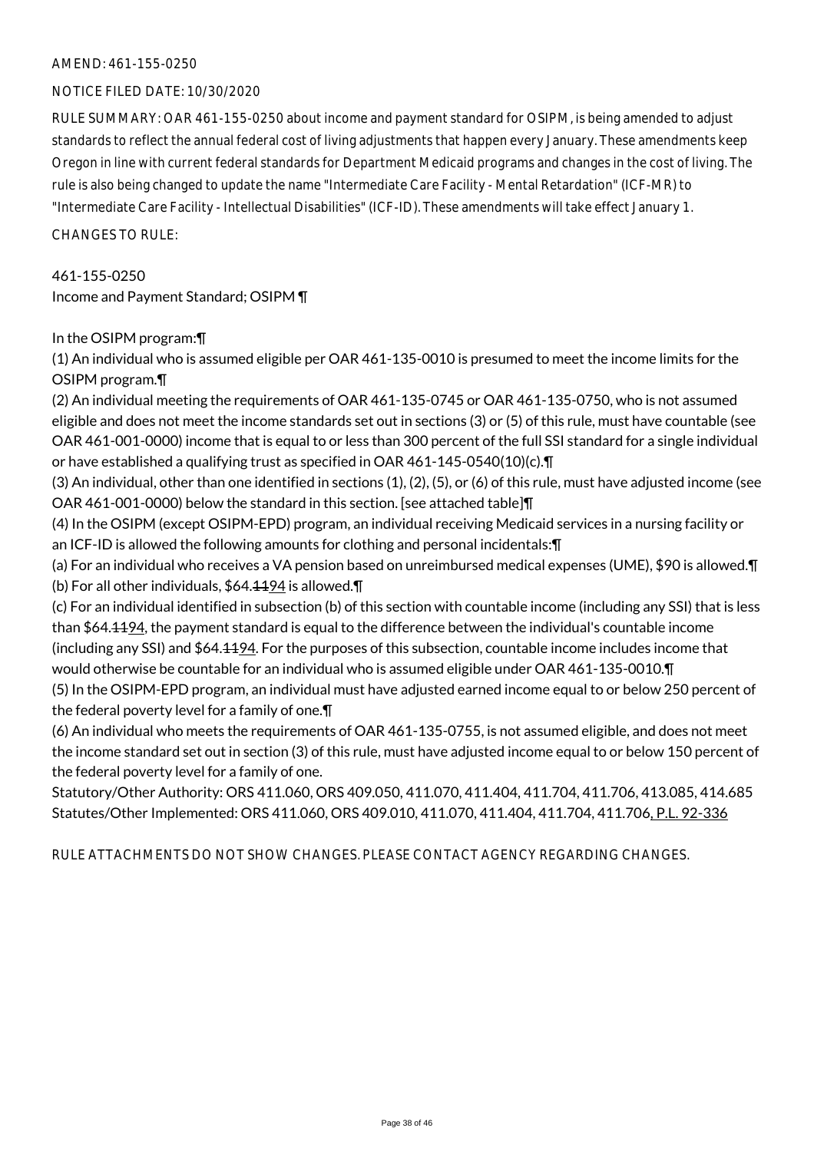#### AMEND: 461-155-0250

#### NOTICE FILED DATE: 10/30/2020

RULE SUMMARY: OAR 461-155-0250 about income and payment standard for OSIPM, is being amended to adjust standards to reflect the annual federal cost of living adjustments that happen every January. These amendments keep Oregon in line with current federal standards for Department Medicaid programs and changes in the cost of living. The rule is also being changed to update the name "Intermediate Care Facility - Mental Retardation" (ICF-MR) to "Intermediate Care Facility - Intellectual Disabilities" (ICF-ID). These amendments will take effect January 1.

 $CHANGESTORUIF$ 

461-155-0250 Income and Payment Standard; OSIPM ¶

In the OSIPM program:¶

(1) An individual who is assumed eligible per OAR 461-135-0010 is presumed to meet the income limits for the OSIPM program.¶

(2) An individual meeting the requirements of OAR 461-135-0745 or OAR 461-135-0750, who is not assumed eligible and does not meet the income standards set out in sections (3) or (5) of this rule, must have countable (see OAR 461-001-0000) income that is equal to or less than 300 percent of the full SSI standard for a single individual or have established a qualifying trust as specified in OAR 461-145-0540(10)(c).¶

(3) An individual, other than one identified in sections (1), (2), (5), or (6) of this rule, must have adjusted income (see OAR 461-001-0000) below the standard in this section. [see attached table]¶

(4) In the OSIPM (except OSIPM-EPD) program, an individual receiving Medicaid services in a nursing facility or an ICF-ID is allowed the following amounts for clothing and personal incidentals:¶

(a) For an individual who receives a VA pension based on unreimbursed medical expenses (UME), \$90 is allowed.¶ (b) For all other individuals,  $$64.1194$  is allowed.  $\P$ 

(c) For an individual identified in subsection (b) of this section with countable income (including any SSI) that is less than \$64.<del>1194</del>, the payment standard is equal to the difference between the individual's countable income (including any SSI) and \$64.1194. For the purposes of this subsection, countable income includes income that would otherwise be countable for an individual who is assumed eligible under OAR 461-135-0010.¶ (5) In the OSIPM-EPD program, an individual must have adjusted earned income equal to or below 250 percent of

the federal poverty level for a family of one.¶

(6) An individual who meets the requirements of OAR 461-135-0755, is not assumed eligible, and does not meet the income standard set out in section (3) of this rule, must have adjusted income equal to or below 150 percent of the federal poverty level for a family of one.

Statutory/Other Authority: ORS 411.060, ORS 409.050, 411.070, 411.404, 411.704, 411.706, 413.085, 414.685 Statutes/Other Implemented: ORS 411.060, ORS 409.010, 411.070, 411.404, 411.704, 411.706, P.L. 92-336

RULE ATTACHMENTS DO NOT SHOW CHANGES. PLEASE CONTACT AGENCY REGARDING CHANGES.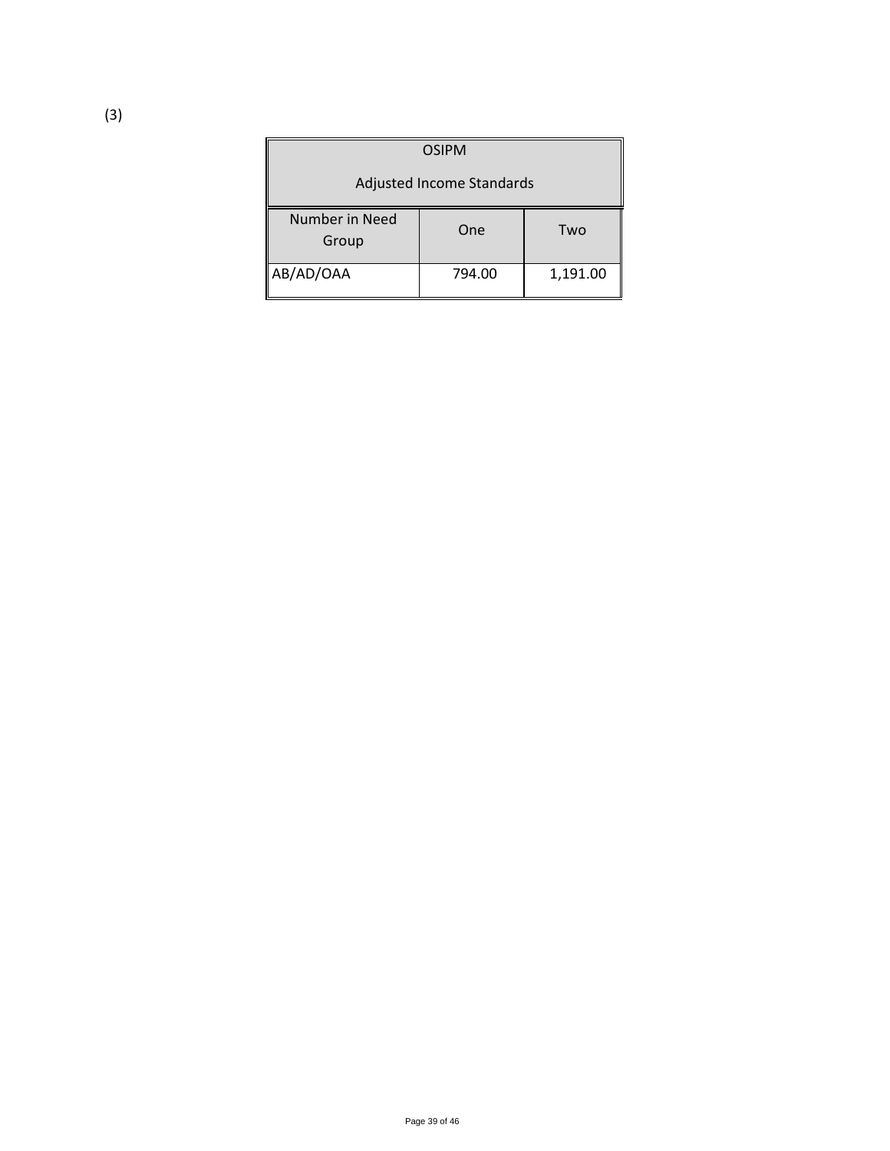| <b>OSIPM</b>              |        |          |
|---------------------------|--------|----------|
| Adjusted Income Standards |        |          |
| Number in Need<br>Group   | One    | Two      |
| AB/AD/OAA                 | 794.00 | 1,191.00 |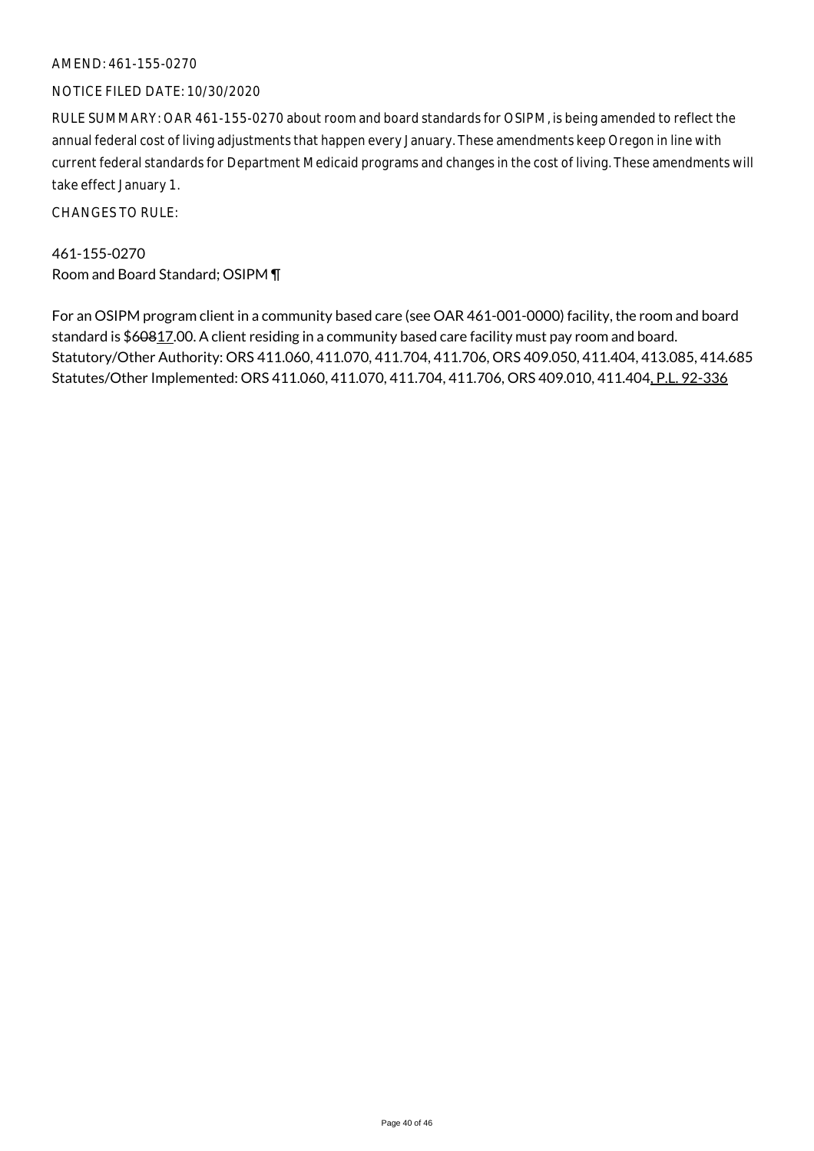#### AMEND: 461-155-0270

#### NOTICE FILED DATE: 10/30/2020

RULE SUMMARY: OAR 461-155-0270 about room and board standards for OSIPM, is being amended to reflect the annual federal cost of living adjustments that happen every January. These amendments keep Oregon in line with current federal standards for Department Medicaid programs and changes in the cost of living. These amendments will take effect January 1.

CHANGES TO RULE:

461-155-0270 Room and Board Standard; OSIPM ¶

For an OSIPM program client in a community based care (see OAR 461-001-0000) facility, the room and board standard is \$60817.00. A client residing in a community based care facility must pay room and board. Statutory/Other Authority: ORS 411.060, 411.070, 411.704, 411.706, ORS 409.050, 411.404, 413.085, 414.685 Statutes/Other Implemented: ORS 411.060, 411.070, 411.704, 411.706, ORS 409.010, 411.404, P.L. 92-336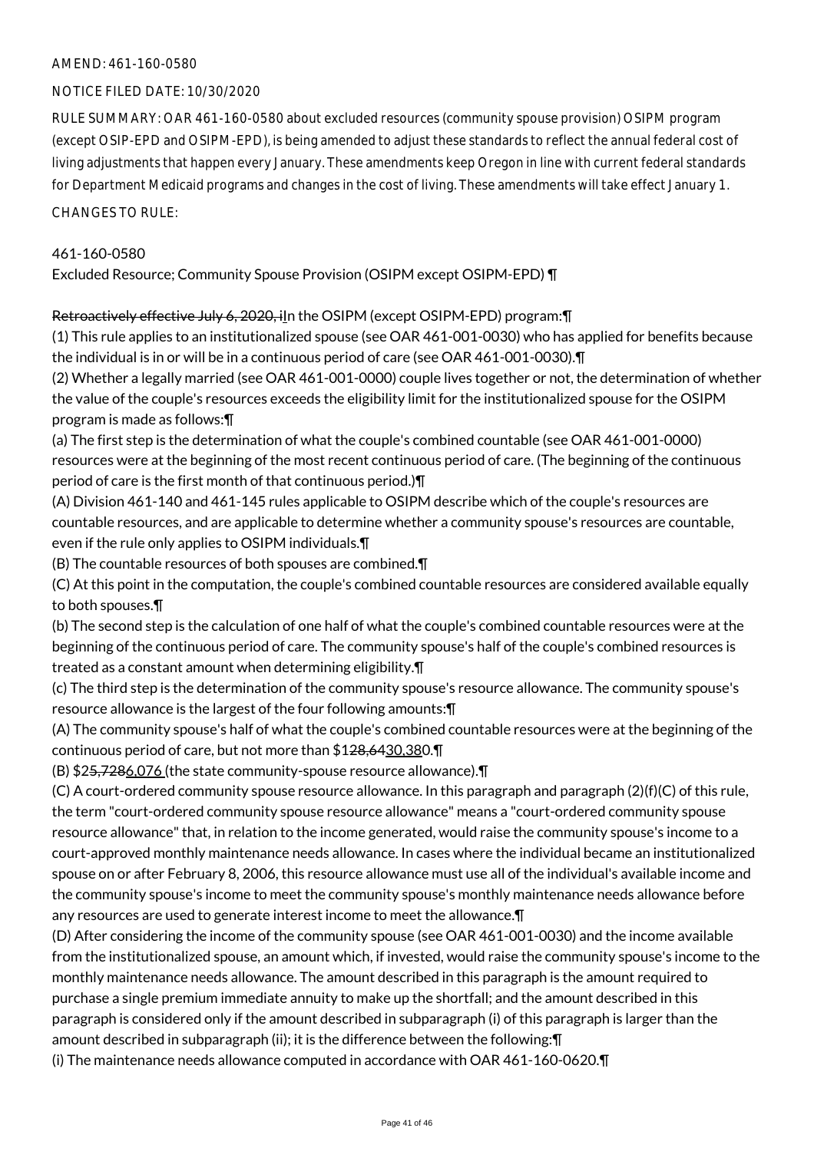#### AMEND: 461-160-0580

#### NOTICE FILED DATE: 10/30/2020

RULE SUMMARY: OAR 461-160-0580 about excluded resources (community spouse provision) OSIPM program (except OSIP-EPD and OSIPM-EPD), is being amended to adjust these standards to reflect the annual federal cost of living adjustments that happen every January. These amendments keep Oregon in line with current federal standards for Department Medicaid programs and changes in the cost of living. These amendments will take effect January 1.

CHANGES TO RULE:

# 461-160-0580

Excluded Resource; Community Spouse Provision (OSIPM except OSIPM-EPD) ¶

#### Retroactively effective July 6, 2020, iln the OSIPM (except OSIPM-EPD) program: [

(1) This rule applies to an institutionalized spouse (see OAR 461-001-0030) who has applied for benefits because the individual is in or will be in a continuous period of care (see OAR 461-001-0030).¶

(2) Whether a legally married (see OAR 461-001-0000) couple lives together or not, the determination of whether the value of the couple's resources exceeds the eligibility limit for the institutionalized spouse for the OSIPM program is made as follows:¶

(a) The first step is the determination of what the couple's combined countable (see OAR 461-001-0000) resources were at the beginning of the most recent continuous period of care. (The beginning of the continuous period of care is the first month of that continuous period.)¶

(A) Division 461-140 and 461-145 rules applicable to OSIPM describe which of the couple's resources are countable resources, and are applicable to determine whether a community spouse's resources are countable, even if the rule only applies to OSIPM individuals.¶

(B) The countable resources of both spouses are combined.¶

(C) At this point in the computation, the couple's combined countable resources are considered available equally to both spouses.¶

(b) The second step is the calculation of one half of what the couple's combined countable resources were at the beginning of the continuous period of care. The community spouse's half of the couple's combined resources is treated as a constant amount when determining eligibility.¶

(c) The third step is the determination of the community spouse's resource allowance. The community spouse's resource allowance is the largest of the four following amounts:¶

(A) The community spouse's half of what the couple's combined countable resources were at the beginning of the continuous period of care, but not more than \$128,6430,380.¶

(B) \$25,7286,076 (the state community-spouse resource allowance).¶

(C) A court-ordered community spouse resource allowance. In this paragraph and paragraph (2)(f)(C) of this rule, the term "court-ordered community spouse resource allowance" means a "court-ordered community spouse resource allowance" that, in relation to the income generated, would raise the community spouse's income to a court-approved monthly maintenance needs allowance. In cases where the individual became an institutionalized spouse on or after February 8, 2006, this resource allowance must use all of the individual's available income and the community spouse's income to meet the community spouse's monthly maintenance needs allowance before any resources are used to generate interest income to meet the allowance.¶

(D) After considering the income of the community spouse (see OAR 461-001-0030) and the income available from the institutionalized spouse, an amount which, if invested, would raise the community spouse's income to the monthly maintenance needs allowance. The amount described in this paragraph is the amount required to purchase a single premium immediate annuity to make up the shortfall; and the amount described in this paragraph is considered only if the amount described in subparagraph (i) of this paragraph is larger than the amount described in subparagraph (ii); it is the difference between the following:¶

(i) The maintenance needs allowance computed in accordance with OAR 461-160-0620.¶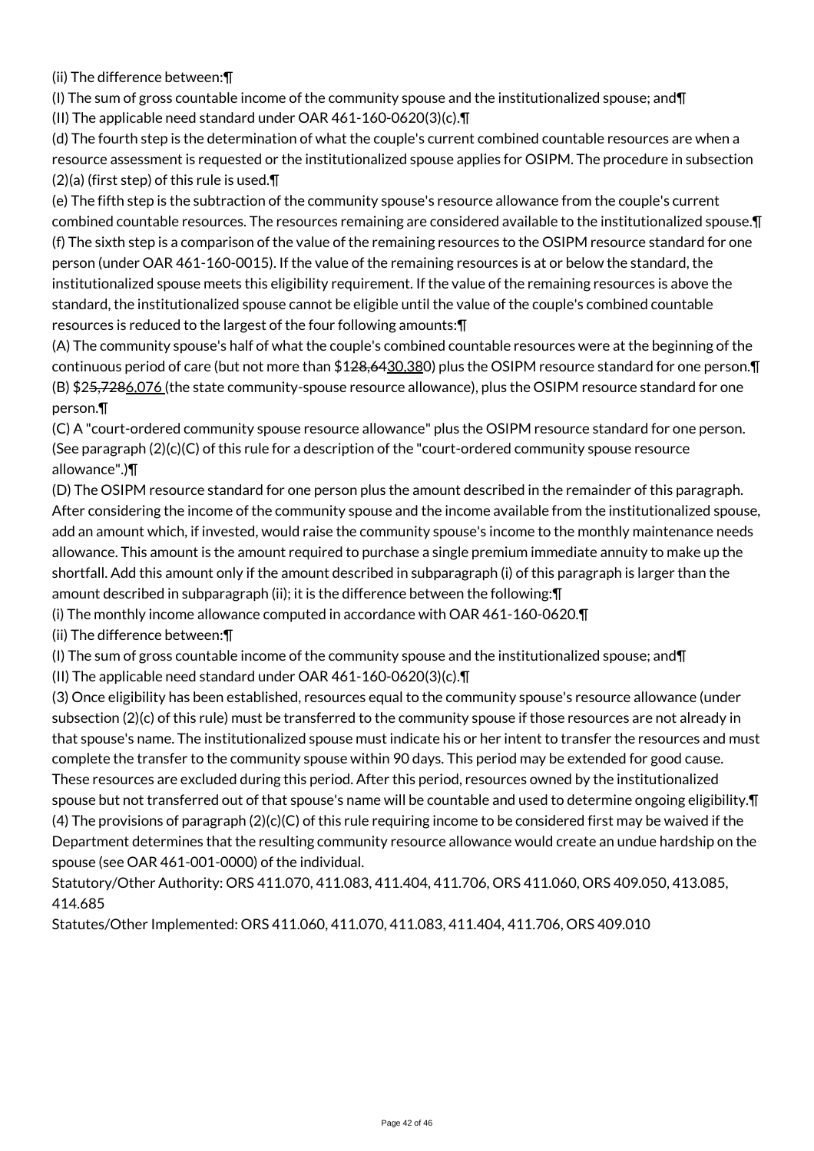(ii) The difference between:¶

(I) The sum of gross countable income of the community spouse and the institutionalized spouse; and  $\P$ 

(II) The applicable need standard under OAR 461-160-0620(3)(c).¶

(d) The fourth step is the determination of what the couple's current combined countable resources are when a resource assessment is requested or the institutionalized spouse applies for OSIPM. The procedure in subsection  $(2)(a)$  (first step) of this rule is used. $\P$ 

(e) The fifth step is the subtraction of the community spouse's resource allowance from the couple's current combined countable resources. The resources remaining are considered available to the institutionalized spouse.¶ (f) The sixth step is a comparison of the value of the remaining resources to the OSIPM resource standard for one person (under OAR 461-160-0015). If the value of the remaining resources is at or below the standard, the institutionalized spouse meets this eligibility requirement. If the value of the remaining resources is above the standard, the institutionalized spouse cannot be eligible until the value of the couple's combined countable resources is reduced to the largest of the four following amounts:¶

(A) The community spouse's half of what the couple's combined countable resources were at the beginning of the continuous period of care (but not more than \$1<del>28,64</del>30,380) plus the OSIPM resource standard for one person. T (B) \$2<del>5,7286,076</del> (the state community-spouse resource allowance), plus the OSIPM resource standard for one person.¶

(C) A "court-ordered community spouse resource allowance" plus the OSIPM resource standard for one person. (See paragraph  $(2)(c)(C)$  of this rule for a description of the "court-ordered community spouse resource allowance".)¶

(D) The OSIPM resource standard for one person plus the amount described in the remainder of this paragraph. After considering the income of the community spouse and the income available from the institutionalized spouse, add an amount which, if invested, would raise the community spouse's income to the monthly maintenance needs allowance. This amount is the amount required to purchase a single premium immediate annuity to make up the shortfall. Add this amount only if the amount described in subparagraph (i) of this paragraph is larger than the amount described in subparagraph (ii); it is the difference between the following:¶

(i) The monthly income allowance computed in accordance with OAR 461-160-0620.¶

(ii) The difference between:¶

(I) The sum of gross countable income of the community spouse and the institutionalized spouse; and¶

(II) The applicable need standard under OAR 461-160-0620(3)(c).¶

(3) Once eligibility has been established, resources equal to the community spouse's resource allowance (under subsection (2)(c) of this rule) must be transferred to the community spouse if those resources are not already in that spouse's name. The institutionalized spouse must indicate his or her intent to transfer the resources and must complete the transfer to the community spouse within 90 days. This period may be extended for good cause. These resources are excluded during this period. After this period, resources owned by the institutionalized spouse but not transferred out of that spouse's name will be countable and used to determine ongoing eligibility.¶ (4) The provisions of paragraph  $(2)(c)(C)$  of this rule requiring income to be considered first may be waived if the Department determines that the resulting community resource allowance would create an undue hardship on the spouse (see OAR 461-001-0000) of the individual.

Statutory/Other Authority: ORS 411.070, 411.083, 411.404, 411.706, ORS 411.060, ORS 409.050, 413.085, 414.685

Statutes/Other Implemented: ORS 411.060, 411.070, 411.083, 411.404, 411.706, ORS 409.010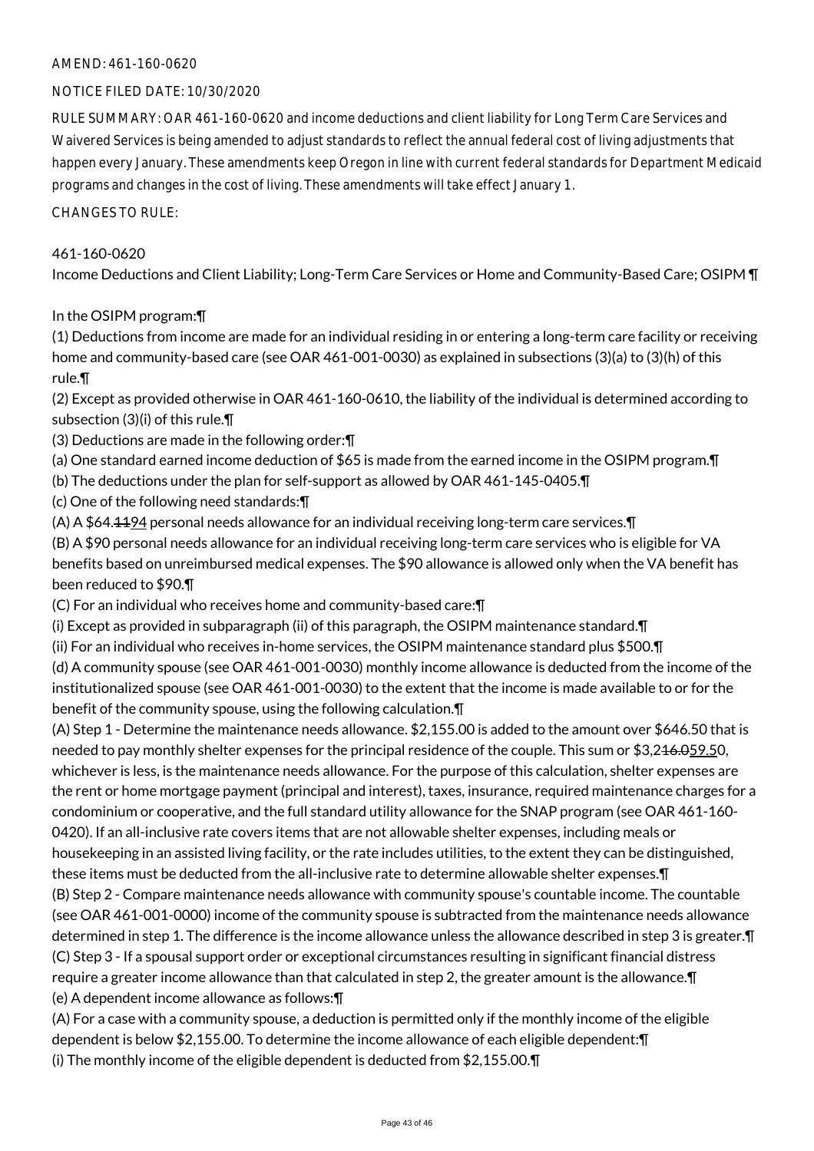#### AMEND: 461-160-0620

#### NOTICE FILED DATE: 10/30/2020

RULE SUMMARY: OAR 461-160-0620 and income deductions and client liability for Long Term Care Services and Waivered Services is being amended to adjust standards to reflect the annual federal cost of living adjustments that happen every January. These amendments keep Oregon in line with current federal standards for Department Medicaid programs and changes in the cost of living. These amendments will take effect January 1.

CHANGES TO RULE:

#### 461-160-0620

Income Deductions and Client Liability; Long-Term Care Services or Home and Community-Based Care; OSIPM ¶

#### In the OSIPM program:¶

(1) Deductions from income are made for an individual residing in or entering a long-term care facility or receiving home and community-based care (see OAR 461-001-0030) as explained in subsections (3)(a) to (3)(h) of this rule.¶

(2) Except as provided otherwise in OAR 461-160-0610, the liability of the individual is determined according to subsection (3)(i) of this rule.¶

- (3) Deductions are made in the following order:¶
- (a) One standard earned income deduction of \$65 is made from the earned income in the OSIPM program.¶
- (b) The deductions under the plan for self-support as allowed by OAR 461-145-0405.¶
- (c) One of the following need standards:¶
- (A) A \$64.1194 personal needs allowance for an individual receiving long-term care services.¶

(B) A \$90 personal needs allowance for an individual receiving long-term care services who is eligible for VA benefits based on unreimbursed medical expenses. The \$90 allowance is allowed only when the VA benefit has been reduced to \$90.¶

(C) For an individual who receives home and community-based care:¶

(i) Except as provided in subparagraph (ii) of this paragraph, the OSIPM maintenance standard.¶

(ii) For an individual who receives in-home services, the OSIPM maintenance standard plus \$500.¶

(d) A community spouse (see OAR 461-001-0030) monthly income allowance is deducted from the income of the institutionalized spouse (see OAR 461-001-0030) to the extent that the income is made available to or for the benefit of the community spouse, using the following calculation.¶

(A) Step 1 - Determine the maintenance needs allowance. \$2,155.00 is added to the amount over \$646.50 that is needed to pay monthly shelter expenses for the principal residence of the couple. This sum or \$3,2<del>16.059.5</del>0, whichever is less, is the maintenance needs allowance. For the purpose of this calculation, shelter expenses are the rent or home mortgage payment (principal and interest), taxes, insurance, required maintenance charges for a condominium or cooperative, and the full standard utility allowance for the SNAP program (see OAR 461-160- 0420). If an all-inclusive rate covers items that are not allowable shelter expenses, including meals or housekeeping in an assisted living facility, or the rate includes utilities, to the extent they can be distinguished, these items must be deducted from the all-inclusive rate to determine allowable shelter expenses.¶ (B) Step 2 - Compare maintenance needs allowance with community spouse's countable income. The countable (see OAR 461-001-0000) income of the community spouse is subtracted from the maintenance needs allowance determined in step 1. The difference is the income allowance unless the allowance described in step 3 is greater.¶ (C) Step 3 - If a spousal support order or exceptional circumstances resulting in significant financial distress require a greater income allowance than that calculated in step 2, the greater amount is the allowance.¶ (e) A dependent income allowance as follows:¶

(A) For a case with a community spouse, a deduction is permitted only if the monthly income of the eligible dependent is below \$2,155.00. To determine the income allowance of each eligible dependent:¶ (i) The monthly income of the eligible dependent is deducted from \$2,155.00.¶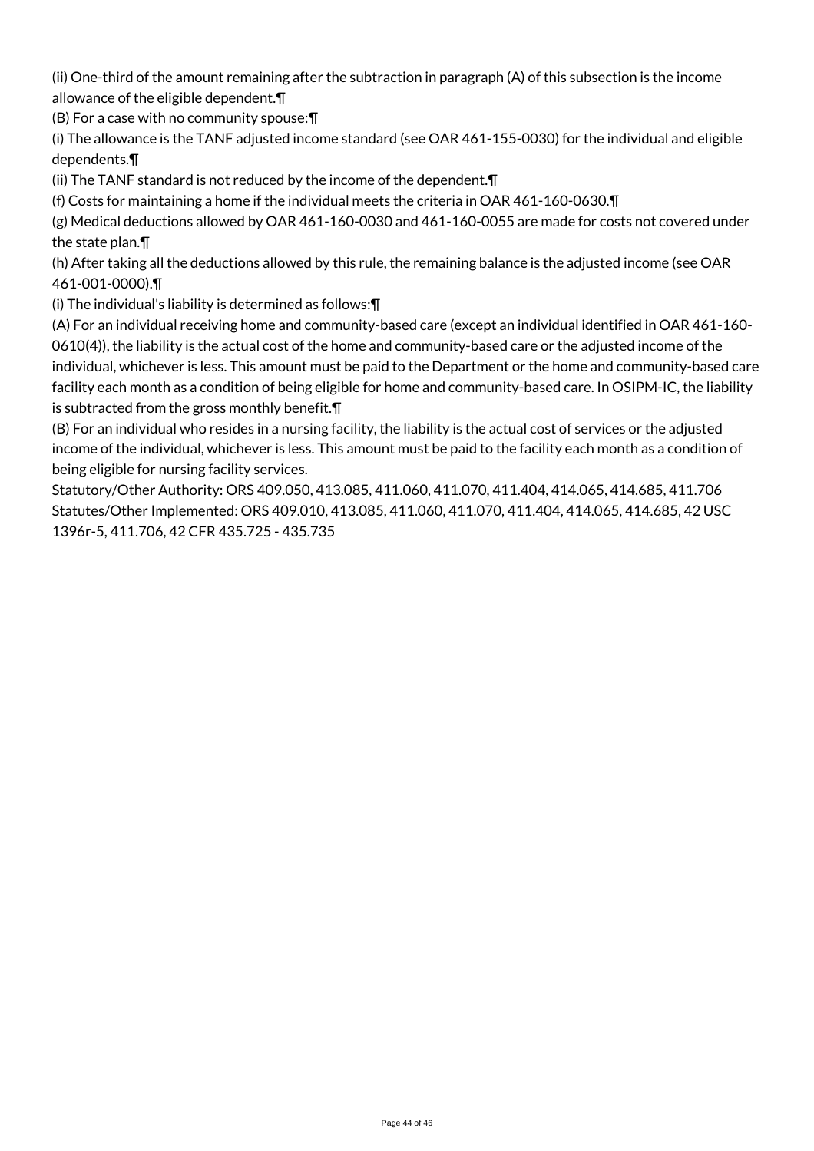(ii) One-third of the amount remaining after the subtraction in paragraph (A) of this subsection is the income allowance of the eligible dependent.¶

(B) For a case with no community spouse:¶

(i) The allowance is the TANF adjusted income standard (see OAR 461-155-0030) for the individual and eligible dependents.¶

(ii) The TANF standard is not reduced by the income of the dependent.¶

(f) Costs for maintaining a home if the individual meets the criteria in OAR 461-160-0630.¶

(g) Medical deductions allowed by OAR 461-160-0030 and 461-160-0055 are made for costs not covered under the state plan.¶

(h) After taking all the deductions allowed by this rule, the remaining balance is the adjusted income (see OAR 461-001-0000).¶

(i) The individual's liability is determined as follows:¶

(A) For an individual receiving home and community-based care (except an individual identified in OAR 461-160- 0610(4)), the liability is the actual cost of the home and community-based care or the adjusted income of the individual, whichever is less. This amount must be paid to the Department or the home and community-based care facility each month as a condition of being eligible for home and community-based care. In OSIPM-IC, the liability is subtracted from the gross monthly benefit.¶

(B) For an individual who resides in a nursing facility, the liability is the actual cost of services or the adjusted income of the individual, whichever is less. This amount must be paid to the facility each month as a condition of being eligible for nursing facility services.

Statutory/Other Authority: ORS 409.050, 413.085, 411.060, 411.070, 411.404, 414.065, 414.685, 411.706 Statutes/Other Implemented: ORS 409.010, 413.085, 411.060, 411.070, 411.404, 414.065, 414.685, 42 USC 1396r-5, 411.706, 42 CFR 435.725 - 435.735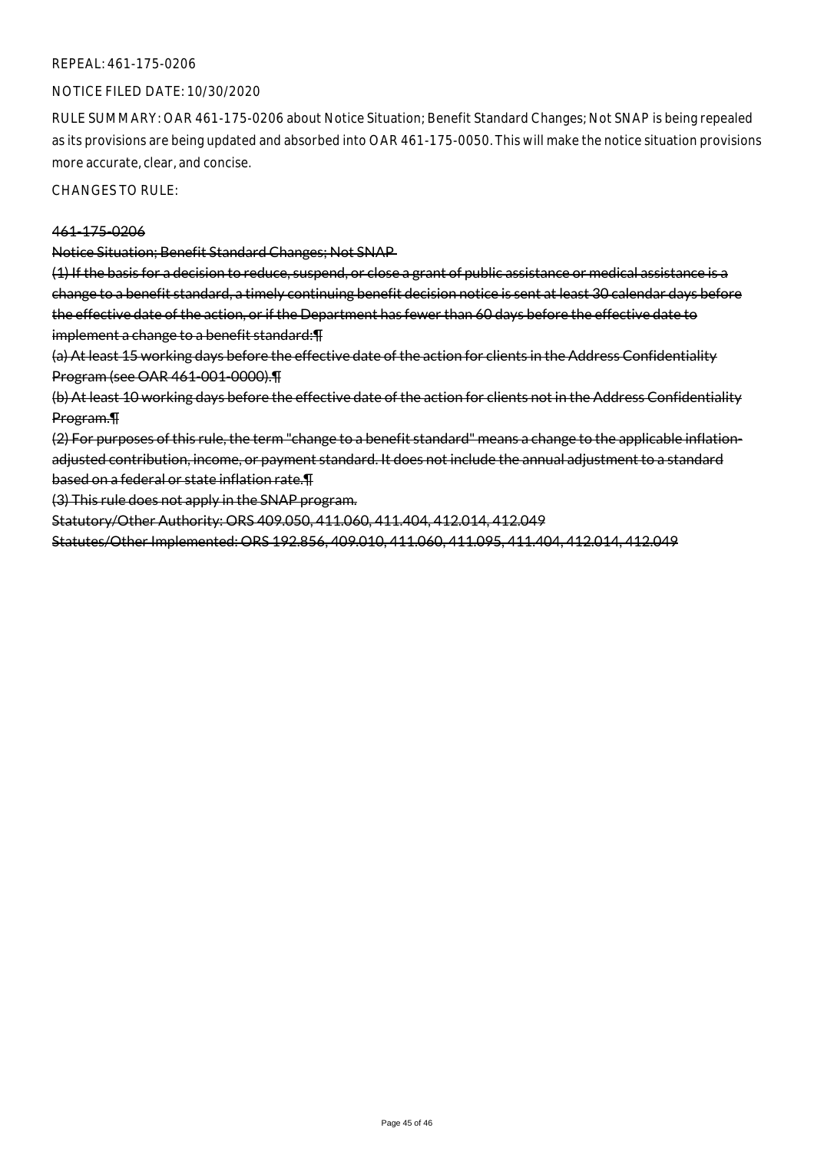#### REPEAL: 461-175-0206

#### NOTICE FILED DATE: 10/30/2020

RULE SUMMARY: OAR 461-175-0206 about Notice Situation; Benefit Standard Changes; Not SNAP is being repealed as its provisions are being updated and absorbed into OAR 461-175-0050. This will make the notice situation provisions more accurate, clear, and concise.

CHANGES TO RULE:

#### 461-175-0206

Notice Situation; Benefit Standard Changes; Not SNAP

(1) If the basis for a decision to reduce, suspend, or close a grant of public assistance or medical assistance is a change to a benefit standard, a timely continuing benefit decision notice is sent at least 30 calendar days before the effective date of the action, or if the Department has fewer than 60 days before the effective date to implement a change to a benefit standard: F

(a) At least 15 working days before the effective date of the action for clients in the Address Confidentiality Program (see OAR 461-001-0000).¶

(b) At least 10 working days before the effective date of the action for clients not in the Address Confidentiality Program.¶

(2) For purposes of this rule, the term "change to a benefit standard" means a change to the applicable inflationadjusted contribution, income, or payment standard. It does not include the annual adjustment to a standard based on a federal or state inflation rate.¶

(3) This rule does not apply in the SNAP program.

Statutory/Other Authority: ORS 409.050, 411.060, 411.404, 412.014, 412.049

Statutes/Other Implemented: ORS 192.856, 409.010, 411.060, 411.095, 411.404, 412.014, 412.049